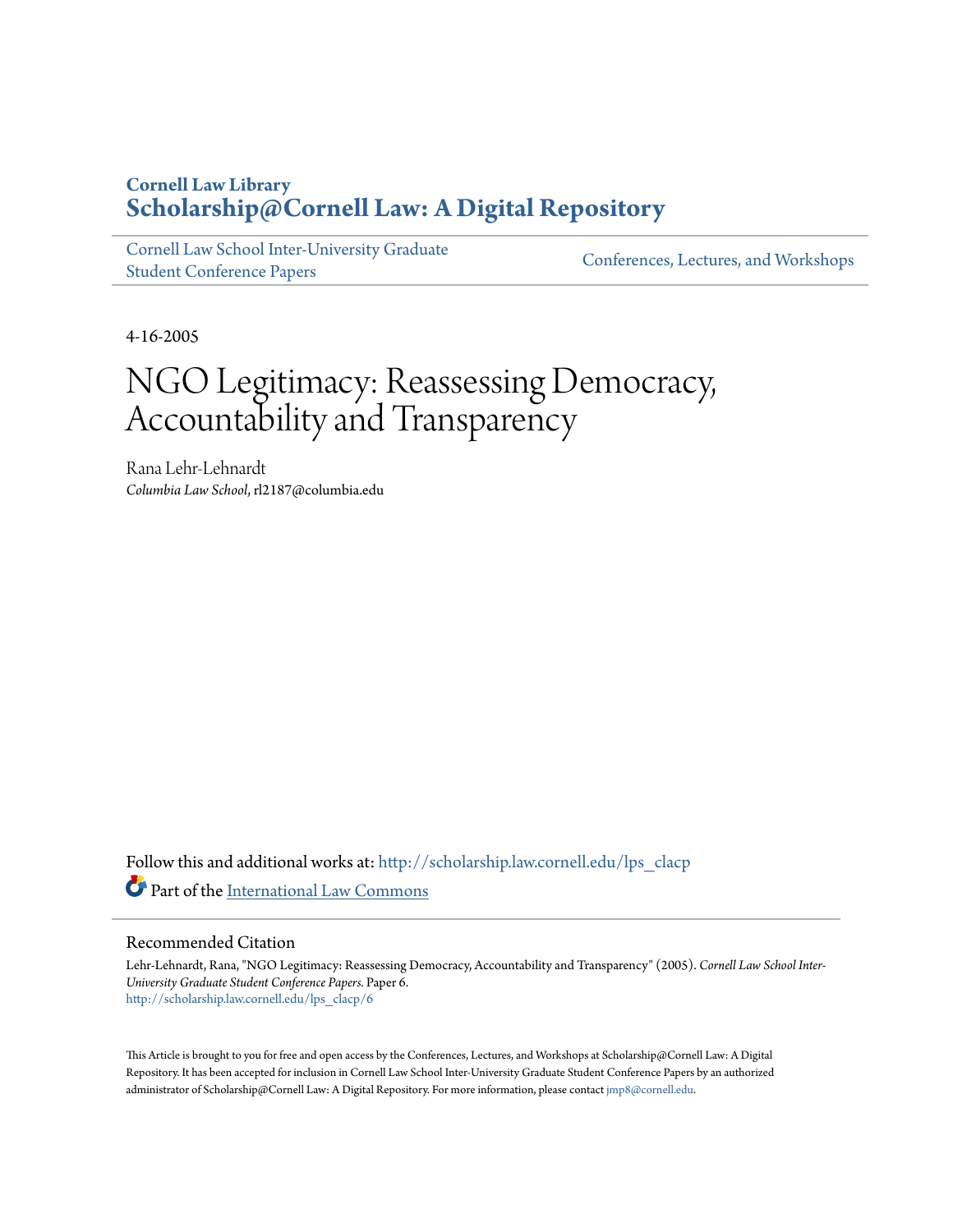# **Cornell Law Library [Scholarship@Cornell Law: A Digital Repository](http://scholarship.law.cornell.edu?utm_source=scholarship.law.cornell.edu%2Flps_clacp%2F6&utm_medium=PDF&utm_campaign=PDFCoverPages)**

[Cornell Law School Inter-University Graduate](http://scholarship.law.cornell.edu/lps_clacp?utm_source=scholarship.law.cornell.edu%2Flps_clacp%2F6&utm_medium=PDF&utm_campaign=PDFCoverPages) [Student Conference Papers](http://scholarship.law.cornell.edu/lps_clacp?utm_source=scholarship.law.cornell.edu%2Flps_clacp%2F6&utm_medium=PDF&utm_campaign=PDFCoverPages)

[Conferences, Lectures, and Workshops](http://scholarship.law.cornell.edu/conf_lec_work?utm_source=scholarship.law.cornell.edu%2Flps_clacp%2F6&utm_medium=PDF&utm_campaign=PDFCoverPages)

4-16-2005

# NGO Legitimacy: Reassessing Democracy, Accountability and Transparency

Rana Lehr-Lehnardt *Columbia Law School*, rl2187@columbia.edu

Follow this and additional works at: [http://scholarship.law.cornell.edu/lps\\_clacp](http://scholarship.law.cornell.edu/lps_clacp?utm_source=scholarship.law.cornell.edu%2Flps_clacp%2F6&utm_medium=PDF&utm_campaign=PDFCoverPages) Part of the [International Law Commons](http://network.bepress.com/hgg/discipline/609?utm_source=scholarship.law.cornell.edu%2Flps_clacp%2F6&utm_medium=PDF&utm_campaign=PDFCoverPages)

#### Recommended Citation

Lehr-Lehnardt, Rana, "NGO Legitimacy: Reassessing Democracy, Accountability and Transparency" (2005). *Cornell Law School Inter-University Graduate Student Conference Papers.* Paper 6. [http://scholarship.law.cornell.edu/lps\\_clacp/6](http://scholarship.law.cornell.edu/lps_clacp/6?utm_source=scholarship.law.cornell.edu%2Flps_clacp%2F6&utm_medium=PDF&utm_campaign=PDFCoverPages)

This Article is brought to you for free and open access by the Conferences, Lectures, and Workshops at Scholarship@Cornell Law: A Digital Repository. It has been accepted for inclusion in Cornell Law School Inter-University Graduate Student Conference Papers by an authorized administrator of Scholarship@Cornell Law: A Digital Repository. For more information, please contact [jmp8@cornell.edu.](mailto:jmp8@cornell.edu)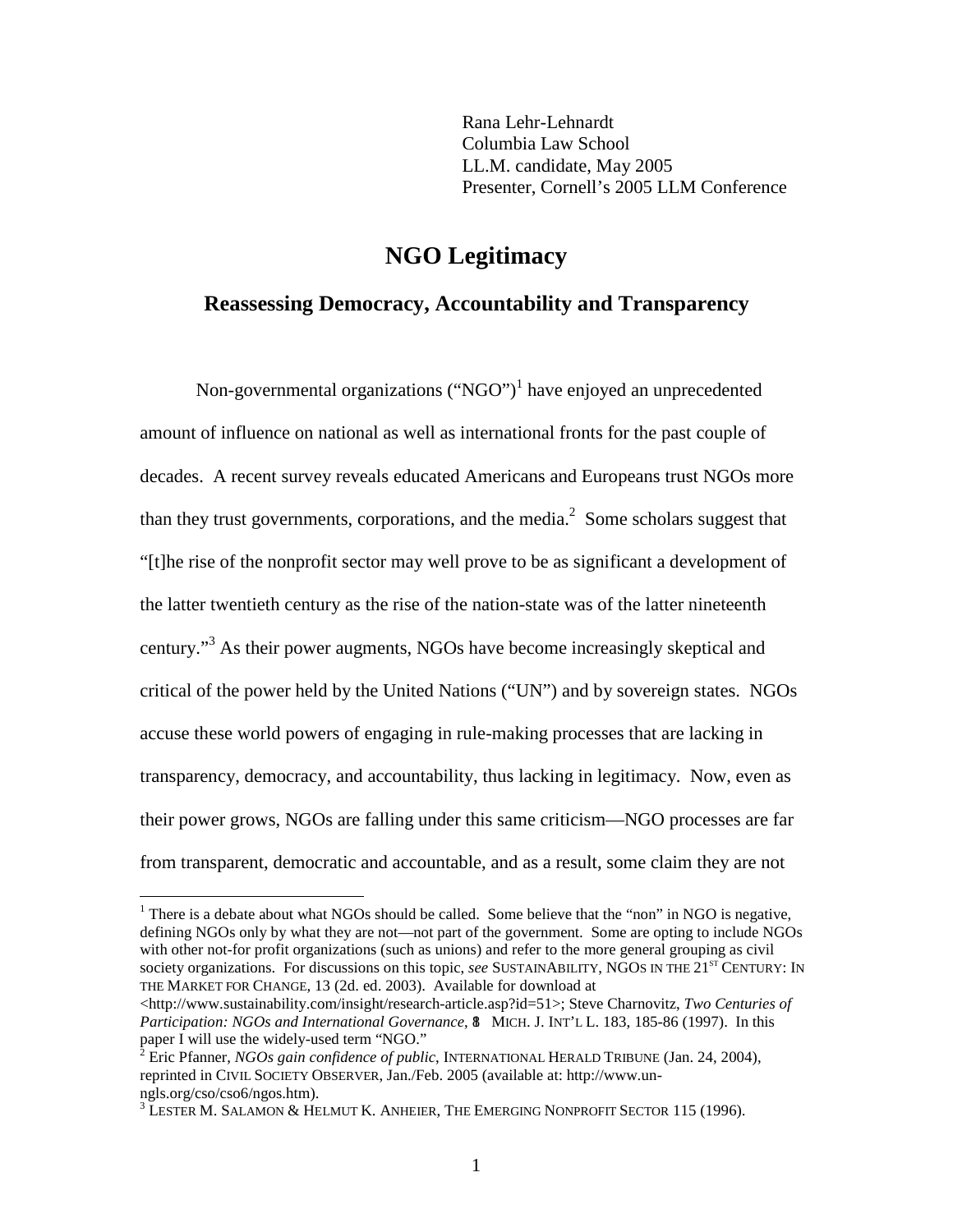Rana Lehr-Lehnardt Columbia Law School LL.M. candidate, May 2005 Presenter, Cornell's 2005 LLM Conference

# **NGO Legitimacy**

# **Reassessing Democracy, Accountability and Transparency**

Non-governmental organizations  $("NGO")^1$  have enjoyed an unprecedented amount of influence on national as well as international fronts for the past couple of decades. A recent survey reveals educated Americans and Europeans trust NGOs more than they trust governments, corporations, and the media. $^2$  Some scholars suggest that "[t]he rise of the nonprofit sector may well prove to be as significant a development of the latter twentieth century as the rise of the nation-state was of the latter nineteenth century."<sup>3</sup> As their power augments, NGOs have become increasingly skeptical and critical of the power held by the United Nations ("UN") and by sovereign states. NGOs accuse these world powers of engaging in rule-making processes that are lacking in transparency, democracy, and accountability, thus lacking in legitimacy. Now, even as their power grows, NGOs are falling under this same criticism—NGO processes are far from transparent, democratic and accountable, and as a result, some claim they are not

<sup>&</sup>lt;sup>1</sup> There is a debate about what NGOs should be called. Some believe that the "non" in NGO is negative, defining NGOs only by what they are not—not part of the government. Some are opting to include NGOs with other not-for profit organizations (such as unions) and refer to the more general grouping as civil society organizations. For discussions on this topic, see SUSTAINABILITY, NGOS IN THE 21<sup>ST</sup> CENTURY: IN THE MARKET FOR CHANGE, 13 (2d. ed. 2003). Available for download at

 $\langle$ http://www.sustainability.com/insight/research-article.asp?id=51>; Steve Charnovitz, *Two Centuries of* Participation: NGOs and International Governance, 8 MICH. J. INT'L L. 183, 185-86 (1997). In this paper I will use the widely-used term "NGO." <sup>2</sup>

Eric Pfanner, *NGOs gain confidence of public*, INTERNATIONAL HERALD TRIBUNE (Jan. 24, 2004), reprinted in CIVIL SOCIETY OBSERVER, Jan./Feb. 2005 (available at: http://www.unngls.org/cso/cso6/ngos.htm).

 $3$  Lester M. Salamon & Helmut K. Anheier, The Emerging Nonprofit Sector 115 (1996).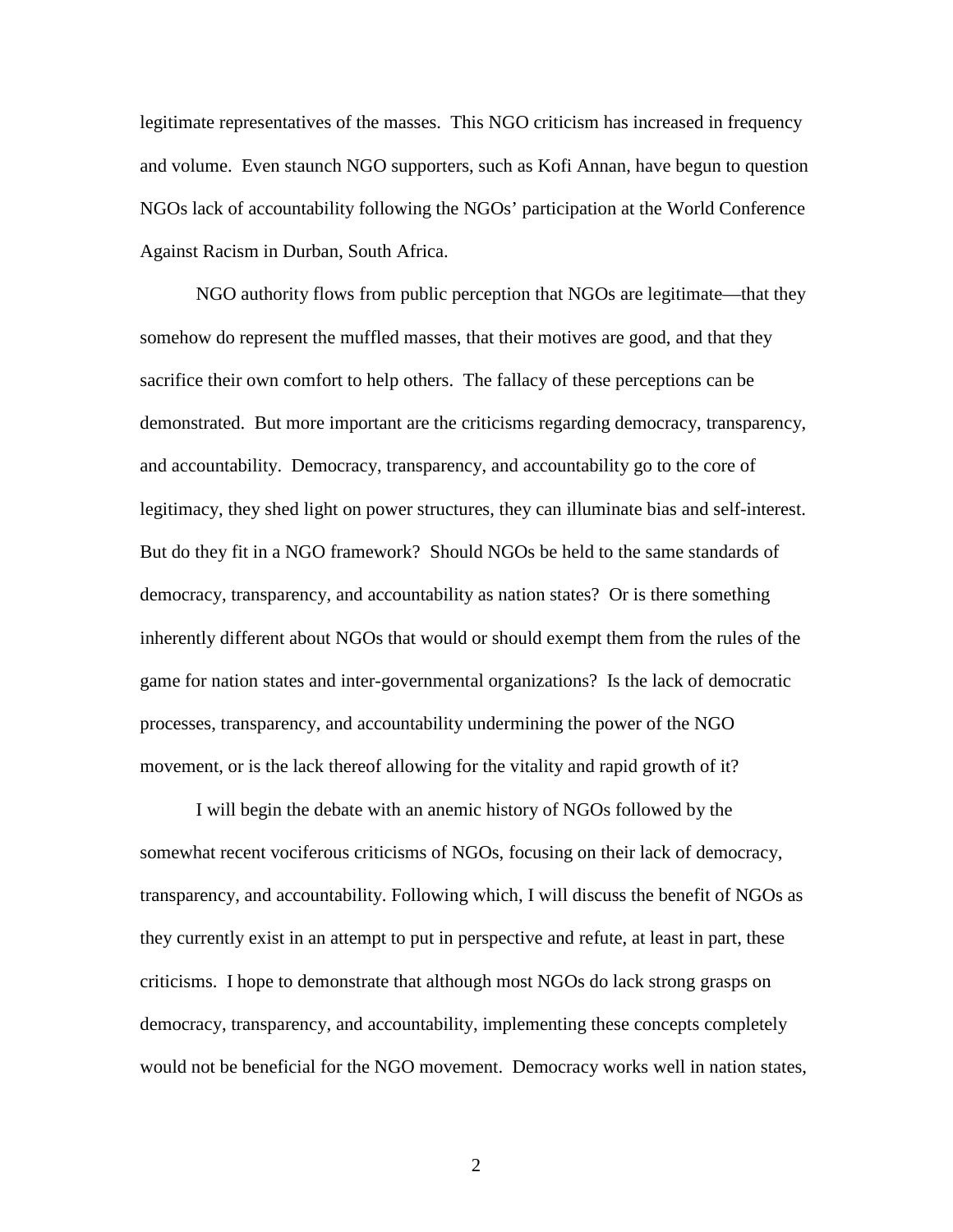legitimate representatives of the masses. This NGO criticism has increased in frequency and volume. Even staunch NGO supporters, such as Kofi Annan, have begun to question NGOs lack of accountability following the NGOs' participation at the World Conference Against Racism in Durban, South Africa.

NGO authority flows from public perception that NGOs are legitimate—that they somehow do represent the muffled masses, that their motives are good, and that they sacrifice their own comfort to help others. The fallacy of these perceptions can be demonstrated. But more important are the criticisms regarding democracy, transparency, and accountability. Democracy, transparency, and accountability go to the core of legitimacy, they shed light on power structures, they can illuminate bias and self-interest. But do they fit in a NGO framework? Should NGOs be held to the same standards of democracy, transparency, and accountability as nation states? Or is there something inherently different about NGOs that would or should exempt them from the rules of the game for nation states and inter-governmental organizations? Is the lack of democratic processes, transparency, and accountability undermining the power of the NGO movement, or is the lack thereof allowing for the vitality and rapid growth of it?

I will begin the debate with an anemic history of NGOs followed by the somewhat recent vociferous criticisms of NGOs, focusing on their lack of democracy, transparency, and accountability. Following which, I will discuss the benefit of NGOs as they currently exist in an attempt to put in perspective and refute, at least in part, these criticisms. I hope to demonstrate that although most NGOs do lack strong grasps on democracy, transparency, and accountability, implementing these concepts completely would not be beneficial for the NGO movement. Democracy works well in nation states,

2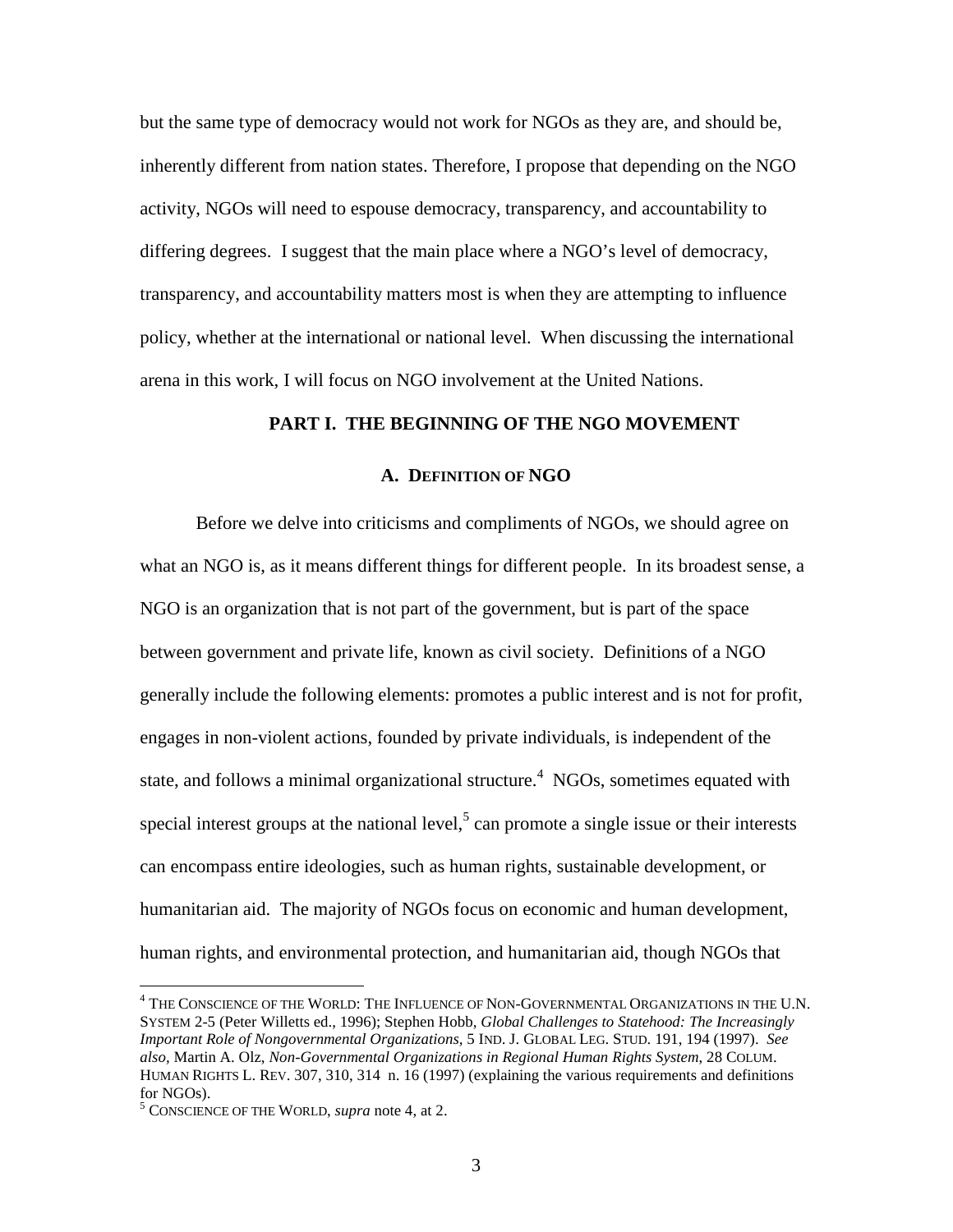but the same type of democracy would not work for NGOs as they are, and should be, inherently different from nation states. Therefore, I propose that depending on the NGO activity, NGOs will need to espouse democracy, transparency, and accountability to differing degrees. I suggest that the main place where a NGO's level of democracy, transparency, and accountability matters most is when they are attempting to influence policy, whether at the international or national level. When discussing the international arena in this work, I will focus on NGO involvement at the United Nations.

# **PART I. THE BEGINNING OF THE NGO MOVEMENT**

#### **A. DEFINITION OF NGO**

Before we delve into criticisms and compliments of NGOs, we should agree on what an NGO is, as it means different things for different people. In its broadest sense, a NGO is an organization that is not part of the government, but is part of the space between government and private life, known as civil society. Definitions of a NGO generally include the following elements: promotes a public interest and is not for profit, engages in non-violent actions, founded by private individuals, is independent of the state, and follows a minimal organizational structure.<sup>4</sup> NGOs, sometimes equated with special interest groups at the national level, $5$  can promote a single issue or their interests can encompass entire ideologies, such as human rights, sustainable development, or humanitarian aid. The majority of NGOs focus on economic and human development, human rights, and environmental protection, and humanitarian aid, though NGOs that

 $^4$  THE CONSCIENCE OF THE WORLD: THE INFLUENCE OF NON-GOVERNMENTAL ORGANIZATIONS IN THE U.N. SYSTEM 2-5 (Peter Willetts ed., 1996); Stephen Hobb, *Global Challenges to Statehood: The Increasingly Important Role of Nongovernmental Organizations,* 5 IND. J. GLOBAL LEG. STUD. 191, 194 (1997). *See also,* Martin A. Olz, *Non-Governmental Organizations in Regional Human Rights System*, 28 COLUM. HUMAN RIGHTS L. REV. 307, 310, 314 n. 16 (1997) (explaining the various requirements and definitions for NGOs).

<sup>5</sup> CONSCIENCE OF THE WORLD, *supra* note 4, at 2.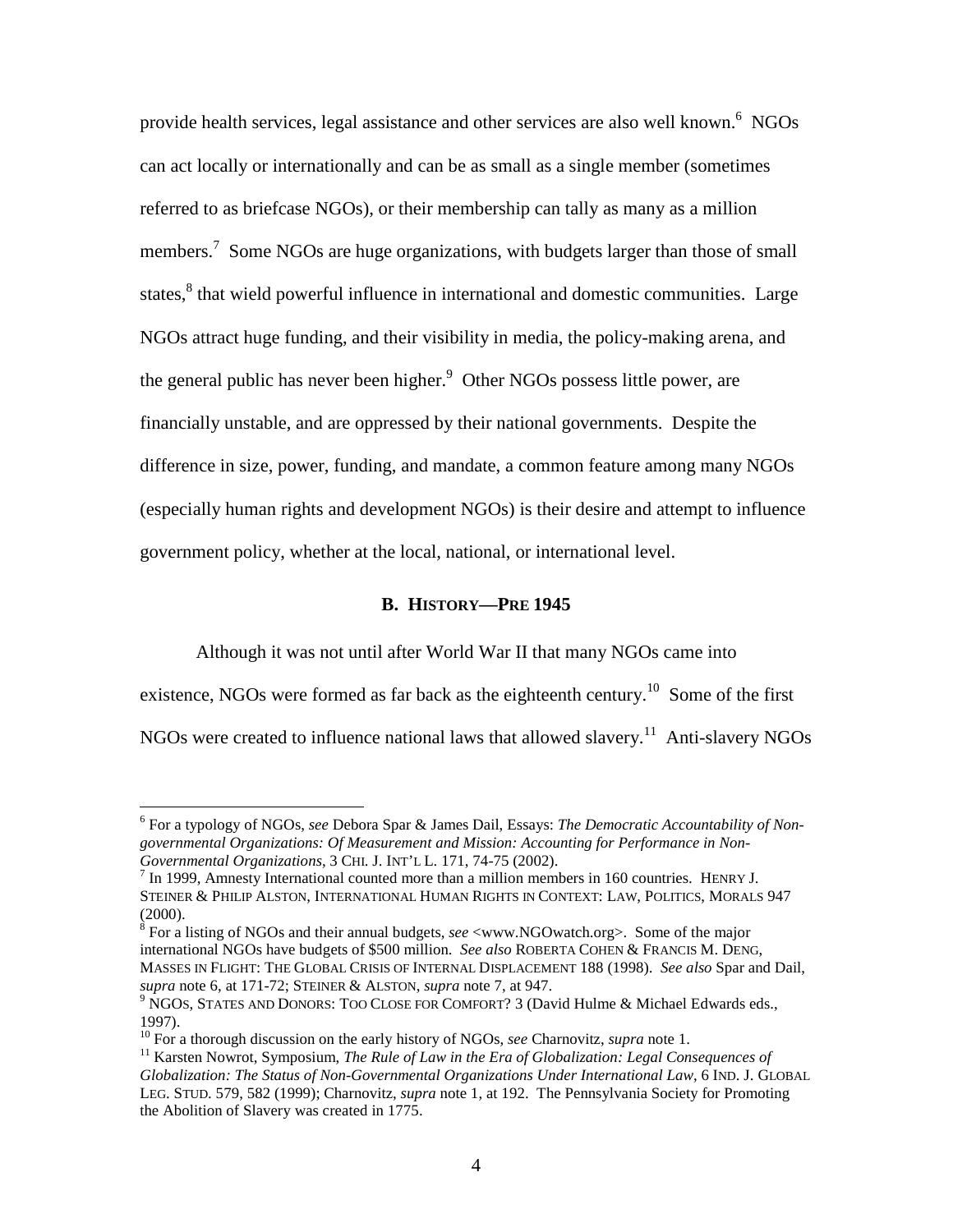provide health services, legal assistance and other services are also well known.<sup>6</sup> NGOs can act locally or internationally and can be as small as a single member (sometimes referred to as briefcase NGOs), or their membership can tally as many as a million members.<sup>7</sup> Some NGOs are huge organizations, with budgets larger than those of small states,<sup>8</sup> that wield powerful influence in international and domestic communities. Large NGOs attract huge funding, and their visibility in media, the policy-making arena, and the general public has never been higher.<sup>9</sup> Other NGOs possess little power, are financially unstable, and are oppressed by their national governments. Despite the difference in size, power, funding, and mandate, a common feature among many NGOs (especially human rights and development NGOs) is their desire and attempt to influence government policy, whether at the local, national, or international level.

#### **B. HISTORY—PRE 1945**

Although it was not until after World War II that many NGOs came into

existence, NGOs were formed as far back as the eighteenth century.<sup>10</sup> Some of the first

NGOs were created to influence national laws that allowed slavery.<sup>11</sup> Anti-slavery NGOs

<sup>6</sup> For a typology of NGOs, *see* Debora Spar & James Dail, Essays: *The Democratic Accountability of Nongovernmental Organizations: Of Measurement and Mission: Accounting for Performance in Non-Governmental Organizations*, 3 CHI. J. INT'L L. 171, 74-75 (2002). <sup>7</sup>

 $\frac{7}{1}$  In 1999, Amnesty International counted more than a million members in 160 countries. HENRY J. STEINER & PHILIP ALSTON, INTERNATIONAL HUMAN RIGHTS IN CONTEXT: LAW, POLITICS, MORALS 947 (2000).

<sup>8</sup> For a listing of NGOs and their annual budgets, *see* <www.NGOwatch.org>. Some of the major international NGOs have budgets of \$500 million. *See also* ROBERTA COHEN & FRANCIS M. DENG, MASSES IN FLIGHT: THE GLOBAL CRISIS OF INTERNAL DISPLACEMENT 188 (1998). *See also* Spar and Dail,

<sup>&</sup>lt;sup>9</sup> NGOS, STATES AND DONORS: TOO CLOSE FOR COMFORT? 3 (David Hulme & Michael Edwards eds., 1997).<br><sup>10</sup> For a thorough discussion on the early history of NGOs, *see* Charnovitz, *supra* note 1.

<sup>&</sup>lt;sup>11</sup> Karsten Nowrot, Symposium, *The Rule of Law in the Era of Globalization: Legal Consequences of Globalization: The Status of Non-Governmental Organizations Under International Law*, 6 IND. J. GLOBAL LEG. STUD. 579, 582 (1999); Charnovitz, *supra* note 1, at 192. The Pennsylvania Society for Promoting the Abolition of Slavery was created in 1775.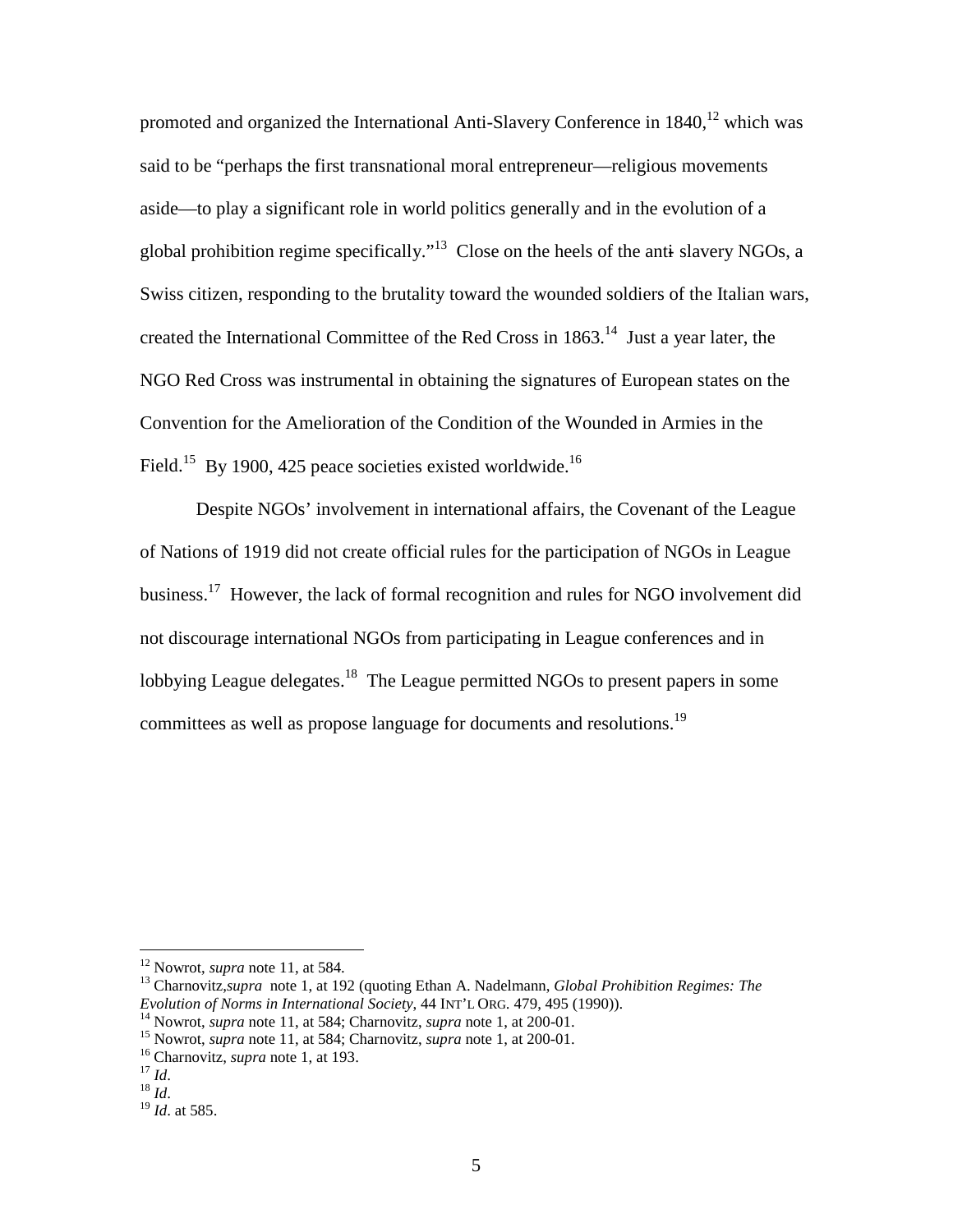promoted and organized the International Anti-Slavery Conference in  $1840$ ,  $12$  which was said to be "perhaps the first transnational moral entrepreneur—religious movements aside—to play a significant role in world politics generally and in the evolution of a global prohibition regime specifically."<sup>13</sup> Close on the heels of the anti-slavery NGOs, a Swiss citizen, responding to the brutality toward the wounded soldiers of the Italian wars, created the International Committee of the Red Cross in  $1863$ <sup>14</sup> Just a year later, the NGO Red Cross was instrumental in obtaining the signatures of European states on the Convention for the Amelioration of the Condition of the Wounded in Armies in the Field.<sup>15</sup> By 1900, 425 peace societies existed worldwide.<sup>16</sup>

Despite NGOs' involvement in international affairs, the Covenant of the League of Nations of 1919 did not create official rules for the participation of NGOs in League business.<sup>17</sup> However, the lack of formal recognition and rules for NGO involvement did not discourage international NGOs from participating in League conferences and in lobbying League delegates.<sup>18</sup> The League permitted NGOs to present papers in some committees as well as propose language for documents and resolutions.19

<sup>&</sup>lt;sup>12</sup> Nowrot, *supra* note 11, at 584.<br><sup>13</sup> Charnovitz, *supra* note 1, at 192 (quoting Ethan A. Nadelmann, *Global Prohibition Regimes: The Evolution of Norms in International Society*, 44 INT'L ORG. 479, 495 (1990)).

<sup>&</sup>lt;sup>14</sup> Nowrot, *supra* note 11, at 584; Charnovitz, *supra* note 1, at 200-01.<br><sup>15</sup> Nowrot, *supra* note 11, at 584; Charnovitz, *supra* note 1, at 200-01.<br><sup>16</sup> Charnovitz, *supra* note 1, at 193.<br><sup>17</sup> Id.<br><sup>18</sup> Id. at 585.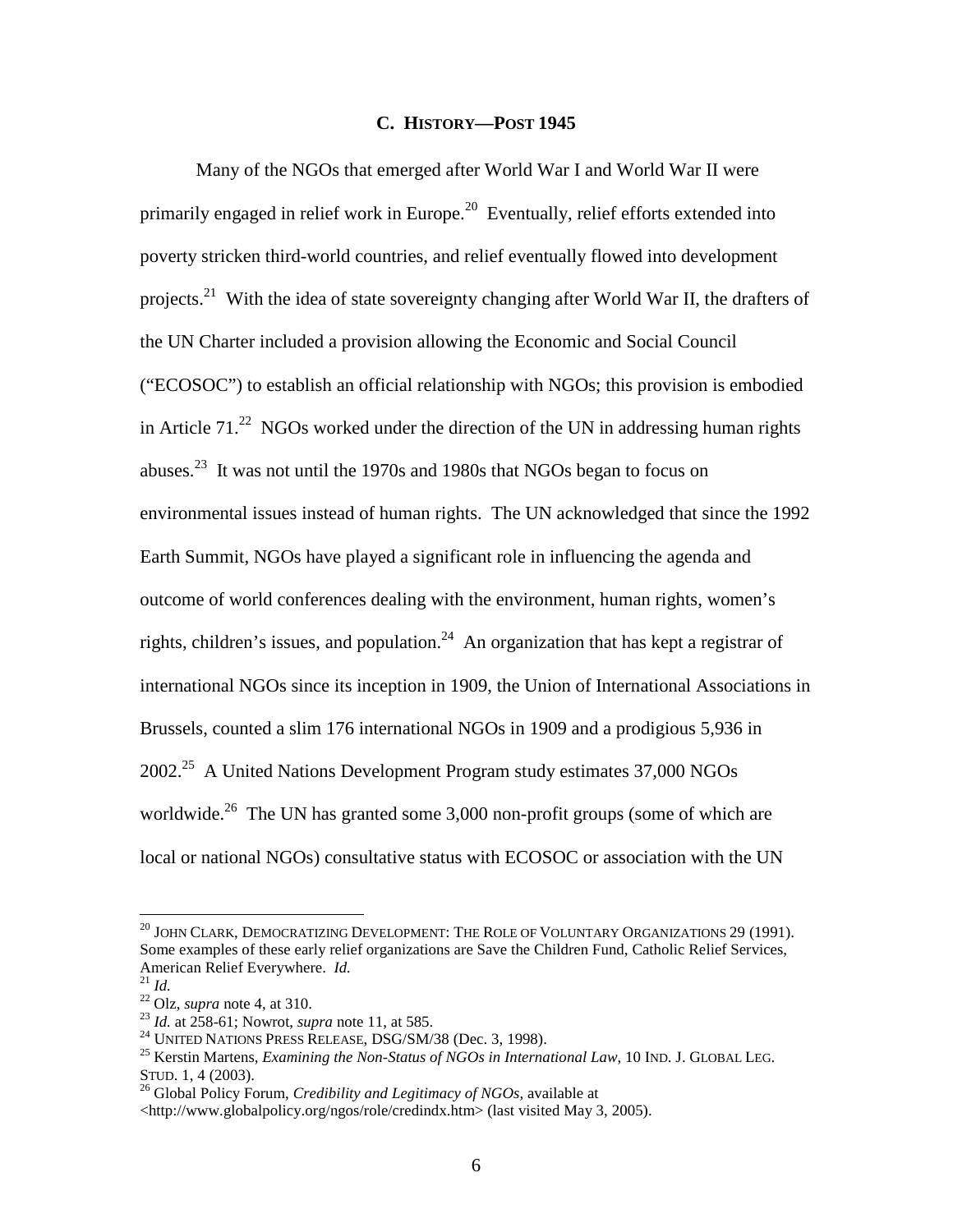#### **C. HISTORY—POST 1945**

Many of the NGOs that emerged after World War I and World War II were primarily engaged in relief work in Europe.<sup>20</sup> Eventually, relief efforts extended into poverty stricken third-world countries, and relief eventually flowed into development projects.<sup>21</sup> With the idea of state sovereignty changing after World War II, the drafters of the UN Charter included a provision allowing the Economic and Social Council ("ECOSOC") to establish an official relationship with NGOs; this provision is embodied in Article  $71<sup>22</sup>$  NGOs worked under the direction of the UN in addressing human rights abuses.<sup>23</sup> It was not until the 1970s and 1980s that NGOs began to focus on environmental issues instead of human rights. The UN acknowledged that since the 1992 Earth Summit, NGOs have played a significant role in influencing the agenda and outcome of world conferences dealing with the environment, human rights, women's rights, children's issues, and population.<sup>24</sup> An organization that has kept a registrar of international NGOs since its inception in 1909, the Union of International Associations in Brussels, counted a slim 176 international NGOs in 1909 and a prodigious 5,936 in 2002<sup>25</sup> A United Nations Development Program study estimates 37,000 NGOs worldwide.<sup>26</sup> The UN has granted some 3,000 non-profit groups (some of which are local or national NGOs) consultative status with ECOSOC or association with the UN

 $^{20}$  JOHN CLARK, DEMOCRATIZING DEVELOPMENT: THE ROLE OF VOLUNTARY ORGANIZATIONS 29 (1991). Some examples of these early relief organizations are Save the Children Fund, Catholic Relief Services,

American Relief Everywhere. *Id.*<br>
<sup>21</sup> *Id.*<br>
<sup>22</sup> Olz, *supra* note 4, at 310.<br>
<sup>23</sup> *Id.* at 258-61; Nowrot, *supra* note 11, at 585.<br>
<sup>24</sup> UNITED NATIONS PRESS RELEASE, DSG/SM/38 (Dec. 3, 1998).<br>
<sup>25</sup> Kerstin Martens,

<sup>&</sup>lt;sup>26</sup> Global Policy Forum, *Credibility and Legitimacy of NGOs*, available at

<sup>&</sup>lt;http://www.globalpolicy.org/ngos/role/credindx.htm> (last visited May 3, 2005).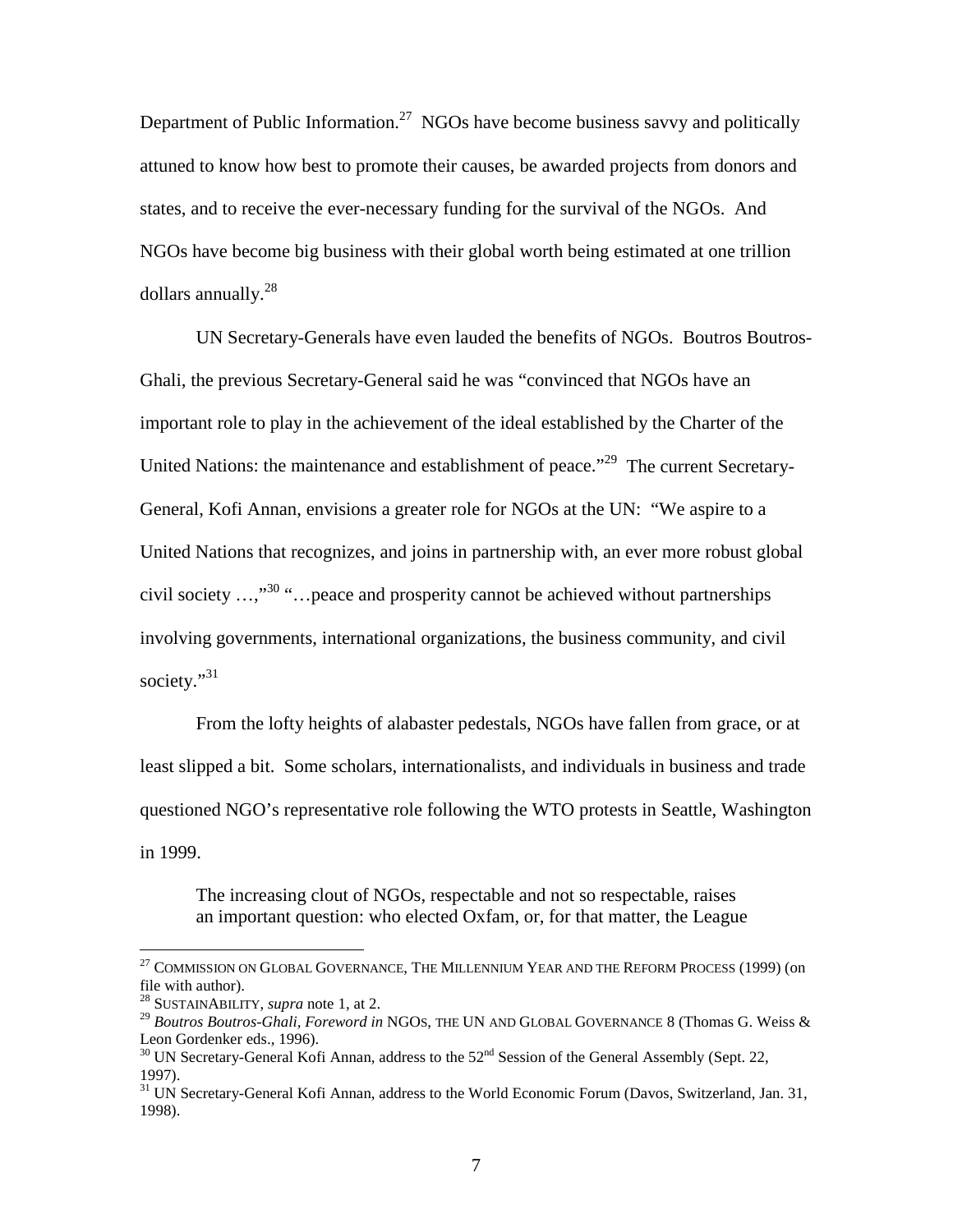Department of Public Information.<sup>27</sup> NGOs have become business say v and politically attuned to know how best to promote their causes, be awarded projects from donors and states, and to receive the ever-necessary funding for the survival of the NGOs. And NGOs have become big business with their global worth being estimated at one trillion dollars annually.<sup>28</sup>

UN Secretary-Generals have even lauded the benefits of NGOs. Boutros Boutros-Ghali, the previous Secretary-General said he was "convinced that NGOs have an important role to play in the achievement of the ideal established by the Charter of the United Nations: the maintenance and establishment of peace."<sup>29</sup> The current Secretary-General, Kofi Annan, envisions a greater role for NGOs at the UN: "We aspire to a United Nations that recognizes, and joins in partnership with, an ever more robust global civil society  $\ldots$ <sup>30</sup> "... peace and prosperity cannot be achieved without partnerships involving governments, international organizations, the business community, and civil society."31

From the lofty heights of alabaster pedestals, NGOs have fallen from grace, or at least slipped a bit. Some scholars, internationalists, and individuals in business and trade questioned NGO's representative role following the WTO protests in Seattle, Washington in 1999.

The increasing clout of NGOs, respectable and not so respectable, raises an important question: who elected Oxfam, or, for that matter, the League

 $^{27}$  COMMISSION ON GLOBAL GOVERNANCE, THE MILLENNIUM YEAR AND THE REFORM PROCESS (1999) (on file with author).

<sup>28</sup> SUSTAINABILITY, *supra* note 1, at 2.

<sup>29</sup> *Boutros Boutros-Ghali, Foreword in* NGOS, THE UN AND GLOBAL GOVERNANCE 8 (Thomas G. Weiss & Leon Gordenker eds., 1996).

 $30$  UN Secretary-General Kofi Annan, address to the  $52<sup>nd</sup>$  Session of the General Assembly (Sept. 22, 1997).

<sup>&</sup>lt;sup>31</sup> UN Secretary-General Kofi Annan, address to the World Economic Forum (Davos, Switzerland, Jan. 31, 1998).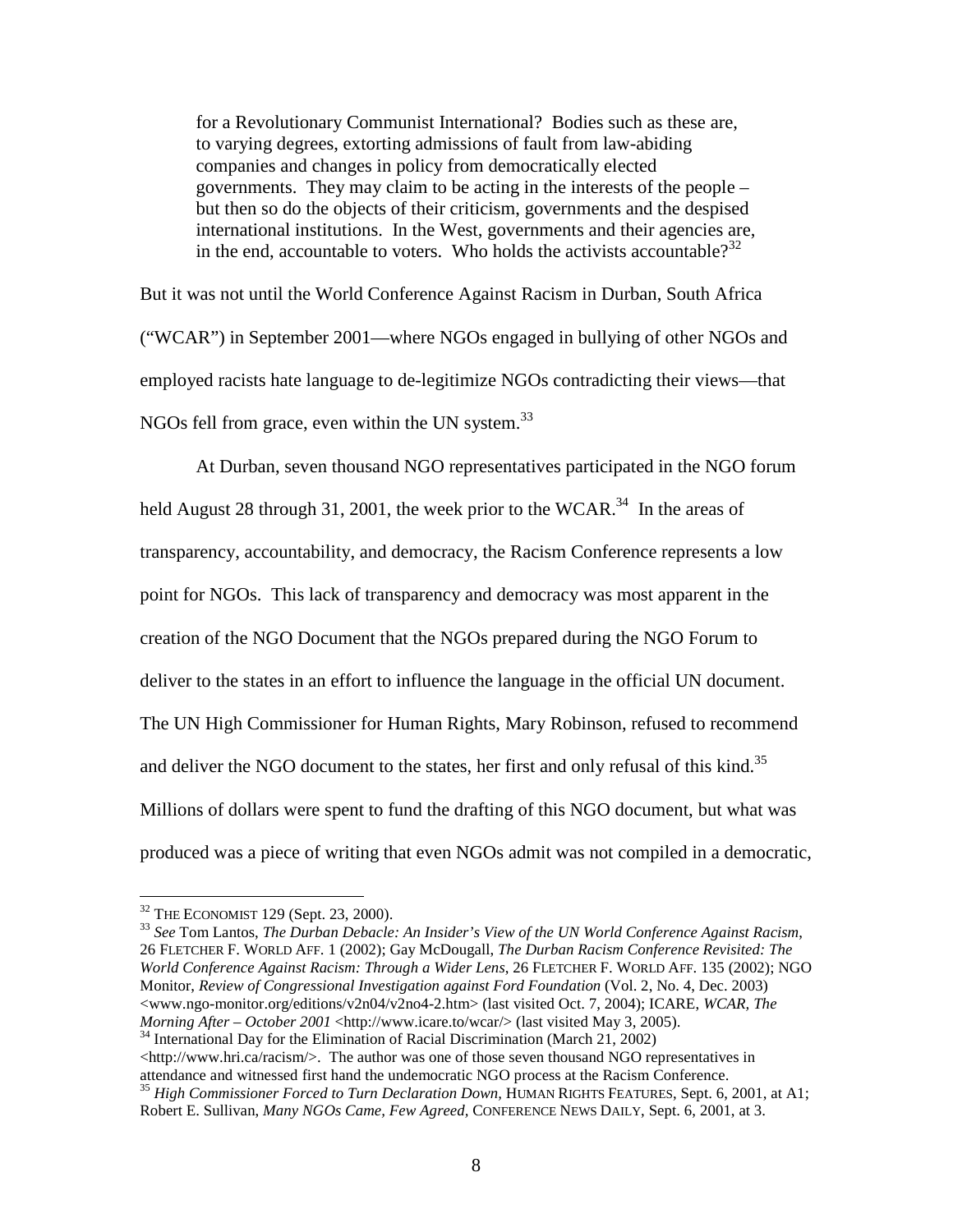for a Revolutionary Communist International? Bodies such as these are, to varying degrees, extorting admissions of fault from law-abiding companies and changes in policy from democratically elected governments. They may claim to be acting in the interests of the people – but then so do the objects of their criticism, governments and the despised international institutions. In the West, governments and their agencies are, in the end, accountable to voters. Who holds the activists accountable? $3^{32}$ 

But it was not until the World Conference Against Racism in Durban, South Africa ("WCAR") in September 2001—where NGOs engaged in bullying of other NGOs and employed racists hate language to de-legitimize NGOs contradicting their views—that NGOs fell from grace, even within the UN system.<sup>33</sup>

At Durban, seven thousand NGO representatives participated in the NGO forum held August 28 through 31, 2001, the week prior to the WCAR.<sup>34</sup> In the areas of transparency, accountability, and democracy, the Racism Conference represents a low point for NGOs. This lack of transparency and democracy was most apparent in the creation of the NGO Document that the NGOs prepared during the NGO Forum to deliver to the states in an effort to influence the language in the official UN document. The UN High Commissioner for Human Rights, Mary Robinson, refused to recommend and deliver the NGO document to the states, her first and only refusal of this kind.<sup>35</sup> Millions of dollars were spent to fund the drafting of this NGO document, but what was produced was a piece of writing that even NGOs admit was not compiled in a democratic,

<http://www.hri.ca/racism/>. The author was one of those seven thousand NGO representatives in attendance and witnessed first hand the undemocratic NGO process at the Racism Conference. <sup>35</sup> *High Commissioner Forced to Turn Declaration Down,* HUMAN RIGHTS FEATURES, Sept. 6, 2001, at A1;

<sup>&</sup>lt;sup>32</sup> THE ECONOMIST 129 (Sept. 23, 2000).<br><sup>33</sup> See Tom Lantos, *The Durban Debacle: An Insider's View of the UN World Conference Against Racism*, 26 FLETCHER F. WORLD AFF. 1 (2002); Gay McDougall, *The Durban Racism Conference Revisited: The World Conference Against Racism: Through a Wider Lens*, 26 FLETCHER F. WORLD AFF. 135 (2002); NGO Monitor, *Review of Congressional Investigation against Ford Foundation* (Vol. 2, No. 4, Dec. 2003) <www.ngo-monitor.org/editions/v2n04/v2no4-2.htm> (last visited Oct. 7, 2004); ICARE, *WCAR, The Morning After – October 2001* <http://www.icare.to/wcar/> (last visited May 3, 2005).<br><sup>34</sup> International Day for the Elimination of Racial Discrimination (March 21, 2002)

Robert E. Sullivan, *Many NGOs Came, Few Agreed,* CONFERENCE NEWS DAILY, Sept. 6, 2001, at 3.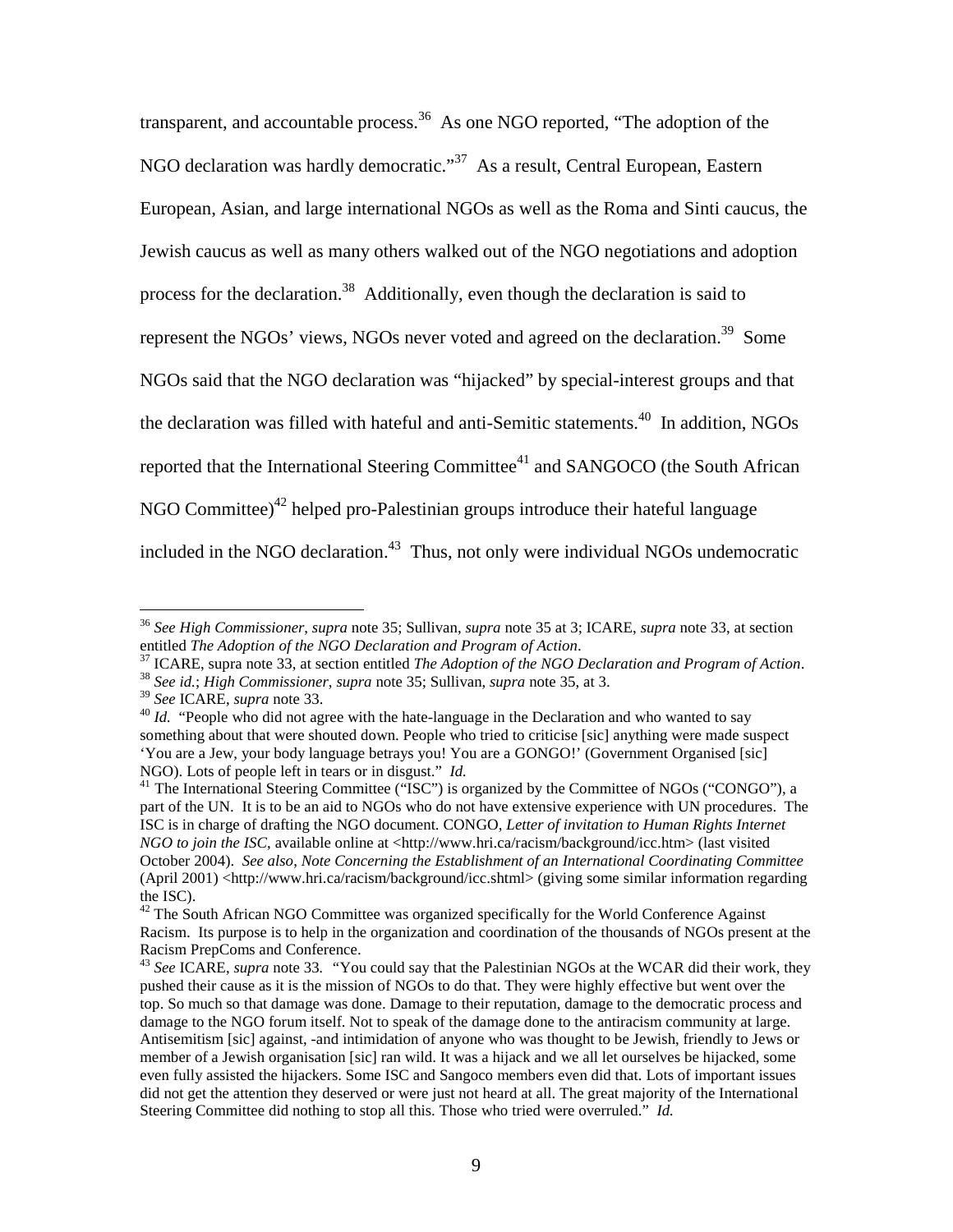transparent, and accountable process.<sup>36</sup> As one NGO reported, "The adoption of the NGO declaration was hardly democratic."<sup>37</sup> As a result, Central European, Eastern European, Asian, and large international NGOs as well as the Roma and Sinti caucus, the Jewish caucus as well as many others walked out of the NGO negotiations and adoption process for the declaration.<sup>38</sup> Additionally, even though the declaration is said to represent the NGOs' views, NGOs never voted and agreed on the declaration.<sup>39</sup> Some NGOs said that the NGO declaration was "hijacked" by special-interest groups and that the declaration was filled with hateful and anti-Semitic statements.<sup>40</sup> In addition, NGOs reported that the International Steering Committee<sup>41</sup> and SANGOCO (the South African NGO Committee)<sup>42</sup> helped pro-Palestinian groups introduce their hateful language included in the NGO declaration.<sup>43</sup> Thus, not only were individual NGOs undemocratic

<sup>36</sup> *See High Commissioner*, *supra* note 35; Sullivan, *supra* note 35 at 3; ICARE, *supra* note 33, at section

<sup>&</sup>lt;sup>37</sup> ICARE, supra note 33, at section entitled *The Adoption of the NGO Declaration and Program of Action*.<br><sup>38</sup> *See id.*; *High Commissioner, supra* note 35; Sullivan, *supra* note 35, at 3.<br><sup>39</sup> *See* ICARE, *supra* no

<sup>&</sup>lt;sup>40</sup> *Id.* "People who did not agree with the hate-language in the Declaration and who wanted to say something about that were shouted down. People who tried to criticise [sic] anything were made suspect 'You are a Jew, your body language betrays you! You are a GONGO!' (Government Organised [sic] NGO). Lots of people left in tears or in disgust."  $Id$ .

<sup>&</sup>lt;sup>41</sup> The International Steering Committee ("ISC") is organized by the Committee of NGOs ("CONGO"), a part of the UN. It is to be an aid to NGOs who do not have extensive experience with UN procedures. The ISC is in charge of drafting the NGO document. CONGO, *Letter of invitation to Human Rights Internet NGO to join the ISC*, available online at <http://www.hri.ca/racism/background/icc.htm> (last visited October 2004). *See also*, *Note Concerning the Establishment of an International Coordinating Committee* (April 2001) <http://www.hri.ca/racism/background/icc.shtml> (giving some similar information regarding the ISC).

 $42$  The South African NGO Committee was organized specifically for the World Conference Against Racism. Its purpose is to help in the organization and coordination of the thousands of NGOs present at the Racism PrepComs and Conference.

<sup>43</sup> *See* ICARE, *supra* note 33*. "*You could say that the Palestinian NGOs at the WCAR did their work, they pushed their cause as it is the mission of NGOs to do that. They were highly effective but went over the top. So much so that damage was done. Damage to their reputation, damage to the democratic process and damage to the NGO forum itself. Not to speak of the damage done to the antiracism community at large. Antisemitism [sic] against, -and intimidation of anyone who was thought to be Jewish, friendly to Jews or member of a Jewish organisation [sic] ran wild. It was a hijack and we all let ourselves be hijacked, some even fully assisted the hijackers. Some ISC and Sangoco members even did that. Lots of important issues did not get the attention they deserved or were just not heard at all. The great majority of the International Steering Committee did nothing to stop all this. Those who tried were overruled." *Id.*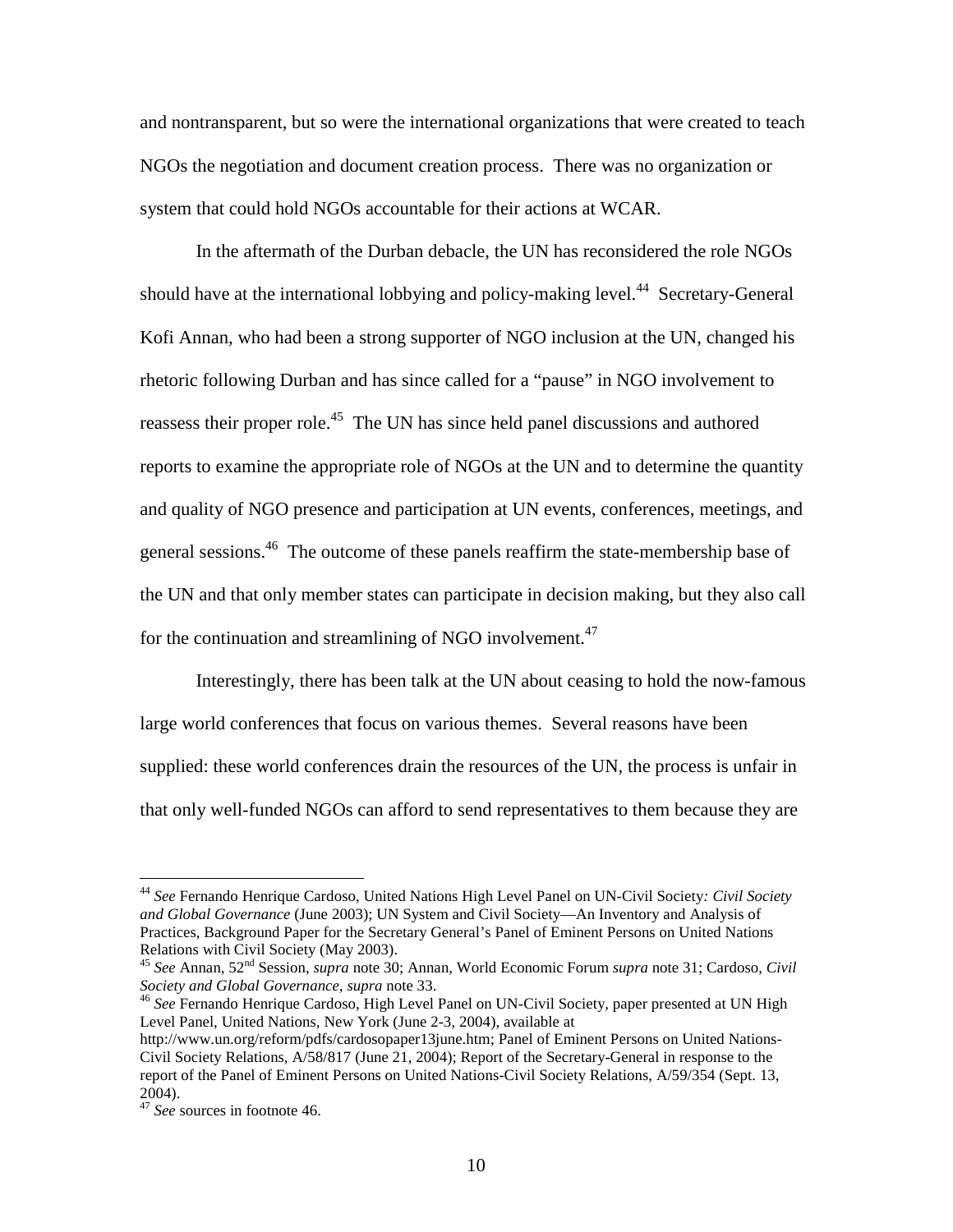and nontransparent, but so were the international organizations that were created to teach NGOs the negotiation and document creation process. There was no organization or system that could hold NGOs accountable for their actions at WCAR.

In the aftermath of the Durban debacle, the UN has reconsidered the role NGOs should have at the international lobbying and policy-making level.<sup>44</sup> Secretary-General Kofi Annan, who had been a strong supporter of NGO inclusion at the UN, changed his rhetoric following Durban and has since called for a "pause" in NGO involvement to reassess their proper role.<sup>45</sup> The UN has since held panel discussions and authored reports to examine the appropriate role of NGOs at the UN and to determine the quantity and quality of NGO presence and participation at UN events, conferences, meetings, and general sessions.46 The outcome of these panels reaffirm the state-membership base of the UN and that only member states can participate in decision making, but they also call for the continuation and streamlining of NGO involvement.<sup>47</sup>

Interestingly, there has been talk at the UN about ceasing to hold the now-famous large world conferences that focus on various themes. Several reasons have been supplied: these world conferences drain the resources of the UN, the process is unfair in that only well-funded NGOs can afford to send representatives to them because they are

<sup>44</sup> *See* Fernando Henrique Cardoso, United Nations High Level Panel on UN-Civil Society*: Civil Society and Global Governance* (June 2003); UN System and Civil Society—An Inventory and Analysis of Practices, Background Paper for the Secretary General's Panel of Eminent Persons on United Nations

<sup>&</sup>lt;sup>45</sup> *See* Annan, 52<sup>nd</sup> Session, *supra* note 30; Annan, World Economic Forum *supra* note 31; Cardoso, *Civil Society and Global Governance*, *supra* note 33.

<sup>&</sup>lt;sup>46</sup> See Fernando Henrique Cardoso, High Level Panel on UN-Civil Society, paper presented at UN High Level Panel, United Nations, New York (June 2-3, 2004), available at

http://www.un.org/reform/pdfs/cardosopaper13june.htm; Panel of Eminent Persons on United Nations-Civil Society Relations, A/58/817 (June 21, 2004); Report of the Secretary-General in response to the report of the Panel of Eminent Persons on United Nations-Civil Society Relations, A/59/354 (Sept. 13, 2004).

<sup>47</sup> *See* sources in footnote 46.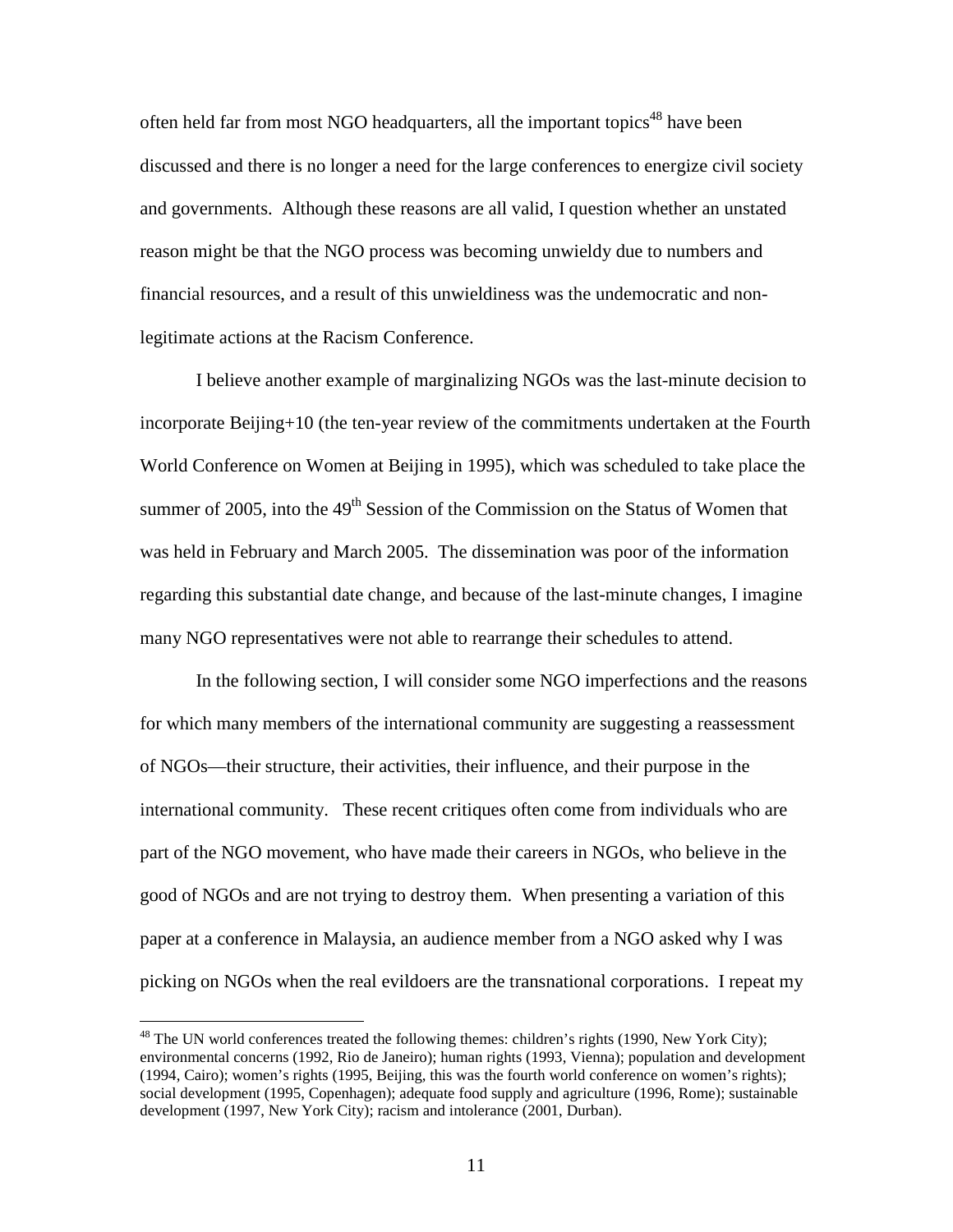often held far from most NGO headquarters, all the important topics<sup>48</sup> have been discussed and there is no longer a need for the large conferences to energize civil society and governments. Although these reasons are all valid, I question whether an unstated reason might be that the NGO process was becoming unwieldy due to numbers and financial resources, and a result of this unwieldiness was the undemocratic and nonlegitimate actions at the Racism Conference.

I believe another example of marginalizing NGOs was the last-minute decision to incorporate Beijing+10 (the ten-year review of the commitments undertaken at the Fourth World Conference on Women at Beijing in 1995), which was scheduled to take place the summer of 2005, into the  $49<sup>th</sup>$  Session of the Commission on the Status of Women that was held in February and March 2005. The dissemination was poor of the information regarding this substantial date change, and because of the last-minute changes, I imagine many NGO representatives were not able to rearrange their schedules to attend.

In the following section, I will consider some NGO imperfections and the reasons for which many members of the international community are suggesting a reassessment of NGOs—their structure, their activities, their influence, and their purpose in the international community. These recent critiques often come from individuals who are part of the NGO movement, who have made their careers in NGOs, who believe in the good of NGOs and are not trying to destroy them. When presenting a variation of this paper at a conference in Malaysia, an audience member from a NGO asked why I was picking on NGOs when the real evildoers are the transnational corporations. I repeat my

<sup>&</sup>lt;sup>48</sup> The UN world conferences treated the following themes: children's rights (1990, New York City); environmental concerns (1992, Rio de Janeiro); human rights (1993, Vienna); population and development (1994, Cairo); women's rights (1995, Beijing, this was the fourth world conference on women's rights); social development (1995, Copenhagen); adequate food supply and agriculture (1996, Rome); sustainable development (1997, New York City); racism and intolerance (2001, Durban).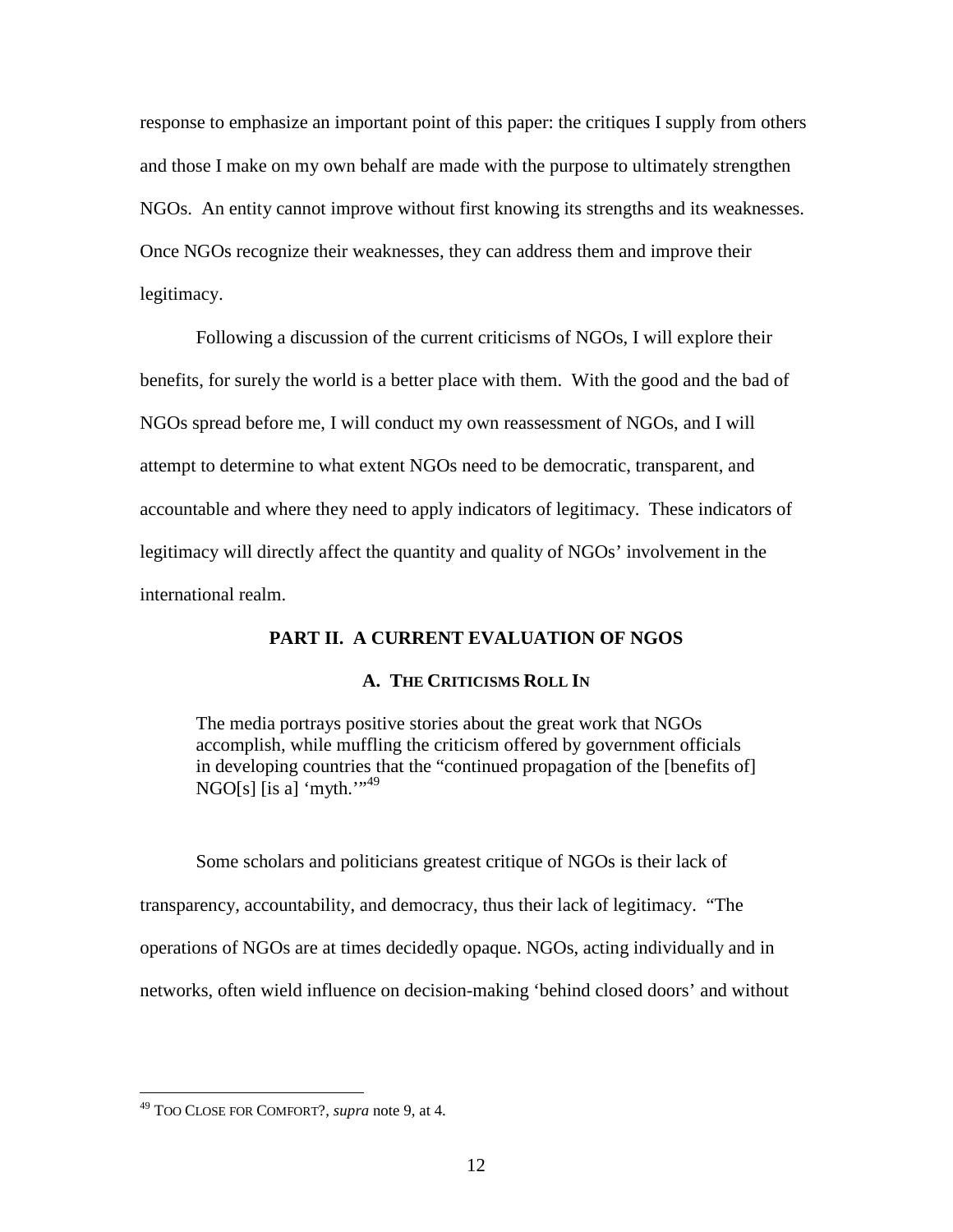response to emphasize an important point of this paper: the critiques I supply from others and those I make on my own behalf are made with the purpose to ultimately strengthen NGOs. An entity cannot improve without first knowing its strengths and its weaknesses. Once NGOs recognize their weaknesses, they can address them and improve their legitimacy.

Following a discussion of the current criticisms of NGOs, I will explore their benefits, for surely the world is a better place with them. With the good and the bad of NGOs spread before me, I will conduct my own reassessment of NGOs, and I will attempt to determine to what extent NGOs need to be democratic, transparent, and accountable and where they need to apply indicators of legitimacy. These indicators of legitimacy will directly affect the quantity and quality of NGOs' involvement in the international realm.

# **PART II. A CURRENT EVALUATION OF NGOS**

# **A. THE CRITICISMS ROLL IN**

The media portrays positive stories about the great work that NGOs accomplish, while muffling the criticism offered by government officials in developing countries that the "continued propagation of the [benefits of] NGO[s] [is a] 'myth." $^{1,49}$ 

Some scholars and politicians greatest critique of NGOs is their lack of transparency, accountability, and democracy, thus their lack of legitimacy. "The operations of NGOs are at times decidedly opaque. NGOs, acting individually and in networks, often wield influence on decision-making 'behind closed doors' and without

<sup>49</sup> TOO CLOSE FOR COMFORT?, *supra* note 9, at 4.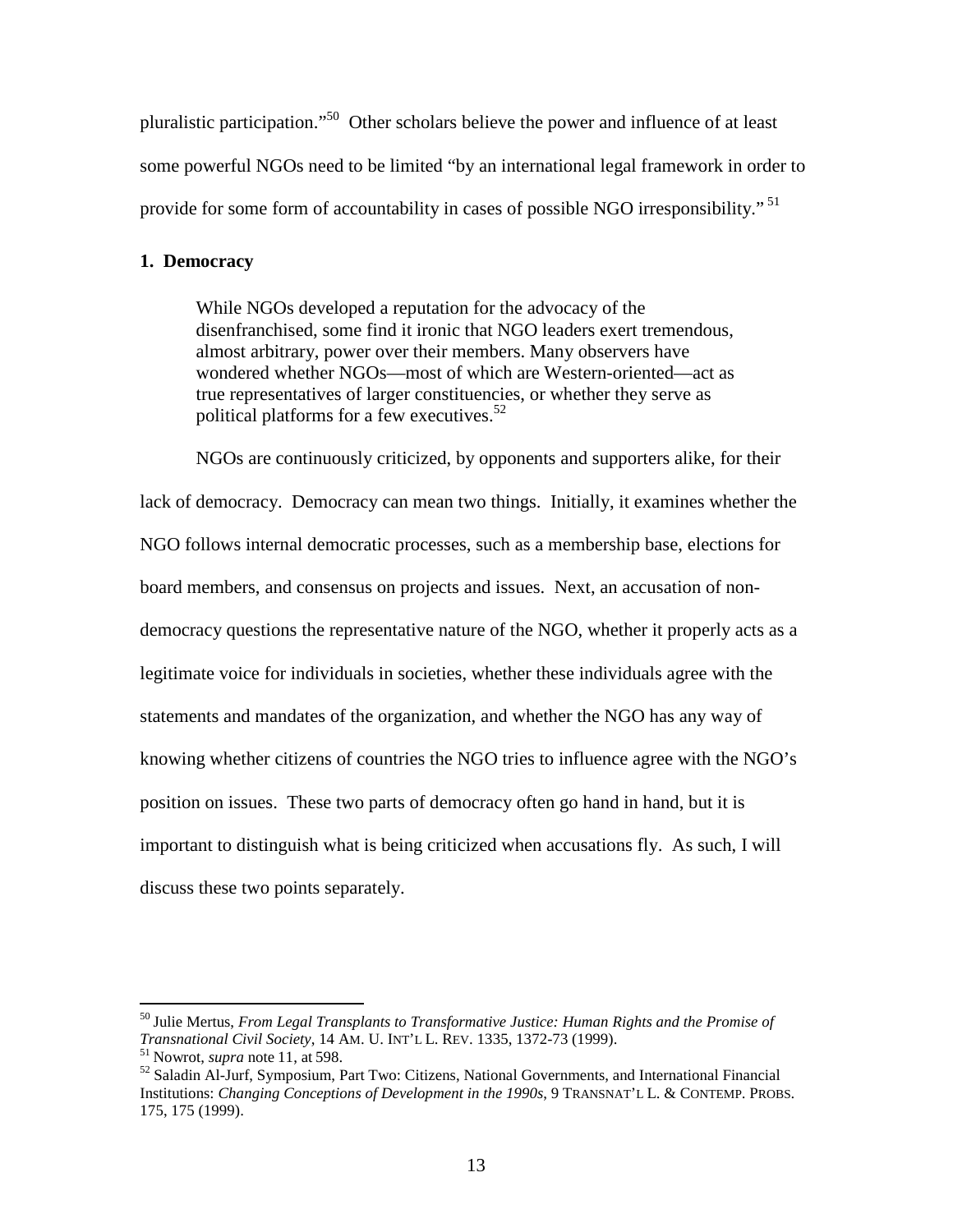pluralistic participation."50 Other scholars believe the power and influence of at least some powerful NGOs need to be limited "by an international legal framework in order to provide for some form of accountability in cases of possible NGO irresponsibility."<sup>51</sup>

# **1. Democracy**

While NGOs developed a reputation for the advocacy of the disenfranchised, some find it ironic that NGO leaders exert tremendous, almost arbitrary, power over their members. Many observers have wondered whether NGOs—most of which are Western-oriented—act as true representatives of larger constituencies, or whether they serve as political platforms for a few executives.<sup>52</sup>

NGOs are continuously criticized, by opponents and supporters alike, for their lack of democracy. Democracy can mean two things. Initially, it examines whether the NGO follows internal democratic processes, such as a membership base, elections for board members, and consensus on projects and issues. Next, an accusation of nondemocracy questions the representative nature of the NGO, whether it properly acts as a legitimate voice for individuals in societies, whether these individuals agree with the statements and mandates of the organization, and whether the NGO has any way of knowing whether citizens of countries the NGO tries to influence agree with the NGO's position on issues. These two parts of democracy often go hand in hand, but it is important to distinguish what is being criticized when accusations fly. As such, I will discuss these two points separately.

<sup>&</sup>lt;sup>50</sup> Julie Mertus, *From Legal Transplants to Transformative Justice: Human Rights and the Promise of Transnational Civil Society, 14 AM. U. INT'L L. REV. 1335, 1372-73 (1999).* 

<sup>&</sup>lt;sup>51</sup> Nowrot, *supra* note 11, at 598.<br><sup>52</sup> Saladin Al-Jurf, Symposium, Part Two: Citizens, National Governments, and International Financial Institutions: *Changing Conceptions of Development in the 1990s*, 9 TRANSNAT'L L. & CONTEMP. PROBS. 175, 175 (1999).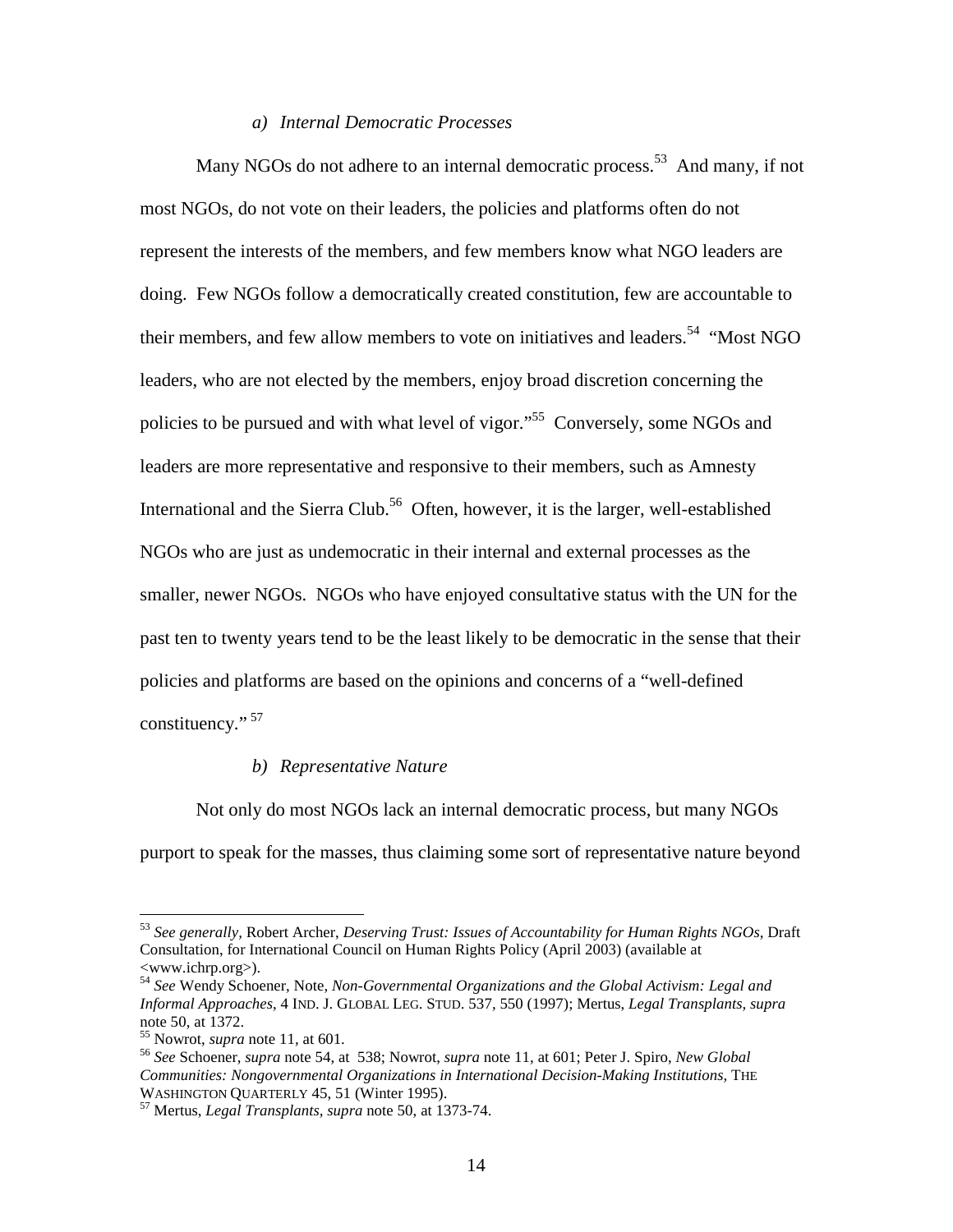# *a) Internal Democratic Processes*

Many NGOs do not adhere to an internal democratic process.<sup>53</sup> And many, if not most NGOs, do not vote on their leaders, the policies and platforms often do not represent the interests of the members, and few members know what NGO leaders are doing. Few NGOs follow a democratically created constitution, few are accountable to their members, and few allow members to vote on initiatives and leaders.<sup>54</sup> "Most NGO" leaders, who are not elected by the members, enjoy broad discretion concerning the policies to be pursued and with what level of vigor."<sup>55</sup> Conversely, some NGOs and leaders are more representative and responsive to their members, such as Amnesty International and the Sierra Club.<sup>56</sup> Often, however, it is the larger, well-established NGOs who are just as undemocratic in their internal and external processes as the smaller, newer NGOs. NGOs who have enjoyed consultative status with the UN for the past ten to twenty years tend to be the least likely to be democratic in the sense that their policies and platforms are based on the opinions and concerns of a "well-defined constituency." 57

#### *b) Representative Nature*

Not only do most NGOs lack an internal democratic process, but many NGOs purport to speak for the masses, thus claiming some sort of representative nature beyond

<sup>53</sup> *See generally,* Robert Archer, *Deserving Trust: Issues of Accountability for Human Rights NGOs*, Draft Consultation, for International Council on Human Rights Policy (April 2003) (available at <www.ichrp.org>).

<sup>54</sup> *See* Wendy Schoener, Note, *Non-Governmental Organizations and the Global Activism: Legal and Informal Approaches*, 4 IND. J. GLOBAL LEG. STUD. 537, 550 (1997); Mertus, *Legal Transplants, supra*  note 50, at 1372.<br><sup>55</sup> Nowrot, *supra* note 11, at 601.

<sup>55</sup> Nowrot, *supra* note 11, at 601. <sup>56</sup> *See* Schoener, *supra* note 54, at 538; Nowrot, *supra* note 11, at 601; Peter J. Spiro, *New Global Communities: Nongovernmental Organizations in International Decision-Making Institutions, THE WASHINGTON OUARTERLY 45, 51 (Winter 1995).* 

<sup>&</sup>lt;sup>57</sup> Mertus, *Legal Transplants, supra* note 50, at 1373-74.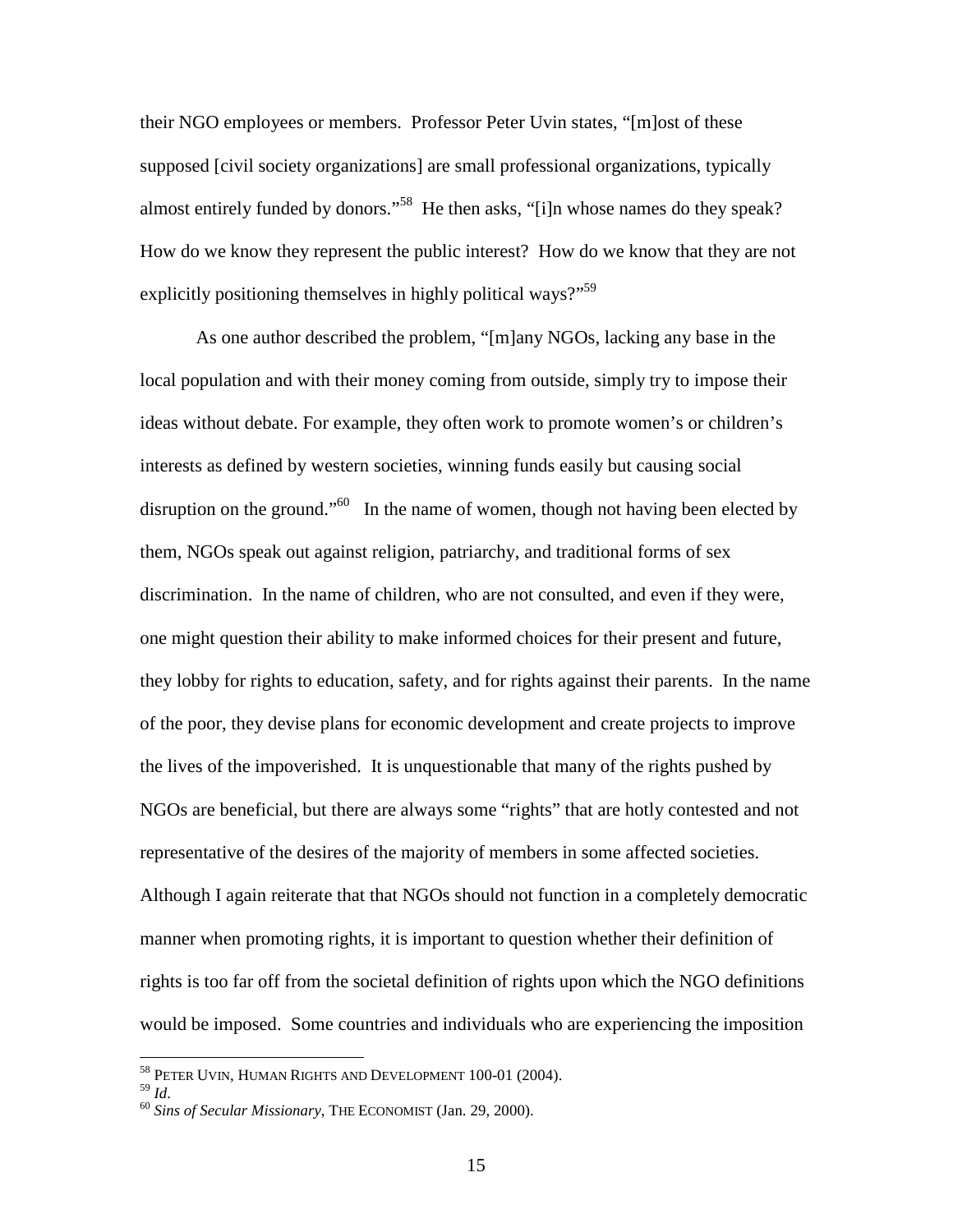their NGO employees or members. Professor Peter Uvin states, "[m]ost of these supposed [civil society organizations] are small professional organizations, typically almost entirely funded by donors."58 He then asks, "[i]n whose names do they speak? How do we know they represent the public interest? How do we know that they are not explicitly positioning themselves in highly political ways?"<sup>59</sup>

As one author described the problem, "[m]any NGOs, lacking any base in the local population and with their money coming from outside, simply try to impose their ideas without debate. For example, they often work to promote women's or children's interests as defined by western societies, winning funds easily but causing social disruption on the ground."<sup>60</sup> In the name of women, though not having been elected by them, NGOs speak out against religion, patriarchy, and traditional forms of sex discrimination. In the name of children, who are not consulted, and even if they were, one might question their ability to make informed choices for their present and future, they lobby for rights to education, safety, and for rights against their parents. In the name of the poor, they devise plans for economic development and create projects to improve the lives of the impoverished. It is unquestionable that many of the rights pushed by NGOs are beneficial, but there are always some "rights" that are hotly contested and not representative of the desires of the majority of members in some affected societies. Although I again reiterate that that NGOs should not function in a completely democratic manner when promoting rights, it is important to question whether their definition of rights is too far off from the societal definition of rights upon which the NGO definitions would be imposed. Some countries and individuals who are experiencing the imposition

 $^{58}$  PETER UVIN, HUMAN RIGHTS AND DEVELOPMENT 100-01 (2004).  $^{59}$   $_{\rm LJ}$ 

<sup>59</sup> *Id*. <sup>60</sup> *Sins of Secular Missionary*, THE ECONOMIST (Jan. 29, 2000).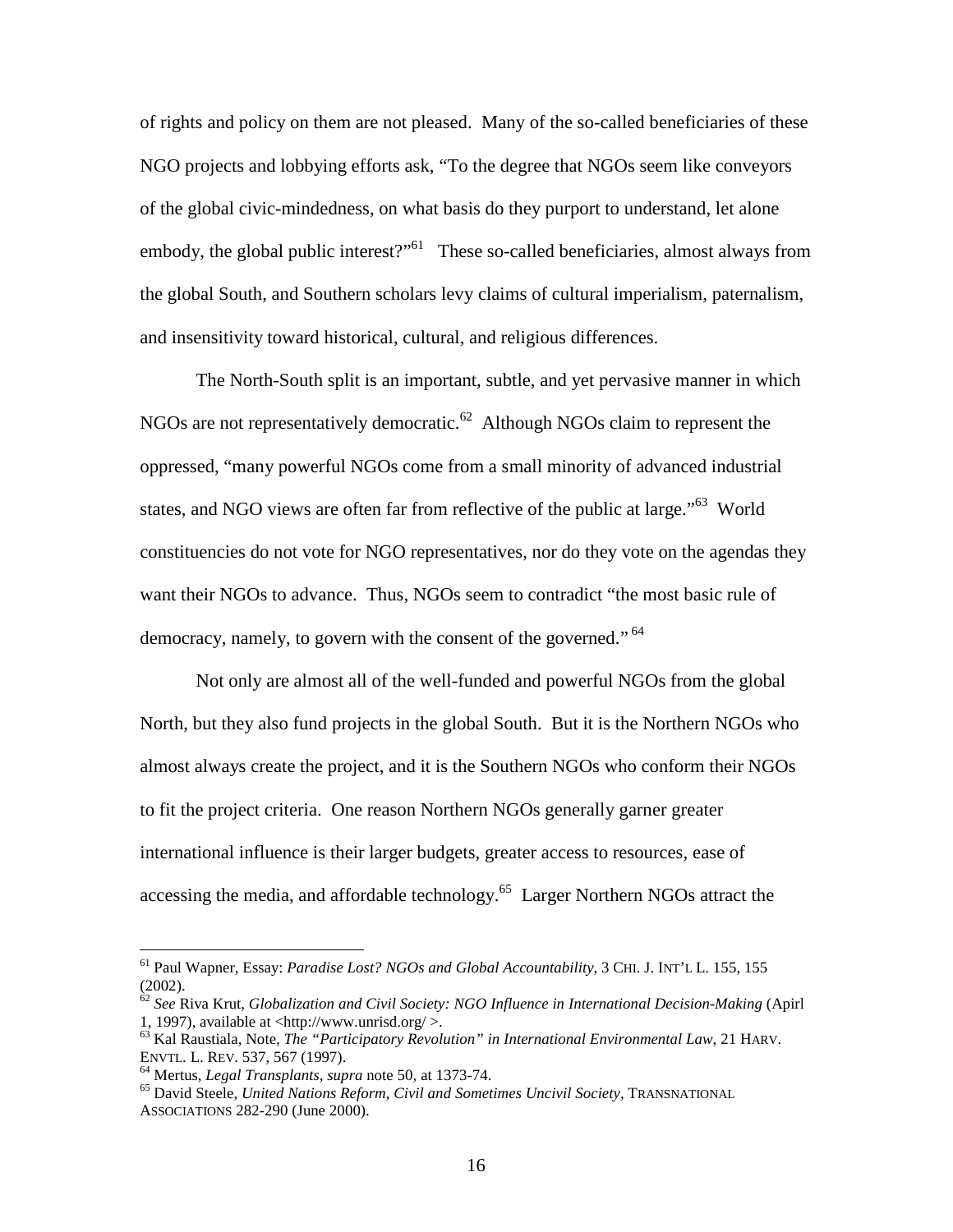of rights and policy on them are not pleased. Many of the so-called beneficiaries of these NGO projects and lobbying efforts ask, "To the degree that NGOs seem like conveyors of the global civic-mindedness, on what basis do they purport to understand, let alone embody, the global public interest?"<sup>61</sup> These so-called beneficiaries, almost always from the global South, and Southern scholars levy claims of cultural imperialism, paternalism, and insensitivity toward historical, cultural, and religious differences.

The North-South split is an important, subtle, and yet pervasive manner in which NGOs are not representatively democratic.<sup>62</sup> Although NGOs claim to represent the oppressed, "many powerful NGOs come from a small minority of advanced industrial states, and NGO views are often far from reflective of the public at large."<sup>63</sup> World constituencies do not vote for NGO representatives, nor do they vote on the agendas they want their NGOs to advance. Thus, NGOs seem to contradict "the most basic rule of democracy, namely, to govern with the consent of the governed."<sup>64</sup>

Not only are almost all of the well-funded and powerful NGOs from the global North, but they also fund projects in the global South. But it is the Northern NGOs who almost always create the project, and it is the Southern NGOs who conform their NGOs to fit the project criteria. One reason Northern NGOs generally garner greater international influence is their larger budgets, greater access to resources, ease of accessing the media, and affordable technology.<sup>65</sup> Larger Northern NGOs attract the

<sup>61</sup> Paul Wapner, Essay: *Paradise Lost? NGOs and Global Accountability*, 3 CHI. J. INT'L L. 155, 155 (2002).

<sup>62</sup> *See* Riva Krut, *Globalization and Civil Society: NGO Influence in International Decision-Making* (Apirl 1, 1997), available at <http://www.unrisd.org/ >.

<sup>&</sup>lt;sup>63</sup> Kal Raustiala, Note, *The "Participatory Revolution" in International Environmental Law*, 21 HARV.<br>ENVTL. L. REV. 537, 567 (1997).

<sup>&</sup>lt;sup>64</sup> Mertus, *Legal Transplants, supra* note 50, at 1373-74.<br><sup>65</sup> David Steele, *United Nations Reform, Civil and Sometimes Uncivil Society*, TRANSNATIONAL ASSOCIATIONS 282-290 (June 2000).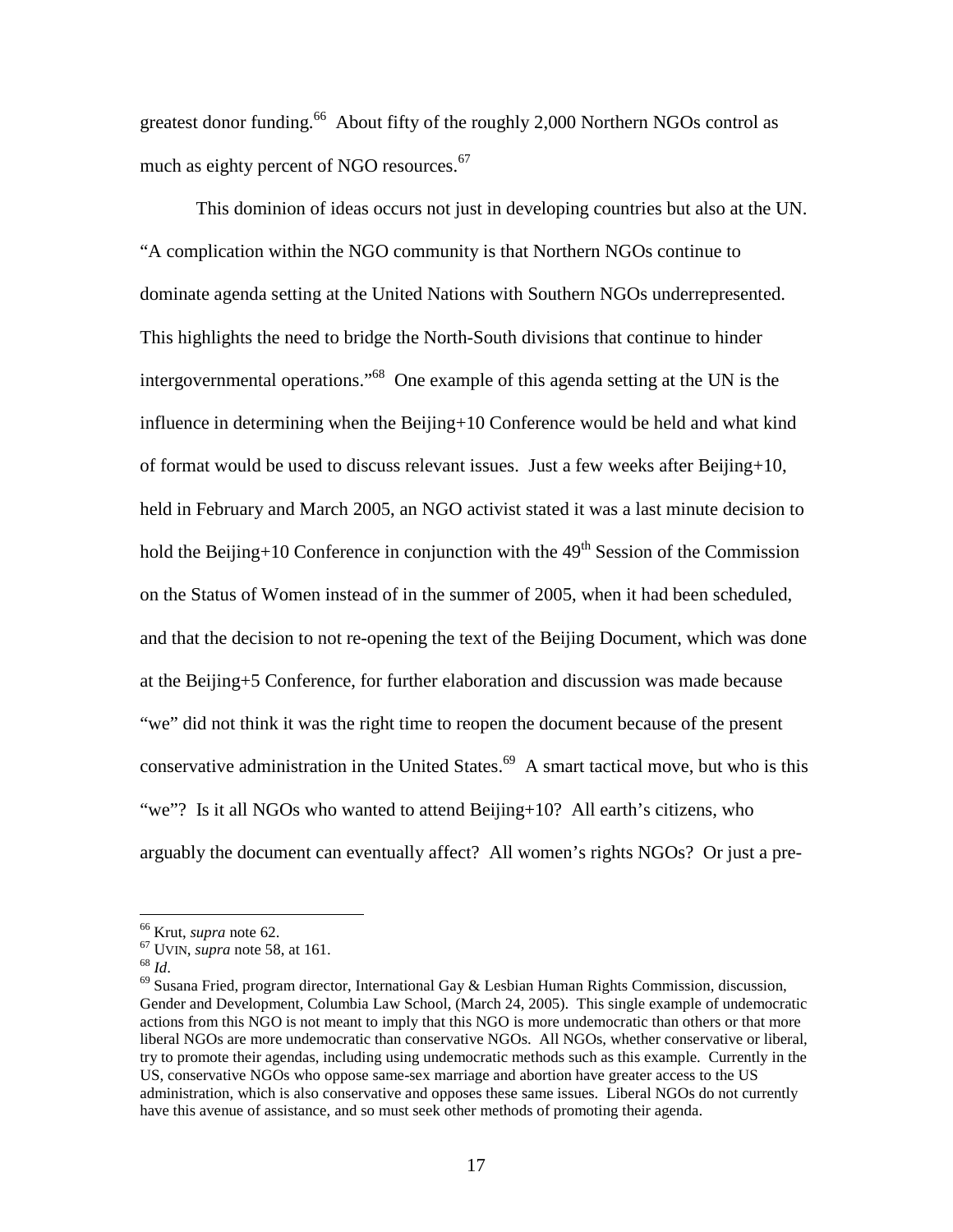greatest donor funding.<sup>66</sup> About fifty of the roughly 2,000 Northern NGOs control as much as eighty percent of NGO resources.<sup>67</sup>

This dominion of ideas occurs not just in developing countries but also at the UN. "A complication within the NGO community is that Northern NGOs continue to dominate agenda setting at the United Nations with Southern NGOs underrepresented. This highlights the need to bridge the North-South divisions that continue to hinder intergovernmental operations."68 One example of this agenda setting at the UN is the influence in determining when the Beijing+10 Conference would be held and what kind of format would be used to discuss relevant issues. Just a few weeks after Beijing+10, held in February and March 2005, an NGO activist stated it was a last minute decision to hold the Beijing+10 Conference in conjunction with the  $49<sup>th</sup>$  Session of the Commission on the Status of Women instead of in the summer of 2005, when it had been scheduled, and that the decision to not re-opening the text of the Beijing Document, which was done at the Beijing+5 Conference, for further elaboration and discussion was made because "we" did not think it was the right time to reopen the document because of the present conservative administration in the United States.<sup>69</sup> A smart tactical move, but who is this "we"? Is it all NGOs who wanted to attend Beijing+10? All earth's citizens, who arguably the document can eventually affect? All women's rights NGOs? Or just a pre-

<sup>&</sup>lt;sup>66</sup> Krut, *supra* note 62.<br><sup>67</sup> UVIN, *supra* note 58, at 161.<br><sup>68</sup> *Id*. <sup>69</sup> Susana Fried, program director, International Gay & Lesbian Human Rights Commission, discussion, Gender and Development, Columbia Law School, (March 24, 2005). This single example of undemocratic actions from this NGO is not meant to imply that this NGO is more undemocratic than others or that more liberal NGOs are more undemocratic than conservative NGOs. All NGOs, whether conservative or liberal, try to promote their agendas, including using undemocratic methods such as this example. Currently in the US, conservative NGOs who oppose same-sex marriage and abortion have greater access to the US administration, which is also conservative and opposes these same issues. Liberal NGOs do not currently have this avenue of assistance, and so must seek other methods of promoting their agenda.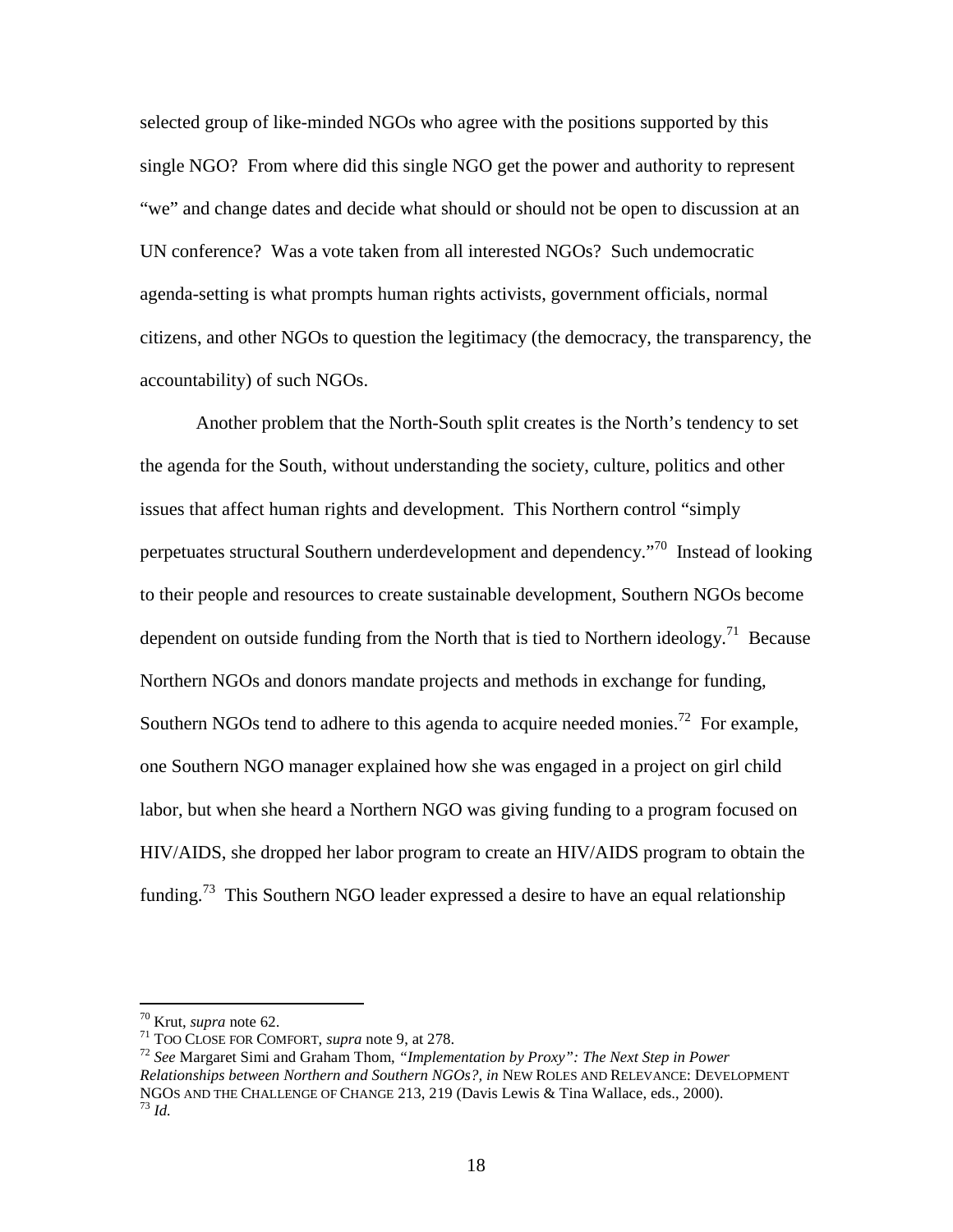selected group of like-minded NGOs who agree with the positions supported by this single NGO? From where did this single NGO get the power and authority to represent "we" and change dates and decide what should or should not be open to discussion at an UN conference? Was a vote taken from all interested NGOs? Such undemocratic agenda-setting is what prompts human rights activists, government officials, normal citizens, and other NGOs to question the legitimacy (the democracy, the transparency, the accountability) of such NGOs.

Another problem that the North-South split creates is the North's tendency to set the agenda for the South, without understanding the society, culture, politics and other issues that affect human rights and development. This Northern control "simply perpetuates structural Southern underdevelopment and dependency."<sup>70</sup> Instead of looking to their people and resources to create sustainable development, Southern NGOs become dependent on outside funding from the North that is tied to Northern ideology.<sup>71</sup> Because Northern NGOs and donors mandate projects and methods in exchange for funding, Southern NGOs tend to adhere to this agenda to acquire needed monies.<sup>72</sup> For example, one Southern NGO manager explained how she was engaged in a project on girl child labor, but when she heard a Northern NGO was giving funding to a program focused on HIV/AIDS, she dropped her labor program to create an HIV/AIDS program to obtain the funding.<sup>73</sup> This Southern NGO leader expressed a desire to have an equal relationship

<sup>70</sup> Krut, *supra* note 62. <sup>71</sup> TOO CLOSE FOR COMFORT, *supra* note 9, at 278. <sup>72</sup> *See* Margaret Simi and Graham Thom, *"Implementation by Proxy": The Next Step in Power Relationships between Northern and Southern NGOs?, in* NEW ROLES AND RELEVANCE: DEVELOPMENT NGOS AND THE CHALLENGE OF CHANGE 213, 219 (Davis Lewis & Tina Wallace, eds., 2000). <sup>73</sup> *Id.*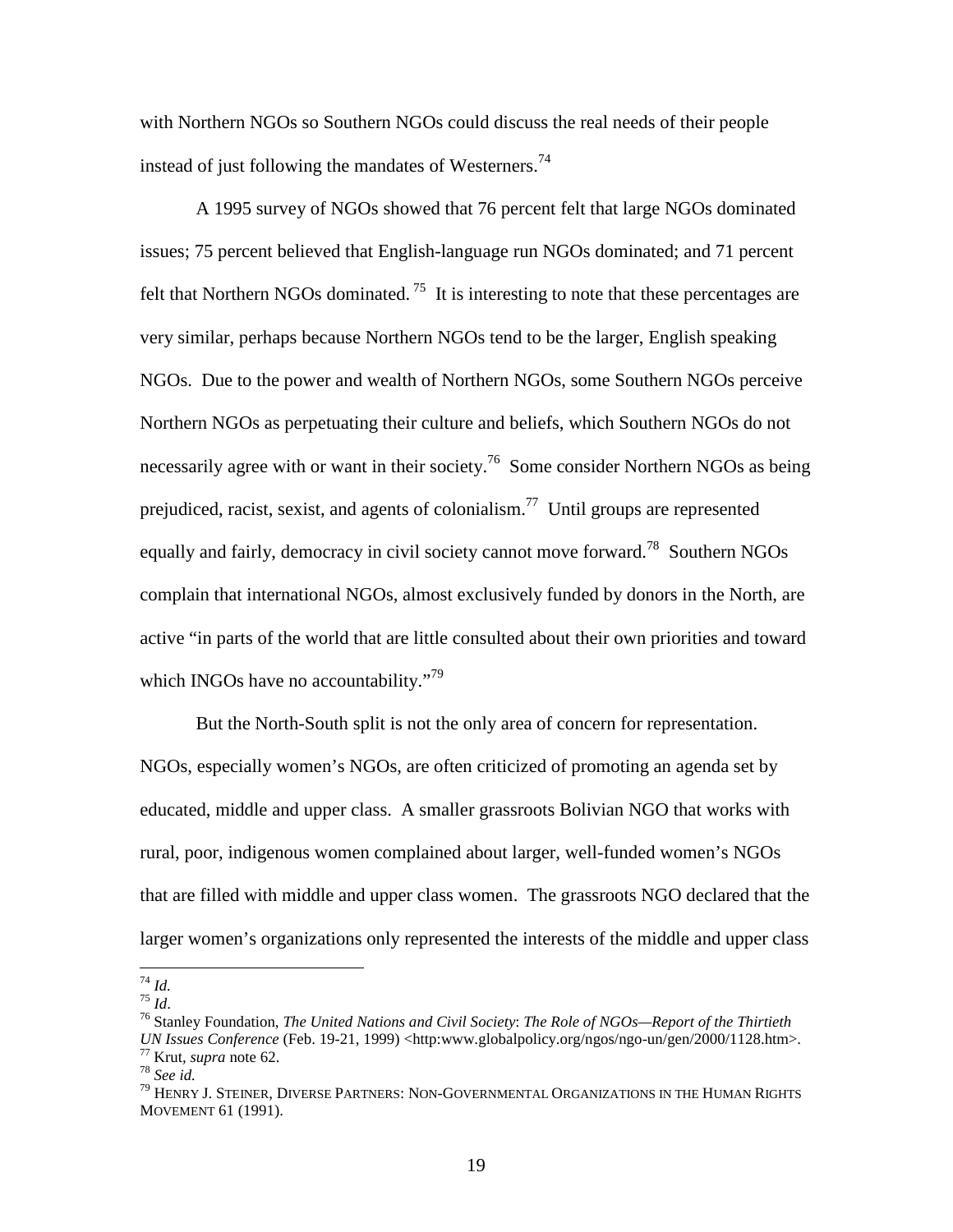with Northern NGOs so Southern NGOs could discuss the real needs of their people instead of just following the mandates of Westerners.<sup>74</sup>

A 1995 survey of NGOs showed that 76 percent felt that large NGOs dominated issues; 75 percent believed that English-language run NGOs dominated; and 71 percent felt that Northern NGOs dominated.<sup>75</sup> It is interesting to note that these percentages are very similar, perhaps because Northern NGOs tend to be the larger, English speaking NGOs. Due to the power and wealth of Northern NGOs, some Southern NGOs perceive Northern NGOs as perpetuating their culture and beliefs, which Southern NGOs do not necessarily agree with or want in their society.<sup>76</sup> Some consider Northern NGOs as being prejudiced, racist, sexist, and agents of colonialism.<sup>77</sup> Until groups are represented equally and fairly, democracy in civil society cannot move forward.<sup>78</sup> Southern NGOs complain that international NGOs, almost exclusively funded by donors in the North, are active "in parts of the world that are little consulted about their own priorities and toward which INGOs have no accountability."<sup>79</sup>

But the North-South split is not the only area of concern for representation. NGOs, especially women's NGOs, are often criticized of promoting an agenda set by educated, middle and upper class. A smaller grassroots Bolivian NGO that works with rural, poor, indigenous women complained about larger, well-funded women's NGOs that are filled with middle and upper class women. The grassroots NGO declared that the larger women's organizations only represented the interests of the middle and upper class

<sup>74</sup> *Id.* <sup>75</sup> *Id*. 76 Stanley Foundation, *The United Nations and Civil Society*: *The Role of NGOs—Report of the Thirtieth* 

UN Issues Conference (Feb. 19-21, 1999) <http:www.globalpolicy.org/ngos/ngo-un/gen/2000/1128.htm>.<br>
<sup>77</sup> Krut, *supra* note 62.<br>
<sup>78</sup> See id.<br>
<sup>79</sup> HENRY J. STEINER. DIVERSE PARTNERS: NON-GOVERNMENTAL ORGANIZATIONS IN THE

MOVEMENT 61 (1991).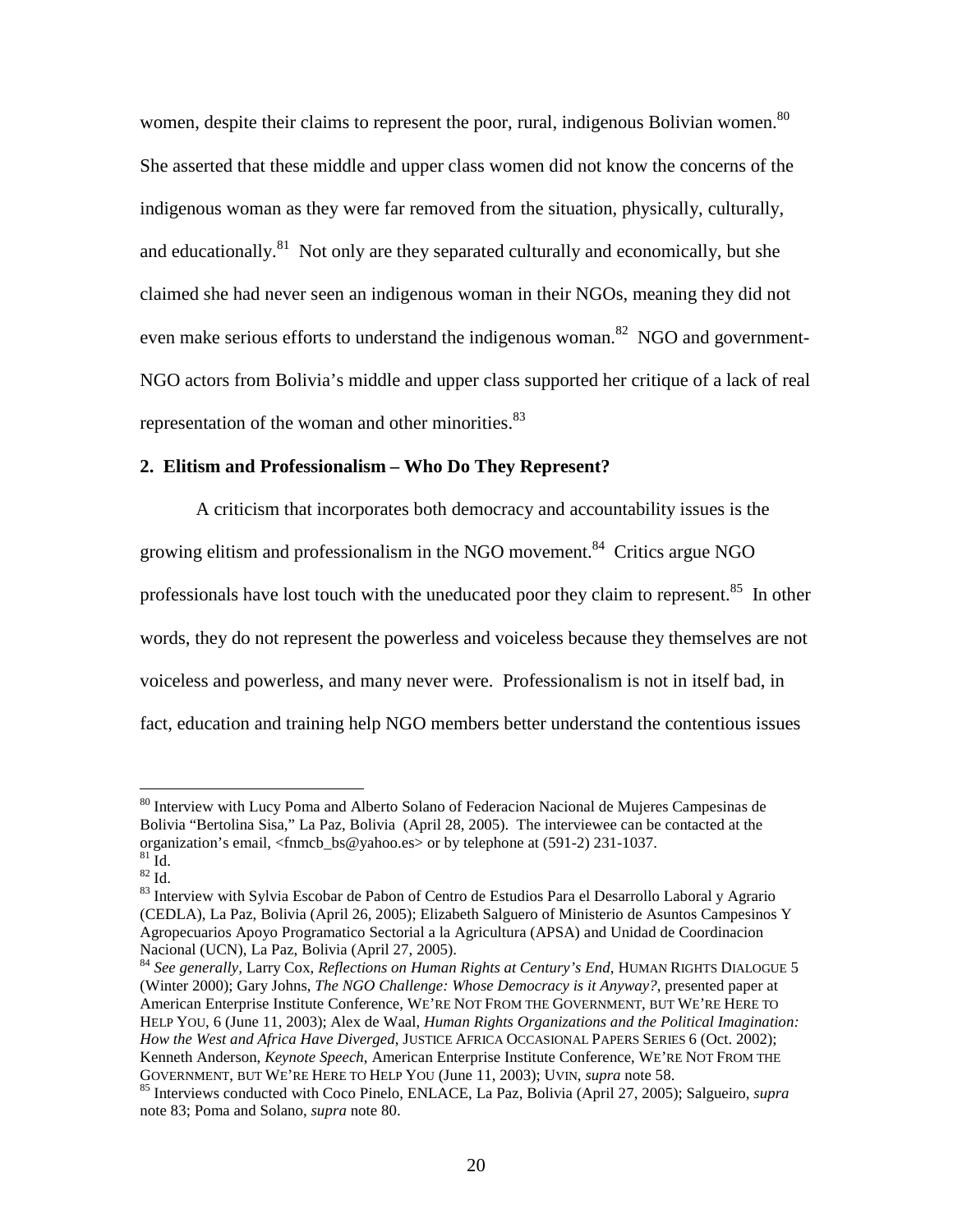women, despite their claims to represent the poor, rural, indigenous Bolivian women.<sup>80</sup> She asserted that these middle and upper class women did not know the concerns of the indigenous woman as they were far removed from the situation, physically, culturally, and educationally. $81$  Not only are they separated culturally and economically, but she claimed she had never seen an indigenous woman in their NGOs, meaning they did not even make serious efforts to understand the indigenous woman.<sup>82</sup> NGO and government-NGO actors from Bolivia's middle and upper class supported her critique of a lack of real representation of the woman and other minorities.<sup>83</sup>

# **2. Elitism and Professionalism – Who Do They Represent?**

A criticism that incorporates both democracy and accountability issues is the growing elitism and professionalism in the NGO movement.<sup>84</sup> Critics argue NGO professionals have lost touch with the uneducated poor they claim to represent.<sup>85</sup> In other words, they do not represent the powerless and voiceless because they themselves are not voiceless and powerless, and many never were. Professionalism is not in itself bad, in fact, education and training help NGO members better understand the contentious issues

<sup>84</sup> *See generally,* Larry Cox, *Reflections on Human Rights at Century's End*, HUMAN RIGHTS DIALOGUE 5 (Winter 2000); Gary Johns, *The NGO Challenge: Whose Democracy is it Anyway?*, presented paper at American Enterprise Institute Conference, WE'RE NOT FROM THE GOVERNMENT, BUT WE'RE HERE TO HELP YOU, 6 (June 11, 2003); Alex de Waal, *Human Rights Organizations and the Political Imagination: How the West and Africa Have Diverged*, JUSTICE AFRICA OCCASIONAL PAPERS SERIES 6 (Oct. 2002); Kenneth Anderson, *Keynote Speech*, American Enterprise Institute Conference, WE'RE NOT FROM THE GOVERNMENT, BUT WE'RE HERE TO HELP YOU (June 11, 2003); UVIN, *supra* note 58.

<sup>&</sup>lt;sup>80</sup> Interview with Lucy Poma and Alberto Solano of Federacion Nacional de Mujeres Campesinas de Bolivia "Bertolina Sisa," La Paz, Bolivia (April 28, 2005). The interviewee can be contacted at the organization's email, <fnmcb\_bs@yahoo.es> or by telephone at (591-2) 231-1037.

 $rac{81}{82}$  Id.

<sup>83</sup> Interview with Sylvia Escobar de Pabon of Centro de Estudios Para el Desarrollo Laboral y Agrario (CEDLA), La Paz, Bolivia (April 26, 2005); Elizabeth Salguero of Ministerio de Asuntos Campesinos Y Agropecuarios Apoyo Programatico Sectorial a la Agricultura (APSA) and Unidad de Coordinacion Nacional (UCN), La Paz, Bolivia (April 27, 2005).

<sup>&</sup>lt;sup>85</sup> Interviews conducted with Coco Pinelo, ENLACE, La Paz, Bolivia (April 27, 2005); Salgueiro, *supra* note 83; Poma and Solano, *supra* note 80.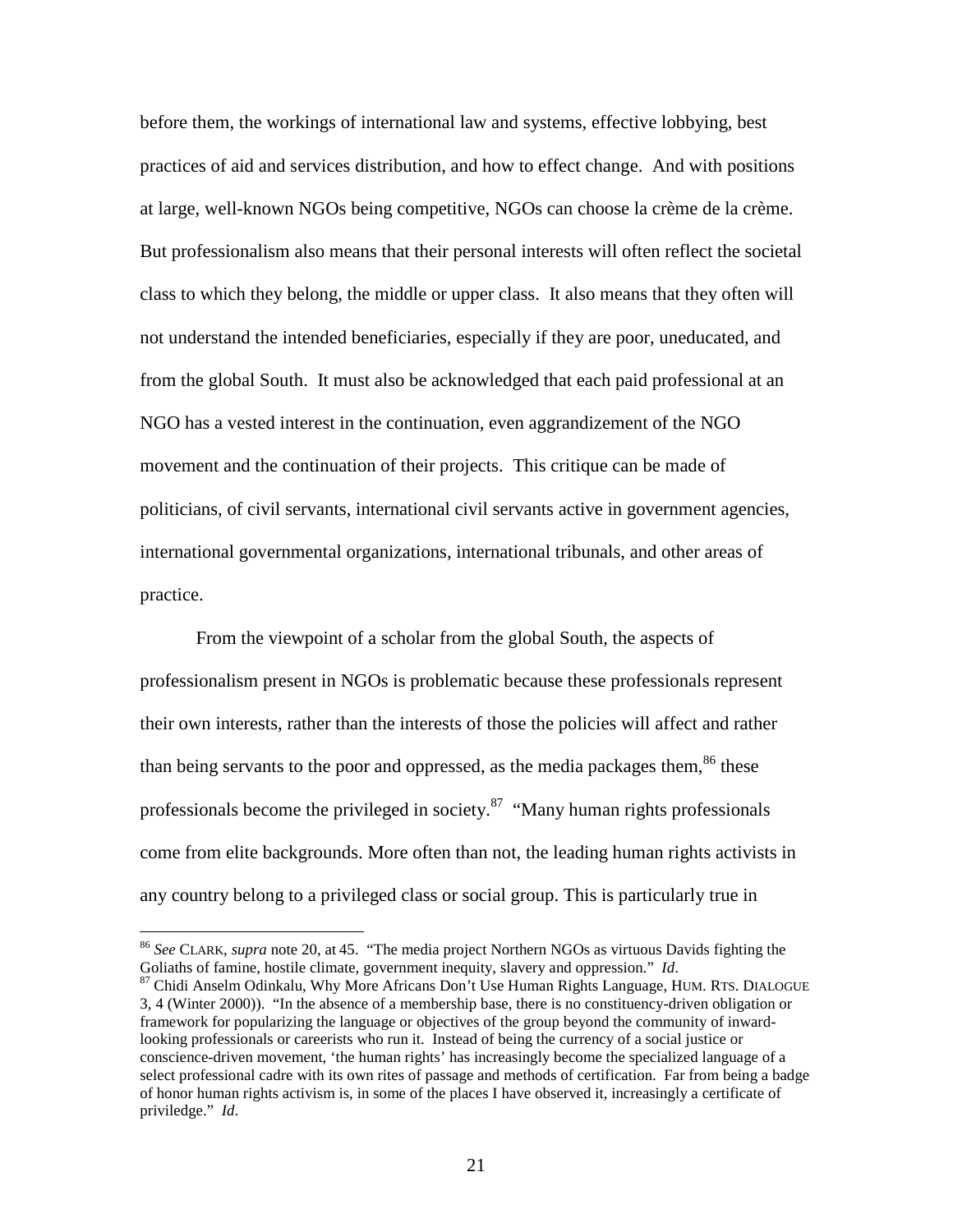before them, the workings of international law and systems, effective lobbying, best practices of aid and services distribution, and how to effect change. And with positions at large, well-known NGOs being competitive, NGOs can choose la crème de la crème. But professionalism also means that their personal interests will often reflect the societal class to which they belong, the middle or upper class. It also means that they often will not understand the intended beneficiaries, especially if they are poor, uneducated, and from the global South. It must also be acknowledged that each paid professional at an NGO has a vested interest in the continuation, even aggrandizement of the NGO movement and the continuation of their projects. This critique can be made of politicians, of civil servants, international civil servants active in government agencies, international governmental organizations, international tribunals, and other areas of practice.

From the viewpoint of a scholar from the global South, the aspects of professionalism present in NGOs is problematic because these professionals represent their own interests, rather than the interests of those the policies will affect and rather than being servants to the poor and oppressed, as the media packages them,  $86$  these professionals become the privileged in society. $87$  "Many human rights professionals come from elite backgrounds. More often than not, the leading human rights activists in any country belong to a privileged class or social group. This is particularly true in

<sup>&</sup>lt;sup>86</sup> *See* CLARK, *supra* note 20, at 45. "The media project Northern NGOs as virtuous Davids fighting the Goliaths of famine, hostile climate, government inequity, slavery and oppression." *Id*.

<sup>&</sup>lt;sup>87</sup> Chidi Anselm Odinkalu, Why More Africans Don't Use Human Rights Language, HUM. RTS. DIALOGUE 3, 4 (Winter 2000)). "In the absence of a membership base, there is no constituency-driven obligation or framework for popularizing the language or objectives of the group beyond the community of inwardlooking professionals or careerists who run it. Instead of being the currency of a social justice or conscience-driven movement, 'the human rights' has increasingly become the specialized language of a select professional cadre with its own rites of passage and methods of certification. Far from being a badge of honor human rights activism is, in some of the places I have observed it, increasingly a certificate of priviledge." *Id*.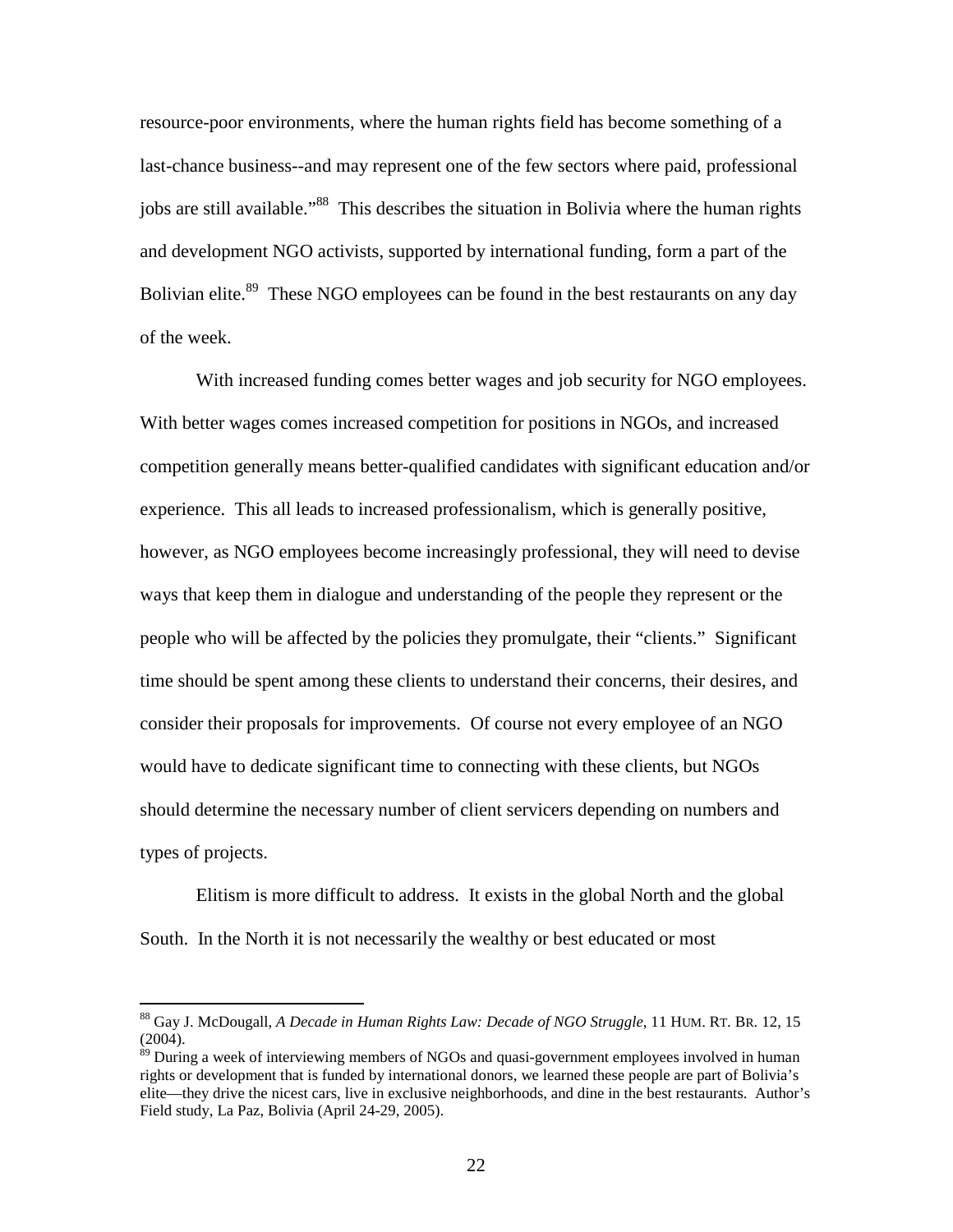resource-poor environments, where the human rights field has become something of a last-chance business--and may represent one of the few sectors where paid, professional jobs are still available."<sup>88</sup> This describes the situation in Bolivia where the human rights and development NGO activists, supported by international funding, form a part of the Bolivian elite.<sup>89</sup> These NGO employees can be found in the best restaurants on any day of the week.

With increased funding comes better wages and job security for NGO employees. With better wages comes increased competition for positions in NGOs, and increased competition generally means better-qualified candidates with significant education and/or experience. This all leads to increased professionalism, which is generally positive, however, as NGO employees become increasingly professional, they will need to devise ways that keep them in dialogue and understanding of the people they represent or the people who will be affected by the policies they promulgate, their "clients." Significant time should be spent among these clients to understand their concerns, their desires, and consider their proposals for improvements. Of course not every employee of an NGO would have to dedicate significant time to connecting with these clients, but NGOs should determine the necessary number of client servicers depending on numbers and types of projects.

Elitism is more difficult to address. It exists in the global North and the global South. In the North it is not necessarily the wealthy or best educated or most

<sup>88</sup> Gay J. McDougall, *A Decade in Human Rights Law: Decade of NGO Struggle*, 11 HUM. RT. BR. 12, 15  $(2004)$ .

<sup>&</sup>lt;sup>89</sup> During a week of interviewing members of NGOs and quasi-government employees involved in human rights or development that is funded by international donors, we learned these people are part of Bolivia's elite—they drive the nicest cars, live in exclusive neighborhoods, and dine in the best restaurants. Author's Field study, La Paz, Bolivia (April 24-29, 2005).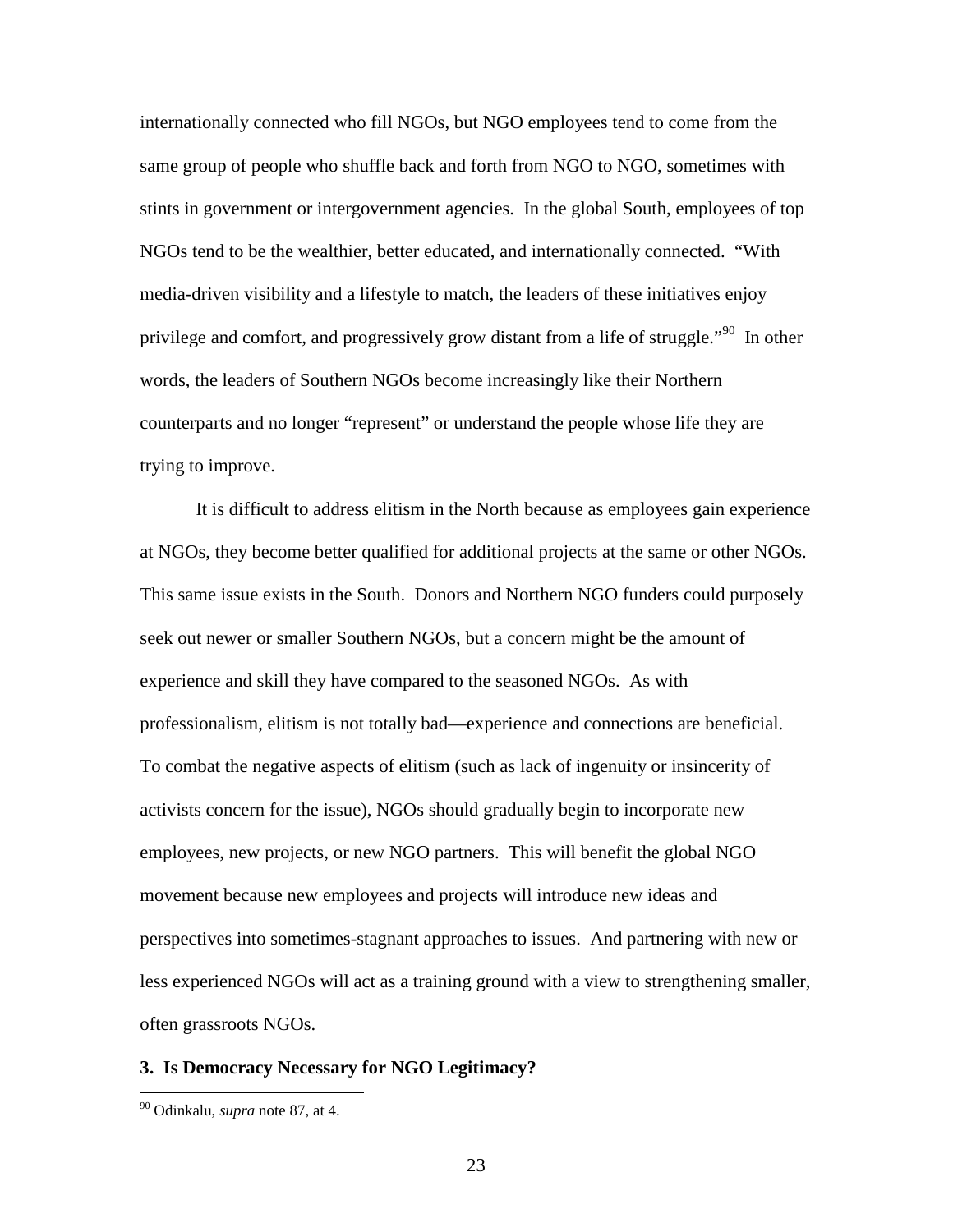internationally connected who fill NGOs, but NGO employees tend to come from the same group of people who shuffle back and forth from NGO to NGO, sometimes with stints in government or intergovernment agencies. In the global South, employees of top NGOs tend to be the wealthier, better educated, and internationally connected. "With media-driven visibility and a lifestyle to match, the leaders of these initiatives enjoy privilege and comfort, and progressively grow distant from a life of struggle."<sup>90</sup> In other words, the leaders of Southern NGOs become increasingly like their Northern counterparts and no longer "represent" or understand the people whose life they are trying to improve.

It is difficult to address elitism in the North because as employees gain experience at NGOs, they become better qualified for additional projects at the same or other NGOs. This same issue exists in the South. Donors and Northern NGO funders could purposely seek out newer or smaller Southern NGOs, but a concern might be the amount of experience and skill they have compared to the seasoned NGOs. As with professionalism, elitism is not totally bad—experience and connections are beneficial. To combat the negative aspects of elitism (such as lack of ingenuity or insincerity of activists concern for the issue), NGOs should gradually begin to incorporate new employees, new projects, or new NGO partners. This will benefit the global NGO movement because new employees and projects will introduce new ideas and perspectives into sometimes-stagnant approaches to issues. And partnering with new or less experienced NGOs will act as a training ground with a view to strengthening smaller, often grassroots NGOs.

#### **3. Is Democracy Necessary for NGO Legitimacy?**

<sup>90</sup> Odinkalu, *supra* note 87, at 4.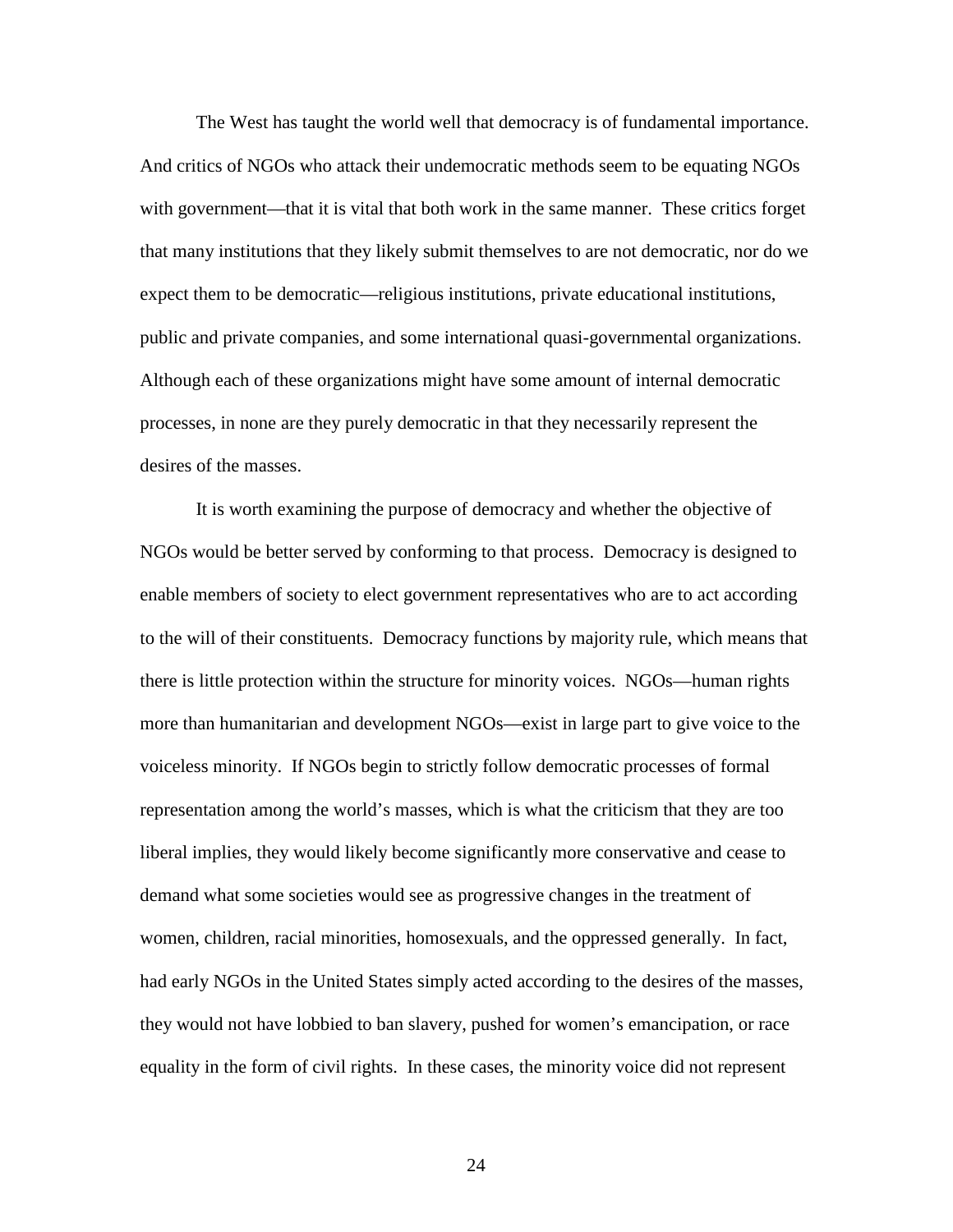The West has taught the world well that democracy is of fundamental importance. And critics of NGOs who attack their undemocratic methods seem to be equating NGOs with government—that it is vital that both work in the same manner. These critics forget that many institutions that they likely submit themselves to are not democratic, nor do we expect them to be democratic—religious institutions, private educational institutions, public and private companies, and some international quasi-governmental organizations. Although each of these organizations might have some amount of internal democratic processes, in none are they purely democratic in that they necessarily represent the desires of the masses.

It is worth examining the purpose of democracy and whether the objective of NGOs would be better served by conforming to that process. Democracy is designed to enable members of society to elect government representatives who are to act according to the will of their constituents. Democracy functions by majority rule, which means that there is little protection within the structure for minority voices. NGOs—human rights more than humanitarian and development NGOs—exist in large part to give voice to the voiceless minority. If NGOs begin to strictly follow democratic processes of formal representation among the world's masses, which is what the criticism that they are too liberal implies, they would likely become significantly more conservative and cease to demand what some societies would see as progressive changes in the treatment of women, children, racial minorities, homosexuals, and the oppressed generally. In fact, had early NGOs in the United States simply acted according to the desires of the masses, they would not have lobbied to ban slavery, pushed for women's emancipation, or race equality in the form of civil rights. In these cases, the minority voice did not represent

24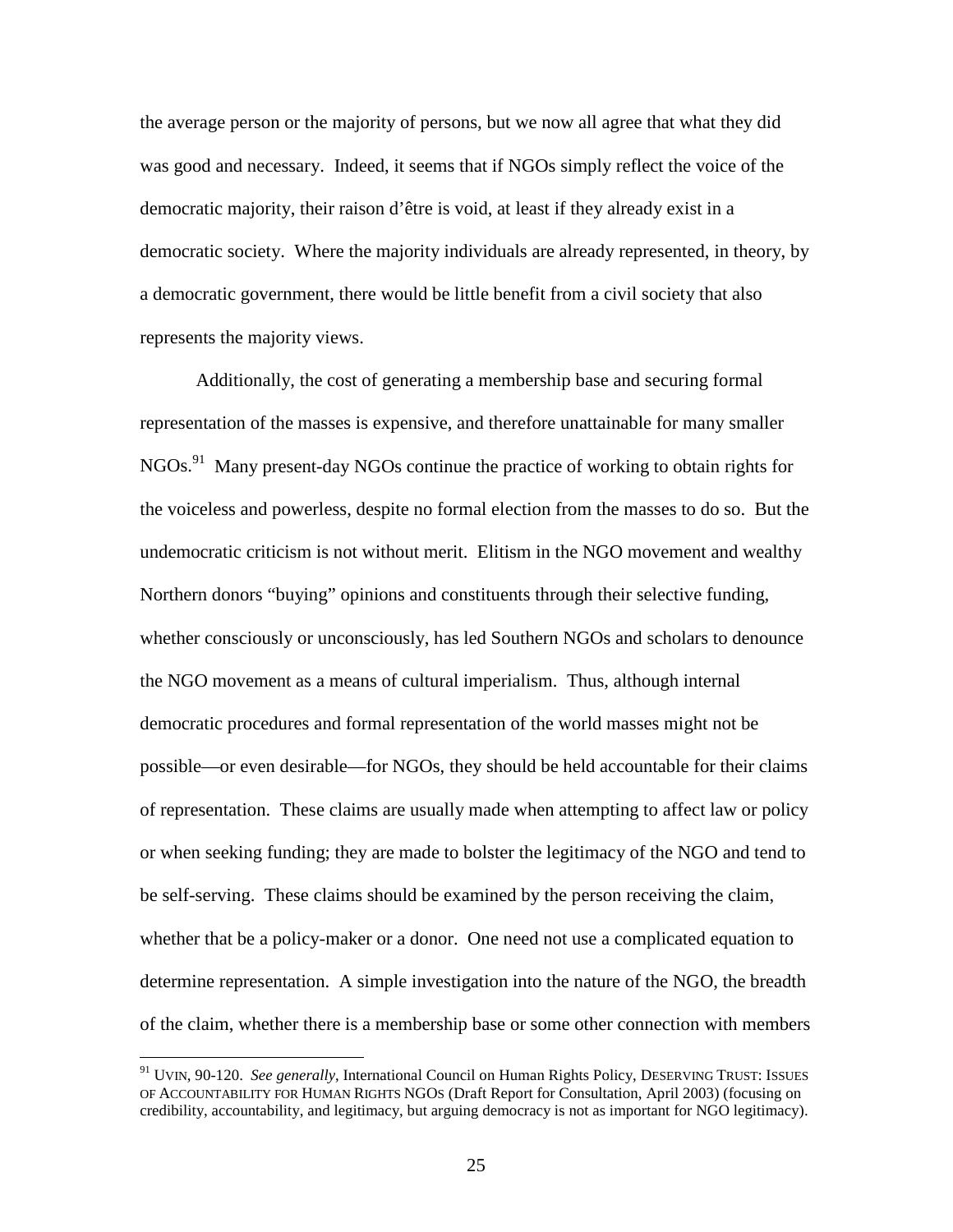the average person or the majority of persons, but we now all agree that what they did was good and necessary. Indeed, it seems that if NGOs simply reflect the voice of the democratic majority, their raison d'être is void, at least if they already exist in a democratic society. Where the majority individuals are already represented, in theory, by a democratic government, there would be little benefit from a civil society that also represents the majority views.

Additionally, the cost of generating a membership base and securing formal representation of the masses is expensive, and therefore unattainable for many smaller NGOs.91 Many present-day NGOs continue the practice of working to obtain rights for the voiceless and powerless, despite no formal election from the masses to do so. But the undemocratic criticism is not without merit. Elitism in the NGO movement and wealthy Northern donors "buying" opinions and constituents through their selective funding, whether consciously or unconsciously, has led Southern NGOs and scholars to denounce the NGO movement as a means of cultural imperialism. Thus, although internal democratic procedures and formal representation of the world masses might not be possible—or even desirable—for NGOs, they should be held accountable for their claims of representation. These claims are usually made when attempting to affect law or policy or when seeking funding; they are made to bolster the legitimacy of the NGO and tend to be self-serving. These claims should be examined by the person receiving the claim, whether that be a policy-maker or a donor. One need not use a complicated equation to determine representation. A simple investigation into the nature of the NGO, the breadth of the claim, whether there is a membership base or some other connection with members

<sup>91</sup> UVIN, 90-120. *See generally*, International Council on Human Rights Policy, DESERVING TRUST: ISSUES OF ACCOUNTABILITY FOR HUMAN RIGHTS NGOS (Draft Report for Consultation, April 2003) (focusing on credibility, accountability, and legitimacy, but arguing democracy is not as important for NGO legitimacy).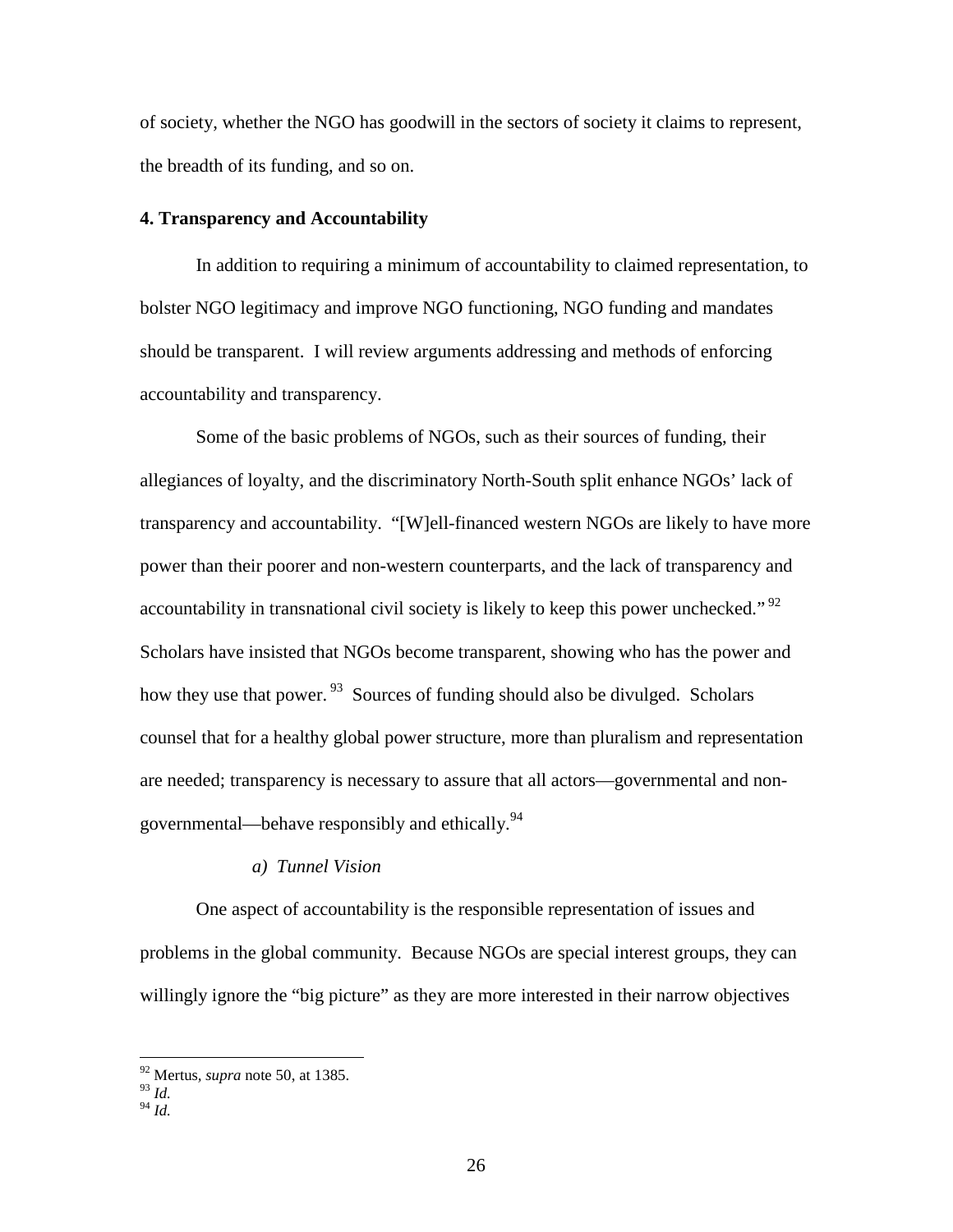of society, whether the NGO has goodwill in the sectors of society it claims to represent, the breadth of its funding, and so on.

## **4. Transparency and Accountability**

In addition to requiring a minimum of accountability to claimed representation, to bolster NGO legitimacy and improve NGO functioning, NGO funding and mandates should be transparent. I will review arguments addressing and methods of enforcing accountability and transparency.

Some of the basic problems of NGOs, such as their sources of funding, their allegiances of loyalty, and the discriminatory North-South split enhance NGOs' lack of transparency and accountability. "[W]ell-financed western NGOs are likely to have more power than their poorer and non-western counterparts, and the lack of transparency and accountability in transnational civil society is likely to keep this power unchecked."<sup>92</sup> Scholars have insisted that NGOs become transparent, showing who has the power and how they use that power.  $93$  Sources of funding should also be divulged. Scholars counsel that for a healthy global power structure, more than pluralism and representation are needed; transparency is necessary to assure that all actors—governmental and nongovernmental—behave responsibly and ethically.<sup>94</sup>

#### *a) Tunnel Vision*

One aspect of accountability is the responsible representation of issues and problems in the global community. Because NGOs are special interest groups, they can willingly ignore the "big picture" as they are more interested in their narrow objectives

<sup>92</sup> Mertus*, supra* note 50, at 1385.

<sup>93</sup> *Id.*

<sup>94</sup> *Id.*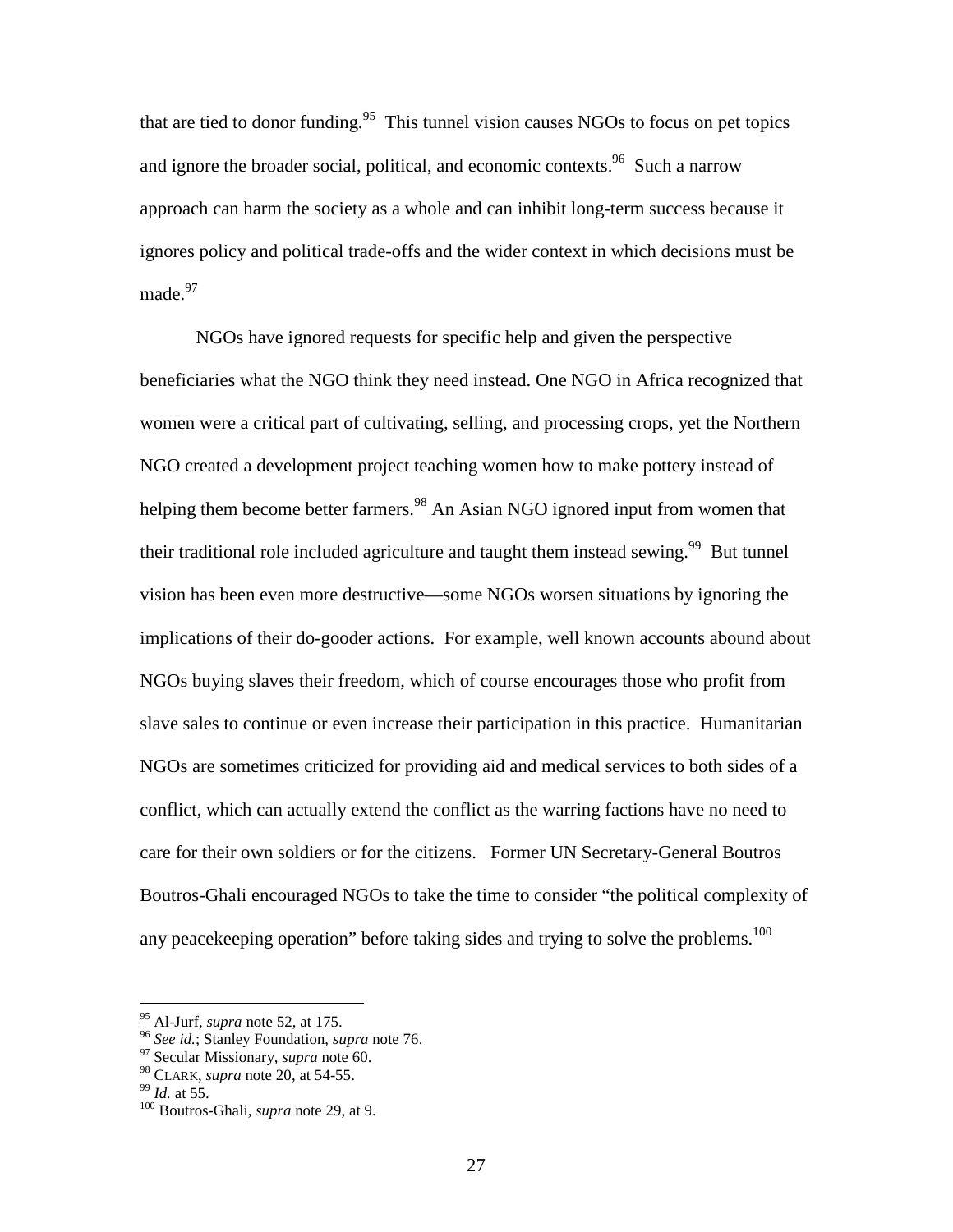that are tied to donor funding.<sup>95</sup> This tunnel vision causes NGOs to focus on pet topics and ignore the broader social, political, and economic contexts.<sup>96</sup> Such a narrow approach can harm the society as a whole and can inhibit long-term success because it ignores policy and political trade-offs and the wider context in which decisions must be made. $97$ 

NGOs have ignored requests for specific help and given the perspective beneficiaries what the NGO think they need instead. One NGO in Africa recognized that women were a critical part of cultivating, selling, and processing crops, yet the Northern NGO created a development project teaching women how to make pottery instead of helping them become better farmers.<sup>98</sup> An Asian NGO ignored input from women that their traditional role included agriculture and taught them instead sewing.<sup>99</sup> But tunnel vision has been even more destructive—some NGOs worsen situations by ignoring the implications of their do-gooder actions. For example, well known accounts abound about NGOs buying slaves their freedom, which of course encourages those who profit from slave sales to continue or even increase their participation in this practice. Humanitarian NGOs are sometimes criticized for providing aid and medical services to both sides of a conflict, which can actually extend the conflict as the warring factions have no need to care for their own soldiers or for the citizens. Former UN Secretary-General Boutros Boutros-Ghali encouraged NGOs to take the time to consider "the political complexity of any peacekeeping operation" before taking sides and trying to solve the problems.<sup>100</sup>

<sup>&</sup>lt;sup>95</sup> Al-Jurf, *supra* note 52, at 175.<br><sup>96</sup> *See id.*; Stanley Foundation, *supra* note 76.<br><sup>97</sup> Secular Missionary, *supra* note 60.<br><sup>98</sup> CLARK, *supra* note 20, at 54-55.

<sup>&</sup>lt;sup>99</sup> *Id.* at 55. **b**<sup>100</sup> Boutros-Ghali*, supra* note 29, at 9.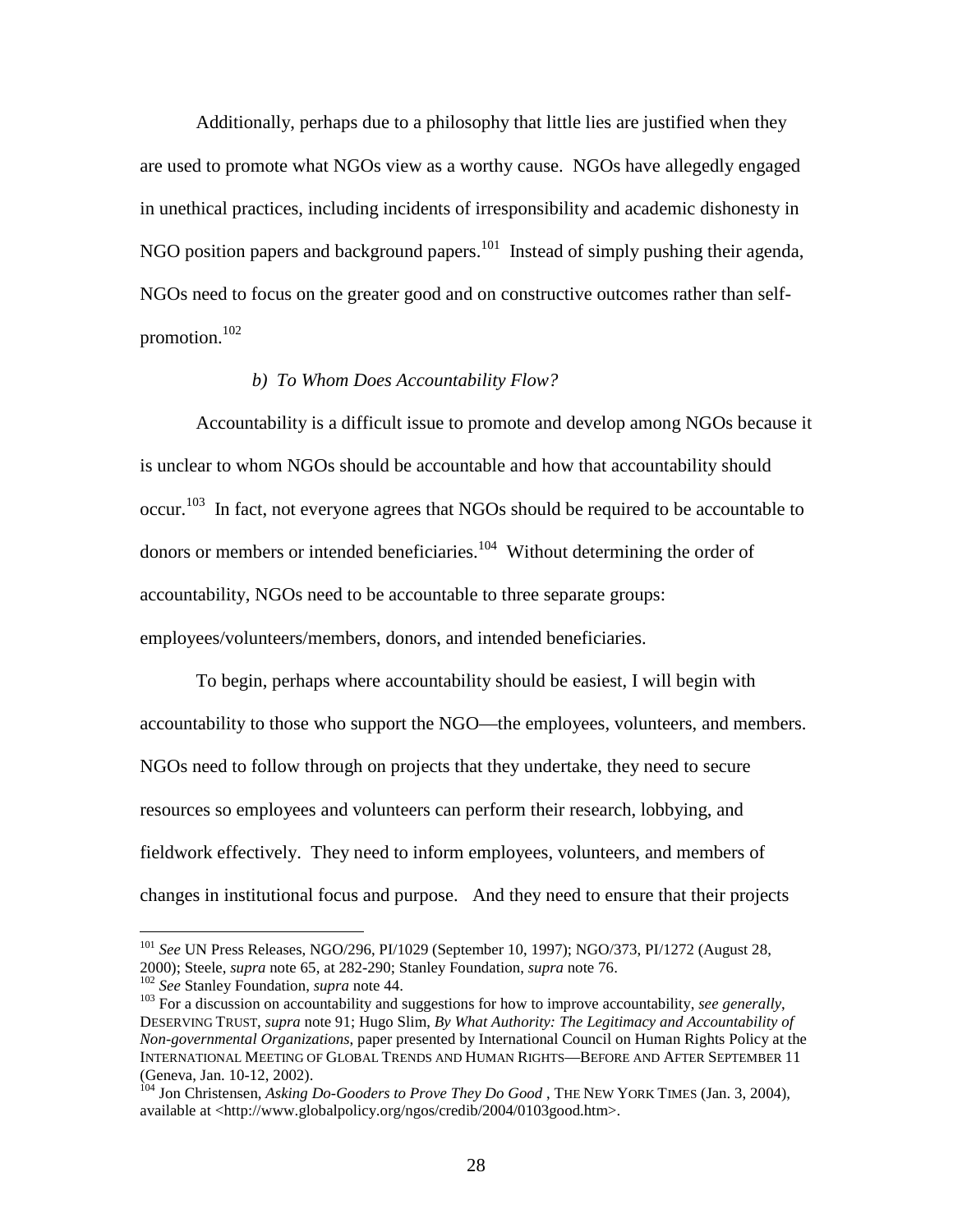Additionally, perhaps due to a philosophy that little lies are justified when they are used to promote what NGOs view as a worthy cause. NGOs have allegedly engaged in unethical practices, including incidents of irresponsibility and academic dishonesty in NGO position papers and background papers.<sup>101</sup> Instead of simply pushing their agenda, NGOs need to focus on the greater good and on constructive outcomes rather than selfpromotion.<sup>102</sup>

# *b) To Whom Does Accountability Flow?*

Accountability is a difficult issue to promote and develop among NGOs because it is unclear to whom NGOs should be accountable and how that accountability should occur.<sup>103</sup> In fact, not everyone agrees that NGOs should be required to be accountable to donors or members or intended beneficiaries.<sup>104</sup> Without determining the order of accountability, NGOs need to be accountable to three separate groups: employees/volunteers/members, donors, and intended beneficiaries.

To begin, perhaps where accountability should be easiest, I will begin with accountability to those who support the NGO—the employees, volunteers, and members. NGOs need to follow through on projects that they undertake, they need to secure resources so employees and volunteers can perform their research, lobbying, and fieldwork effectively. They need to inform employees, volunteers, and members of changes in institutional focus and purpose. And they need to ensure that their projects

<sup>&</sup>lt;sup>101</sup> *See* UN Press Releases, NGO/296, PI/1029 (September 10, 1997); NGO/373, PI/1272 (August 28, 2000); Steele, *supra* note 65, at 282-290; Stanley Foundation, *supra* note 76.

 $\frac{102}{102}$  See Stanley Foundation, *supra* note 44.<br><sup>103</sup> For a discussion on accountability and suggestions for how to improve accountability, *see generally*, DESERVING TRUST, *supra* note 91; Hugo Slim, *By What Authority: The Legitimacy and Accountability of Non-governmental Organizations*, paper presented by International Council on Human Rights Policy at the INTERNATIONAL MEETING OF GLOBAL TRENDS AND HUMAN RIGHTS—BEFORE AND AFTER SEPTEMBER 11 (Geneva, Jan. 10-12, 2002).

<sup>&</sup>lt;sup>104</sup> Jon Christensen, *Asking Do-Gooders to Prove They Do Good*, THE NEW YORK TIMES (Jan. 3, 2004), available at <http://www.globalpolicy.org/ngos/credib/2004/0103good.htm>.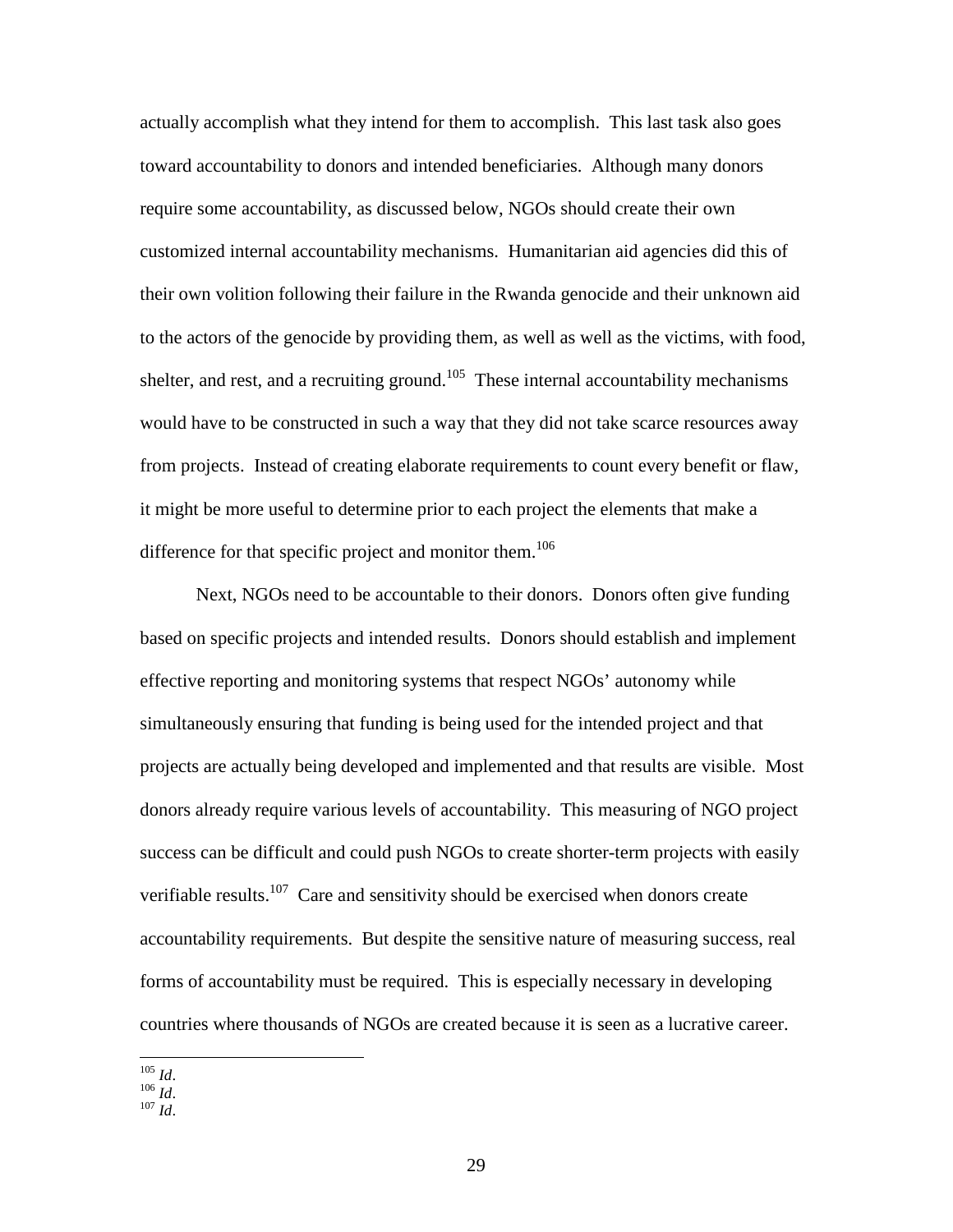actually accomplish what they intend for them to accomplish. This last task also goes toward accountability to donors and intended beneficiaries. Although many donors require some accountability, as discussed below, NGOs should create their own customized internal accountability mechanisms. Humanitarian aid agencies did this of their own volition following their failure in the Rwanda genocide and their unknown aid to the actors of the genocide by providing them, as well as well as the victims, with food, shelter, and rest, and a recruiting ground.<sup>105</sup> These internal accountability mechanisms would have to be constructed in such a way that they did not take scarce resources away from projects. Instead of creating elaborate requirements to count every benefit or flaw, it might be more useful to determine prior to each project the elements that make a difference for that specific project and monitor them.<sup>106</sup>

Next, NGOs need to be accountable to their donors. Donors often give funding based on specific projects and intended results. Donors should establish and implement effective reporting and monitoring systems that respect NGOs' autonomy while simultaneously ensuring that funding is being used for the intended project and that projects are actually being developed and implemented and that results are visible. Most donors already require various levels of accountability. This measuring of NGO project success can be difficult and could push NGOs to create shorter-term projects with easily verifiable results.<sup>107</sup> Care and sensitivity should be exercised when donors create accountability requirements. But despite the sensitive nature of measuring success, real forms of accountability must be required. This is especially necessary in developing countries where thousands of NGOs are created because it is seen as a lucrative career.

105 *Id*. 106 *Id*. 107 *Id*.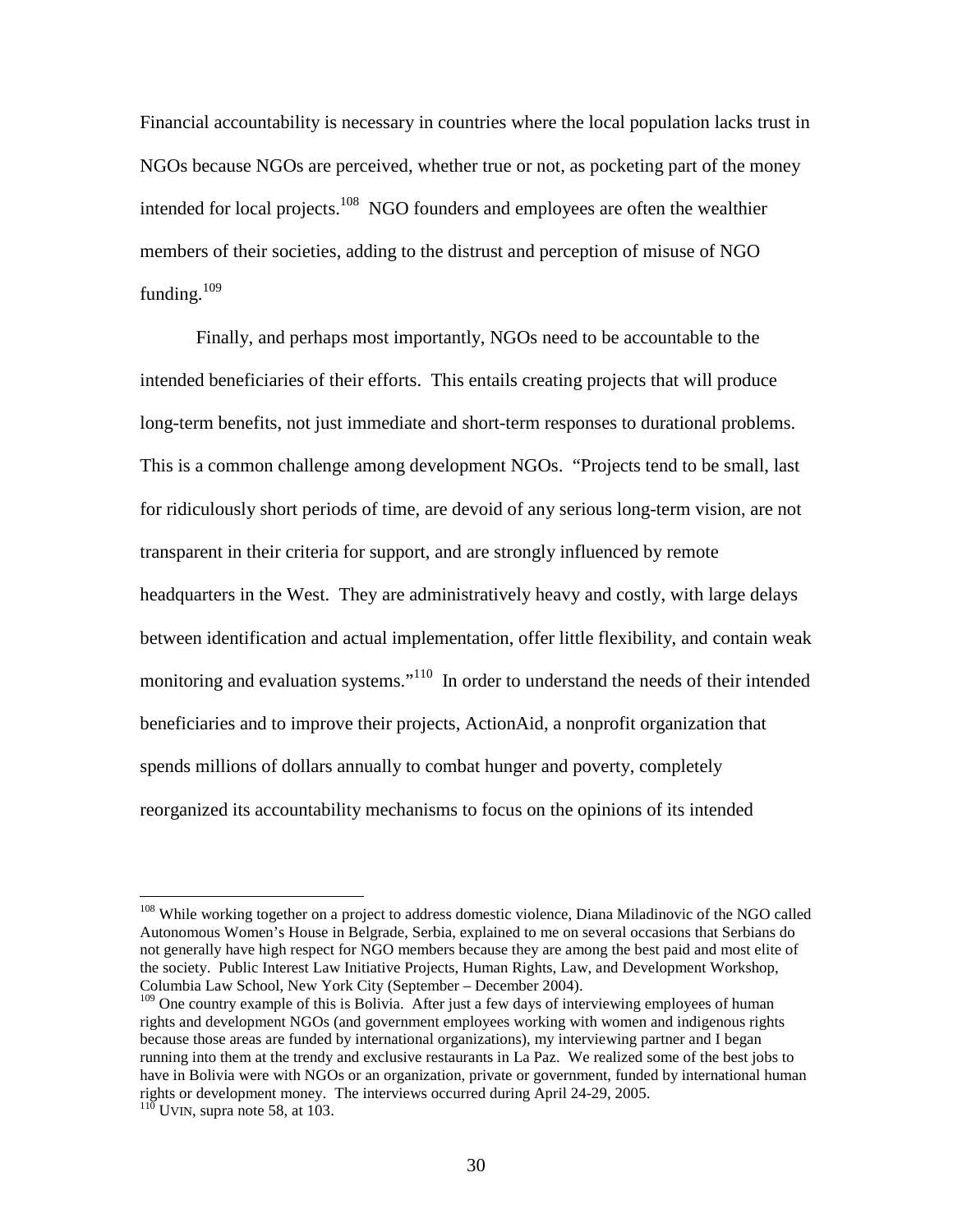Financial accountability is necessary in countries where the local population lacks trust in NGOs because NGOs are perceived, whether true or not, as pocketing part of the money intended for local projects.<sup>108</sup> NGO founders and employees are often the wealthier members of their societies, adding to the distrust and perception of misuse of NGO funding. $109$ 

Finally, and perhaps most importantly, NGOs need to be accountable to the intended beneficiaries of their efforts. This entails creating projects that will produce long-term benefits, not just immediate and short-term responses to durational problems. This is a common challenge among development NGOs. "Projects tend to be small, last for ridiculously short periods of time, are devoid of any serious long-term vision, are not transparent in their criteria for support, and are strongly influenced by remote headquarters in the West. They are administratively heavy and costly, with large delays between identification and actual implementation, offer little flexibility, and contain weak monitoring and evaluation systems."<sup>110</sup> In order to understand the needs of their intended beneficiaries and to improve their projects, ActionAid, a nonprofit organization that spends millions of dollars annually to combat hunger and poverty, completely reorganized its accountability mechanisms to focus on the opinions of its intended

<sup>&</sup>lt;sup>108</sup> While working together on a project to address domestic violence, Diana Miladinovic of the NGO called Autonomous Women's House in Belgrade, Serbia, explained to me on several occasions that Serbians do not generally have high respect for NGO members because they are among the best paid and most elite of the society. Public Interest Law Initiative Projects, Human Rights, Law, and Development Workshop, Columbia Law School, New York City (September – December 2004).

<sup>&</sup>lt;sup>109</sup> One country example of this is Bolivia. After just a few days of interviewing employees of human rights and development NGOs (and government employees working with women and indigenous rights because those areas are funded by international organizations), my interviewing partner and I began running into them at the trendy and exclusive restaurants in La Paz. We realized some of the best jobs to have in Bolivia were with NGOs or an organization, private or government, funded by international human rights or development money. The interviews occurred during April 24-29, 2005. 110 UVIN, supra note 58, at 103.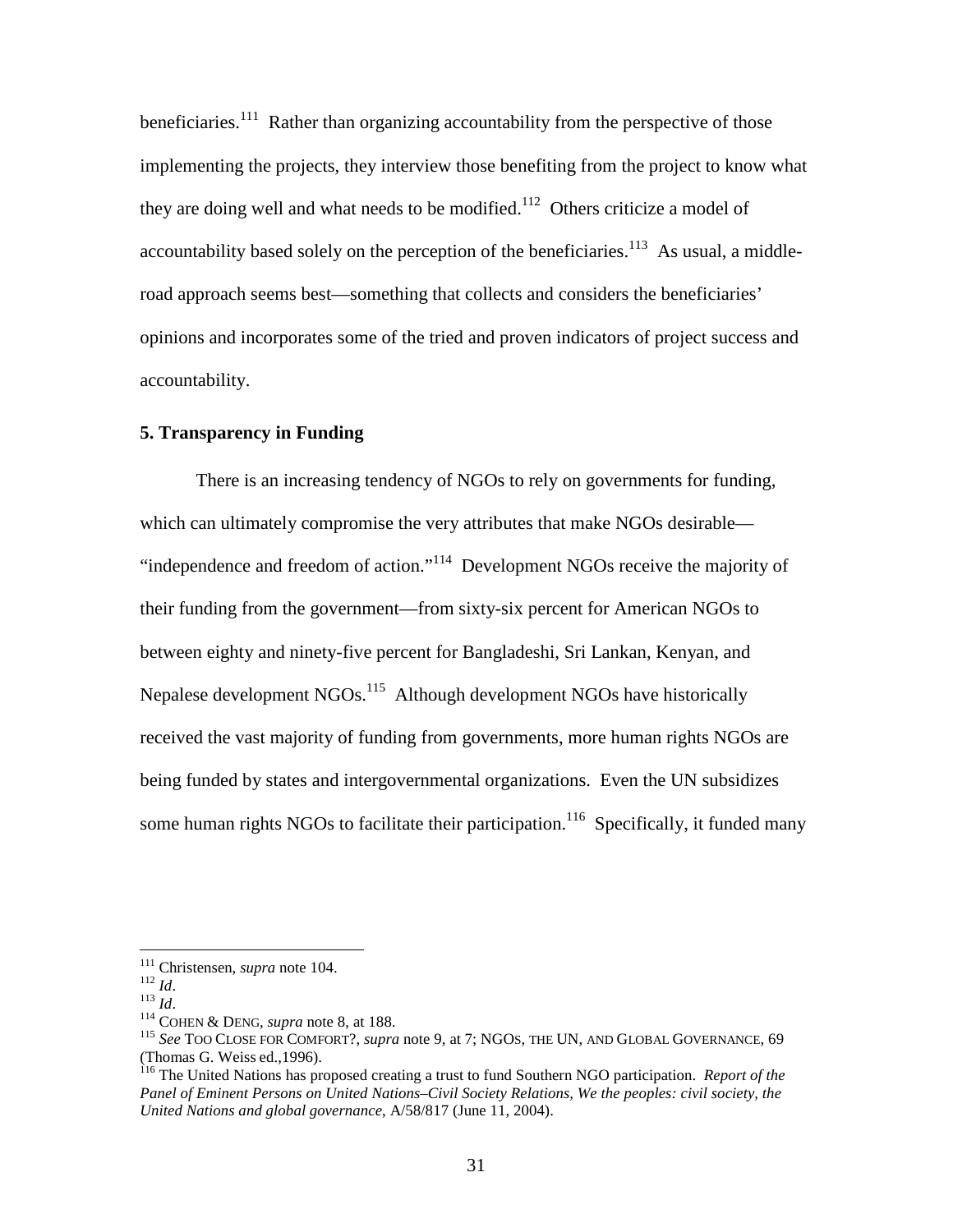beneficiaries.<sup>111</sup> Rather than organizing accountability from the perspective of those implementing the projects, they interview those benefiting from the project to know what they are doing well and what needs to be modified.<sup>112</sup> Others criticize a model of accountability based solely on the perception of the beneficiaries.<sup>113</sup> As usual, a middleroad approach seems best—something that collects and considers the beneficiaries' opinions and incorporates some of the tried and proven indicators of project success and accountability.

# **5. Transparency in Funding**

There is an increasing tendency of NGOs to rely on governments for funding, which can ultimately compromise the very attributes that make NGOs desirable— "independence and freedom of action."<sup>114</sup> Development NGOs receive the majority of their funding from the government—from sixty-six percent for American NGOs to between eighty and ninety-five percent for Bangladeshi, Sri Lankan, Kenyan, and Nepalese development NGOs.<sup>115</sup> Although development NGOs have historically received the vast majority of funding from governments, more human rights NGOs are being funded by states and intergovernmental organizations. Even the UN subsidizes some human rights NGOs to facilitate their participation.<sup>116</sup> Specifically, it funded many

<sup>111</sup> Christensen, *supra* note 104.<br>
<sup>112</sup> *Id.* 113 *Id.* 113 *Id.* 114 COHEN & DENG, *supra* note 8, at 188. 115 *See* TOO CLOSE FOR COMFORT?, *supra* note 9, at 7; NGOS, THE UN, AND GLOBAL GOVERNANCE, 69 (Thomas G. Weiss ed.,1996). 116 The United Nations has proposed creating a trust to fund Southern NGO participation. *Report of the* 

*Panel of Eminent Persons on United Nations–Civil Society Relations, We the peoples: civil society, the United Nations and global governance*, A/58/817 (June 11, 2004).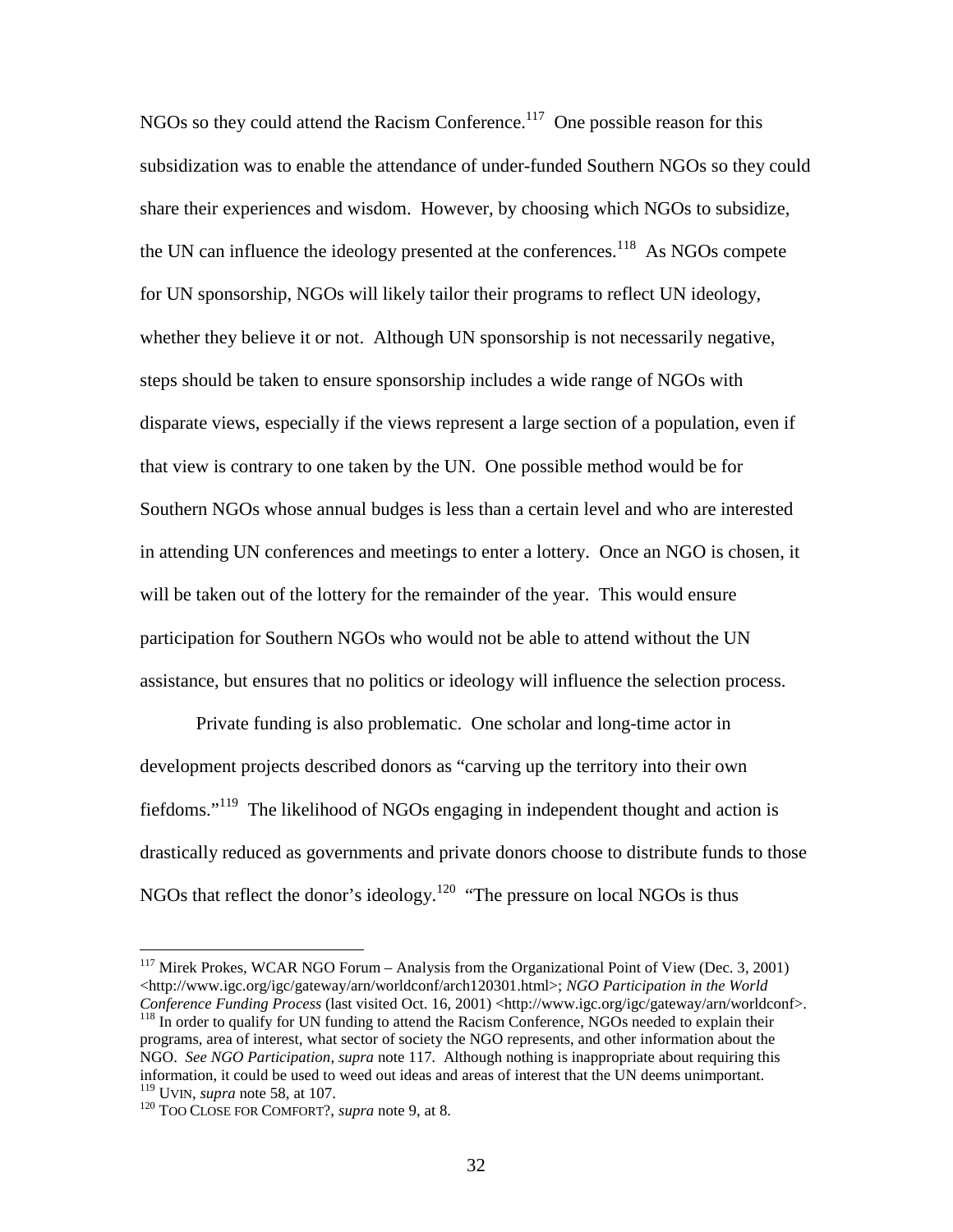NGOs so they could attend the Racism Conference.<sup>117</sup> One possible reason for this subsidization was to enable the attendance of under-funded Southern NGOs so they could share their experiences and wisdom. However, by choosing which NGOs to subsidize, the UN can influence the ideology presented at the conferences.<sup>118</sup> As NGOs compete for UN sponsorship, NGOs will likely tailor their programs to reflect UN ideology, whether they believe it or not. Although UN sponsorship is not necessarily negative, steps should be taken to ensure sponsorship includes a wide range of NGOs with disparate views, especially if the views represent a large section of a population, even if that view is contrary to one taken by the UN. One possible method would be for Southern NGOs whose annual budges is less than a certain level and who are interested in attending UN conferences and meetings to enter a lottery. Once an NGO is chosen, it will be taken out of the lottery for the remainder of the year. This would ensure participation for Southern NGOs who would not be able to attend without the UN assistance, but ensures that no politics or ideology will influence the selection process.

Private funding is also problematic. One scholar and long-time actor in development projects described donors as "carving up the territory into their own fiefdoms."119 The likelihood of NGOs engaging in independent thought and action is drastically reduced as governments and private donors choose to distribute funds to those NGOs that reflect the donor's ideology.<sup>120</sup> "The pressure on local NGOs is thus

<sup>&</sup>lt;sup>117</sup> Mirek Prokes, WCAR NGO Forum – Analysis from the Organizational Point of View (Dec. 3, 2001) <http://www.igc.org/igc/gateway/arn/worldconf/arch120301.html>; *NGO Participation in the World*  <sup>118</sup> In order to qualify for UN funding to attend the Racism Conference, NGOs needed to explain their programs, area of interest, what sector of society the NGO represents, and other information about the NGO. *See NGO Participation, supra* note 117*.* Although nothing is inappropriate about requiring this information, it could be used to weed out ideas and areas of interest that the UN deems unimportant.<br><sup>119</sup> UVIN. *supra* note 58, at 107.

<sup>&</sup>lt;sup>120</sup> TOO CLOSE FOR COMFORT?, *supra* note 9, at 8.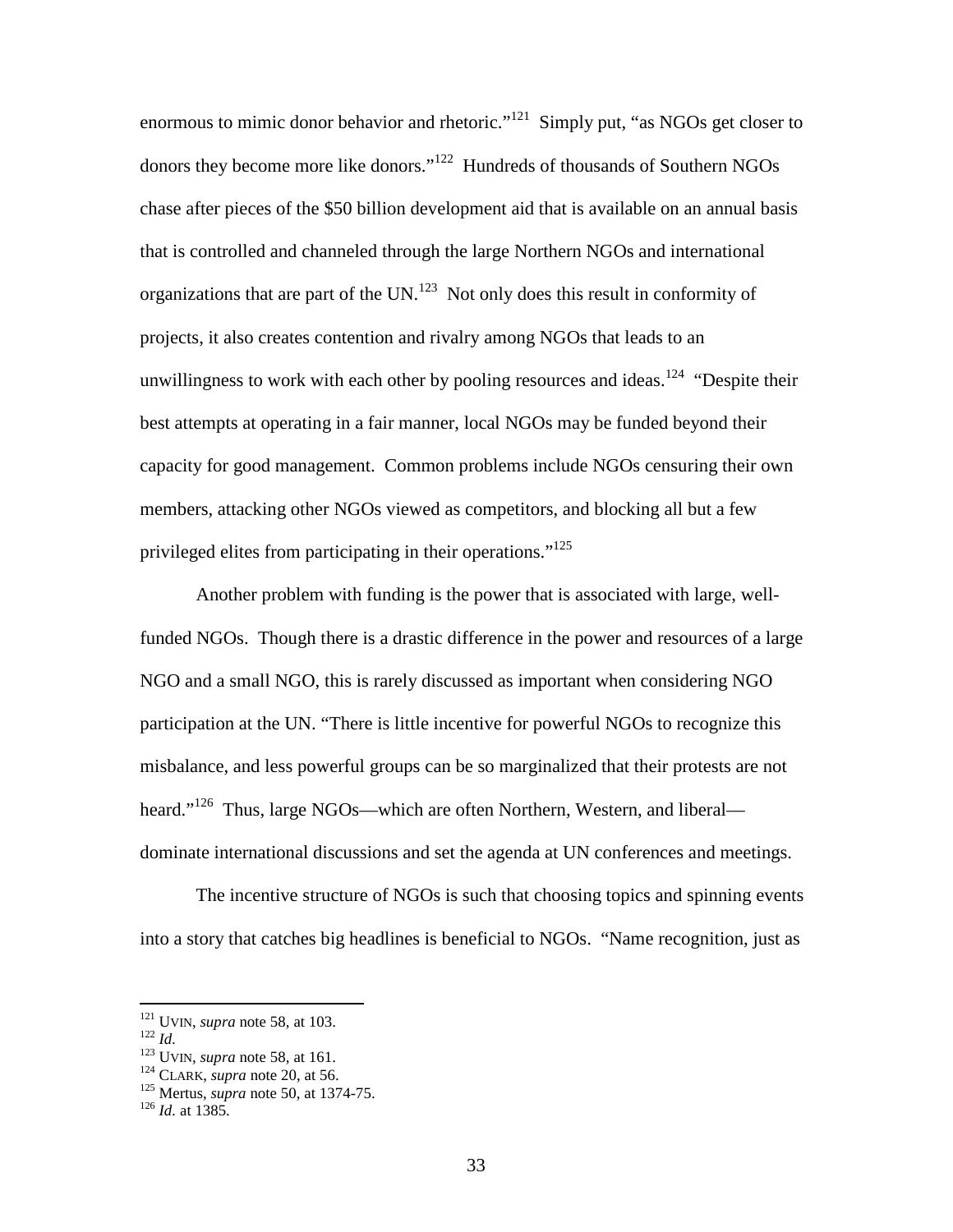enormous to mimic donor behavior and rhetoric."<sup>121</sup> Simply put, "as NGOs get closer to donors they become more like donors."<sup>122</sup> Hundreds of thousands of Southern NGOs chase after pieces of the \$50 billion development aid that is available on an annual basis that is controlled and channeled through the large Northern NGOs and international organizations that are part of the UN.<sup>123</sup> Not only does this result in conformity of projects, it also creates contention and rivalry among NGOs that leads to an unwillingness to work with each other by pooling resources and ideas.<sup>124</sup> "Despite their best attempts at operating in a fair manner, local NGOs may be funded beyond their capacity for good management. Common problems include NGOs censuring their own members, attacking other NGOs viewed as competitors, and blocking all but a few privileged elites from participating in their operations."<sup>125</sup>

Another problem with funding is the power that is associated with large, wellfunded NGOs. Though there is a drastic difference in the power and resources of a large NGO and a small NGO, this is rarely discussed as important when considering NGO participation at the UN. "There is little incentive for powerful NGOs to recognize this misbalance, and less powerful groups can be so marginalized that their protests are not heard."<sup>126</sup> Thus, large NGOs—which are often Northern, Western, and liberal dominate international discussions and set the agenda at UN conferences and meetings.

The incentive structure of NGOs is such that choosing topics and spinning events into a story that catches big headlines is beneficial to NGOs. "Name recognition, just as

<sup>1&</sup>lt;sup>22</sup> *Id.* 122 *Id.* 123 UVIN, *supra* note 58, at 161. 124 CLARK, *supra* note 50, at 56. 125 Mertus, *supra* note 50, at 1374-75. 126 *Id.* at 1385.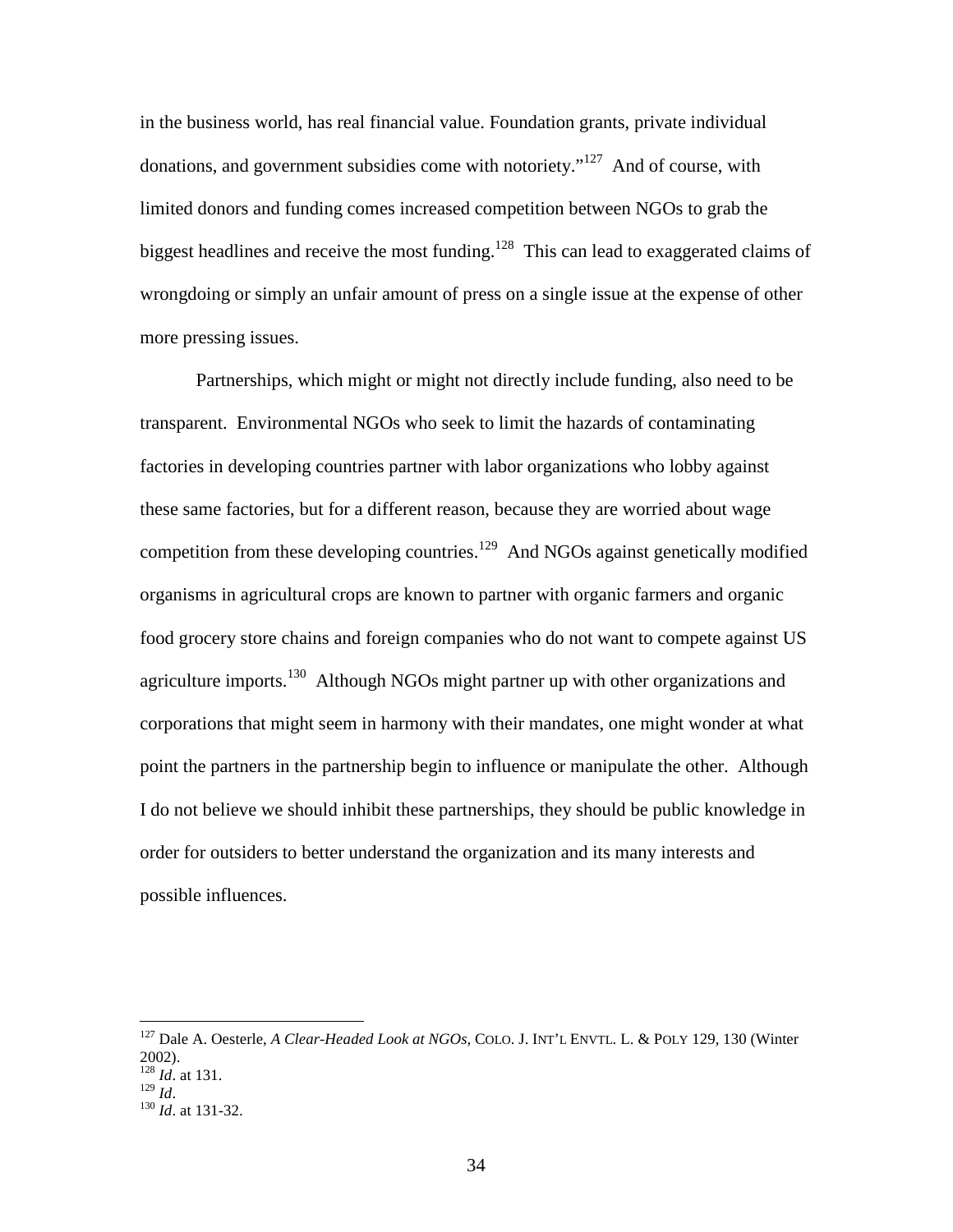in the business world, has real financial value. Foundation grants, private individual donations, and government subsidies come with notoriety."<sup>127</sup> And of course, with limited donors and funding comes increased competition between NGOs to grab the biggest headlines and receive the most funding.<sup>128</sup> This can lead to exaggerated claims of wrongdoing or simply an unfair amount of press on a single issue at the expense of other more pressing issues.

Partnerships, which might or might not directly include funding, also need to be transparent. Environmental NGOs who seek to limit the hazards of contaminating factories in developing countries partner with labor organizations who lobby against these same factories, but for a different reason, because they are worried about wage competition from these developing countries.<sup>129</sup> And NGOs against genetically modified organisms in agricultural crops are known to partner with organic farmers and organic food grocery store chains and foreign companies who do not want to compete against US agriculture imports.<sup>130</sup> Although NGOs might partner up with other organizations and corporations that might seem in harmony with their mandates, one might wonder at what point the partners in the partnership begin to influence or manipulate the other. Although I do not believe we should inhibit these partnerships, they should be public knowledge in order for outsiders to better understand the organization and its many interests and possible influences.

<sup>127</sup> Dale A. Oesterle, *A Clear-Headed Look at NGOs*, COLO. J. INT'L ENVTL. L. & POLY 129, 130 (Winter 2002).

 $\frac{128}{129}$  *Id.* at 131.

<sup>&</sup>lt;sup>130</sup> *Id.* at 131-32.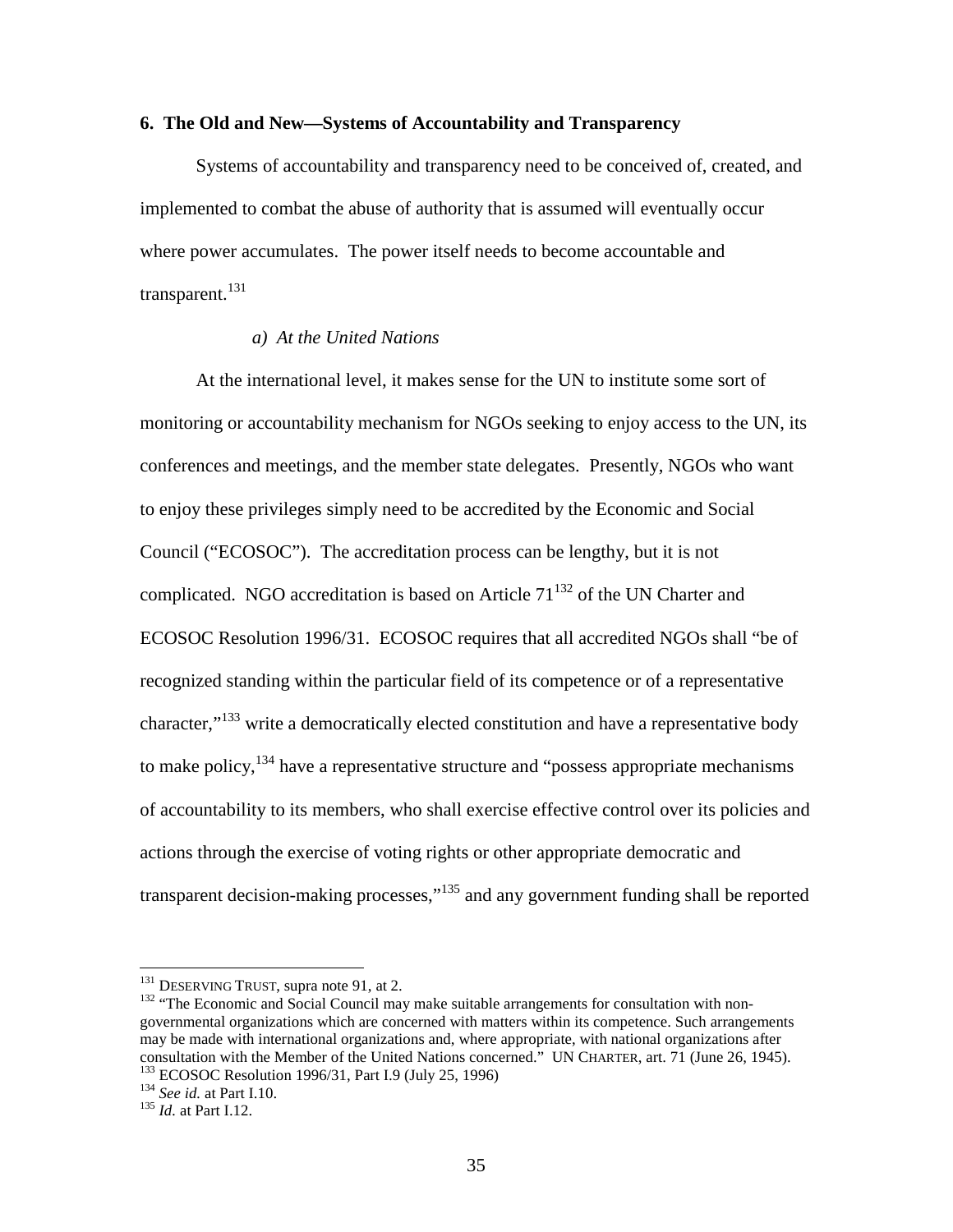#### **6. The Old and New—Systems of Accountability and Transparency**

Systems of accountability and transparency need to be conceived of, created, and implemented to combat the abuse of authority that is assumed will eventually occur where power accumulates. The power itself needs to become accountable and transparent. $^{131}$ 

# *a) At the United Nations*

At the international level, it makes sense for the UN to institute some sort of monitoring or accountability mechanism for NGOs seeking to enjoy access to the UN, its conferences and meetings, and the member state delegates. Presently, NGOs who want to enjoy these privileges simply need to be accredited by the Economic and Social Council ("ECOSOC"). The accreditation process can be lengthy, but it is not complicated. NGO accreditation is based on Article  $71^{132}$  of the UN Charter and ECOSOC Resolution 1996/31. ECOSOC requires that all accredited NGOs shall "be of recognized standing within the particular field of its competence or of a representative character,"<sup>133</sup> write a democratically elected constitution and have a representative body to make policy, $134$  have a representative structure and "possess appropriate mechanisms" of accountability to its members, who shall exercise effective control over its policies and actions through the exercise of voting rights or other appropriate democratic and transparent decision-making processes,"<sup>135</sup> and any government funding shall be reported

<sup>&</sup>lt;sup>131</sup> DESERVING TRUST, supra note 91, at 2.<br><sup>132</sup> "The Economic and Social Council may make suitable arrangements for consultation with nongovernmental organizations which are concerned with matters within its competence. Such arrangements may be made with international organizations and, where appropriate, with national organizations after consultation with the Member of the United Nations concerned." UN CHARTER, art. 71 (June 26, 1945).<br><sup>133</sup> ECOSOC Resolution 1996/31, Part I.9 (July 25, 1996) <sup>134</sup> *See id.* at Part I.10. <sup>135</sup> *Id.* at Part I.12.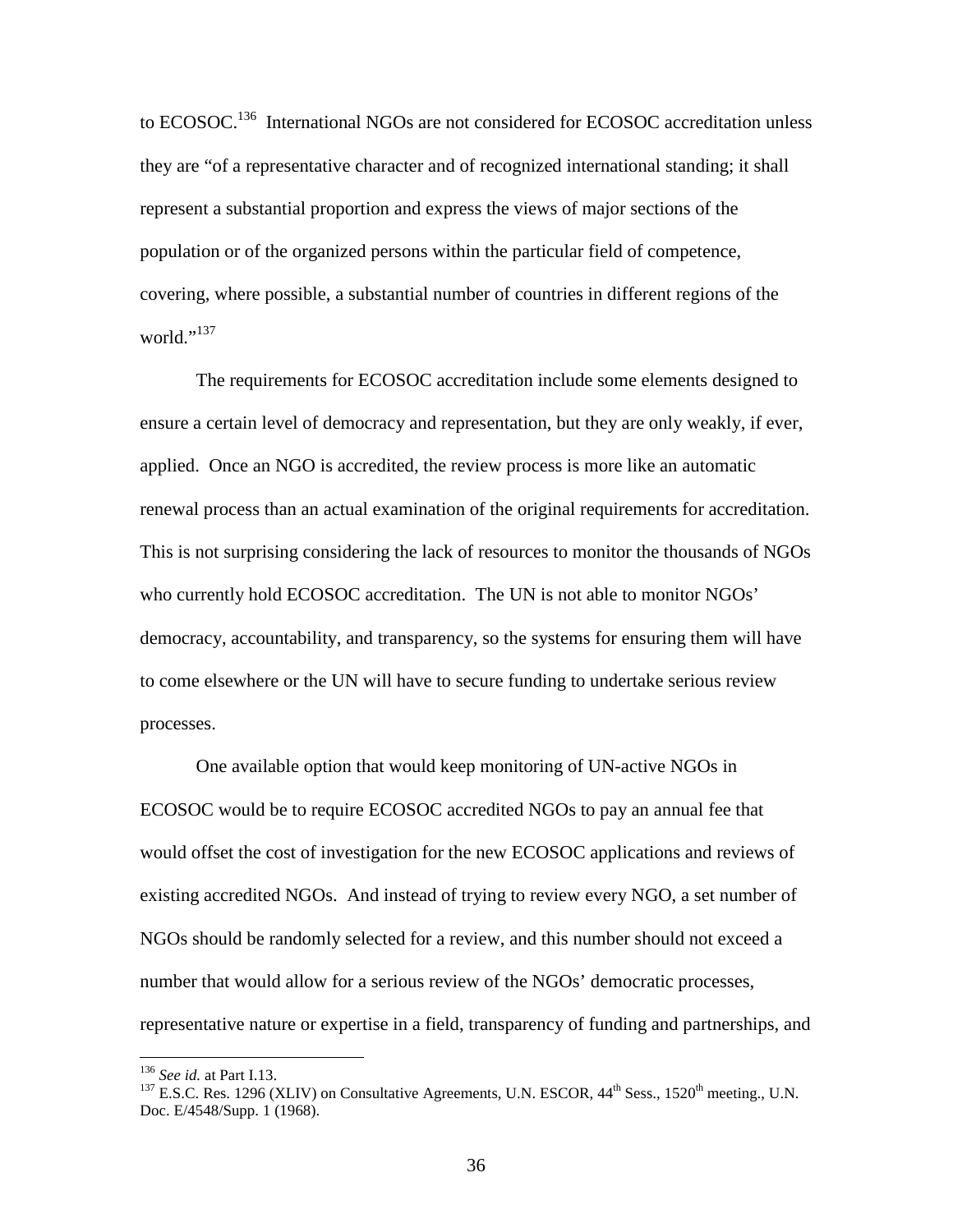to ECOSOC.<sup>136</sup> International NGOs are not considered for ECOSOC accreditation unless they are "of a representative character and of recognized international standing; it shall represent a substantial proportion and express the views of major sections of the population or of the organized persons within the particular field of competence, covering, where possible, a substantial number of countries in different regions of the world." $^{137}$ 

The requirements for ECOSOC accreditation include some elements designed to ensure a certain level of democracy and representation, but they are only weakly, if ever, applied. Once an NGO is accredited, the review process is more like an automatic renewal process than an actual examination of the original requirements for accreditation. This is not surprising considering the lack of resources to monitor the thousands of NGOs who currently hold ECOSOC accreditation. The UN is not able to monitor NGOs' democracy, accountability, and transparency, so the systems for ensuring them will have to come elsewhere or the UN will have to secure funding to undertake serious review processes.

One available option that would keep monitoring of UN-active NGOs in ECOSOC would be to require ECOSOC accredited NGOs to pay an annual fee that would offset the cost of investigation for the new ECOSOC applications and reviews of existing accredited NGOs. And instead of trying to review every NGO, a set number of NGOs should be randomly selected for a review, and this number should not exceed a number that would allow for a serious review of the NGOs' democratic processes, representative nature or expertise in a field, transparency of funding and partnerships, and

<sup>&</sup>lt;sup>136</sup> *See id.* at Part I.13.<br><sup>137</sup> E.S.C. Res. 1296 (XLIV) on Consultative Agreements, U.N. ESCOR, 44<sup>th</sup> Sess., 1520<sup>th</sup> meeting., U.N. Doc. E/4548/Supp. 1 (1968).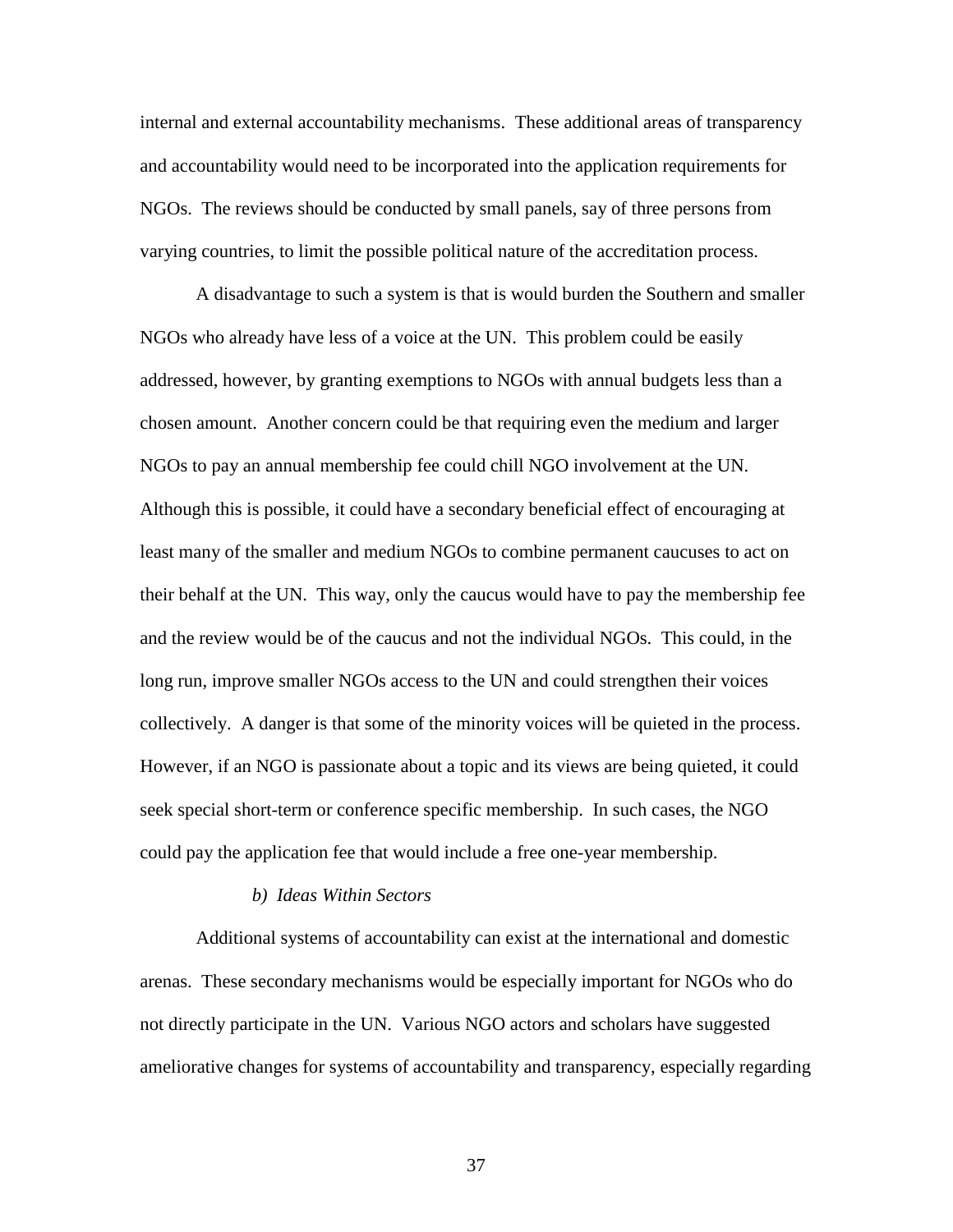internal and external accountability mechanisms. These additional areas of transparency and accountability would need to be incorporated into the application requirements for NGOs. The reviews should be conducted by small panels, say of three persons from varying countries, to limit the possible political nature of the accreditation process.

A disadvantage to such a system is that is would burden the Southern and smaller NGOs who already have less of a voice at the UN. This problem could be easily addressed, however, by granting exemptions to NGOs with annual budgets less than a chosen amount. Another concern could be that requiring even the medium and larger NGOs to pay an annual membership fee could chill NGO involvement at the UN. Although this is possible, it could have a secondary beneficial effect of encouraging at least many of the smaller and medium NGOs to combine permanent caucuses to act on their behalf at the UN. This way, only the caucus would have to pay the membership fee and the review would be of the caucus and not the individual NGOs. This could, in the long run, improve smaller NGOs access to the UN and could strengthen their voices collectively. A danger is that some of the minority voices will be quieted in the process. However, if an NGO is passionate about a topic and its views are being quieted, it could seek special short-term or conference specific membership. In such cases, the NGO could pay the application fee that would include a free one-year membership.

#### *b) Ideas Within Sectors*

Additional systems of accountability can exist at the international and domestic arenas. These secondary mechanisms would be especially important for NGOs who do not directly participate in the UN. Various NGO actors and scholars have suggested ameliorative changes for systems of accountability and transparency, especially regarding

37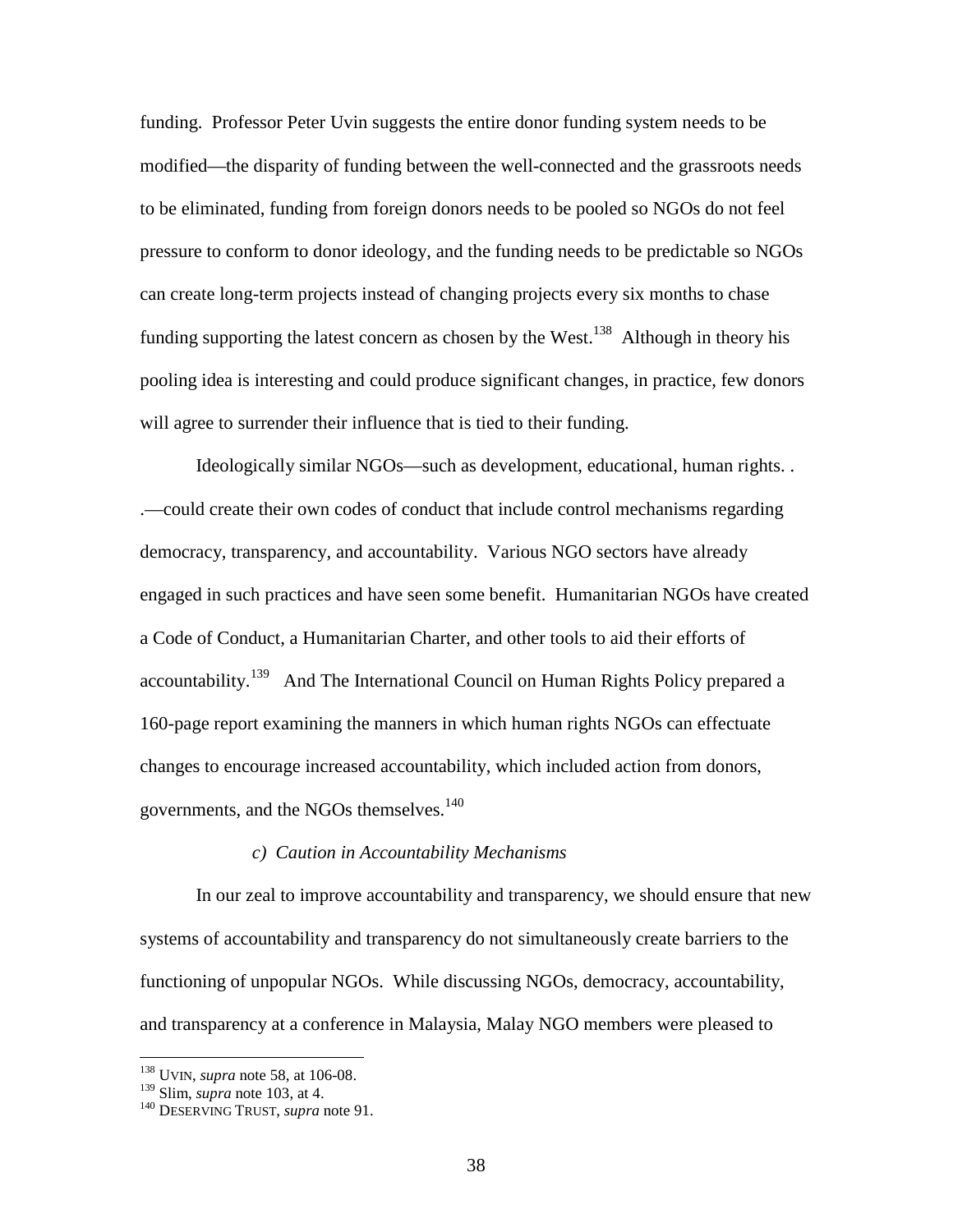funding. Professor Peter Uvin suggests the entire donor funding system needs to be modified—the disparity of funding between the well-connected and the grassroots needs to be eliminated, funding from foreign donors needs to be pooled so NGOs do not feel pressure to conform to donor ideology, and the funding needs to be predictable so NGOs can create long-term projects instead of changing projects every six months to chase funding supporting the latest concern as chosen by the West.<sup>138</sup> Although in theory his pooling idea is interesting and could produce significant changes, in practice, few donors will agree to surrender their influence that is tied to their funding.

Ideologically similar NGOs—such as development, educational, human rights. . .—could create their own codes of conduct that include control mechanisms regarding democracy, transparency, and accountability. Various NGO sectors have already engaged in such practices and have seen some benefit. Humanitarian NGOs have created a Code of Conduct, a Humanitarian Charter, and other tools to aid their efforts of accountability.<sup>139</sup> And The International Council on Human Rights Policy prepared a 160-page report examining the manners in which human rights NGOs can effectuate changes to encourage increased accountability, which included action from donors, governments, and the NGOs themselves.<sup>140</sup>

#### *c) Caution in Accountability Mechanisms*

In our zeal to improve accountability and transparency, we should ensure that new systems of accountability and transparency do not simultaneously create barriers to the functioning of unpopular NGOs. While discussing NGOs, democracy, accountability, and transparency at a conference in Malaysia, Malay NGO members were pleased to

<sup>&</sup>lt;sup>138</sup> UVIN, *supra* note 58, at 106-08.<br><sup>139</sup> Slim, *supra* note 103, at 4.

<sup>&</sup>lt;sup>140</sup> DESERVING TRUST, *supra* note 91.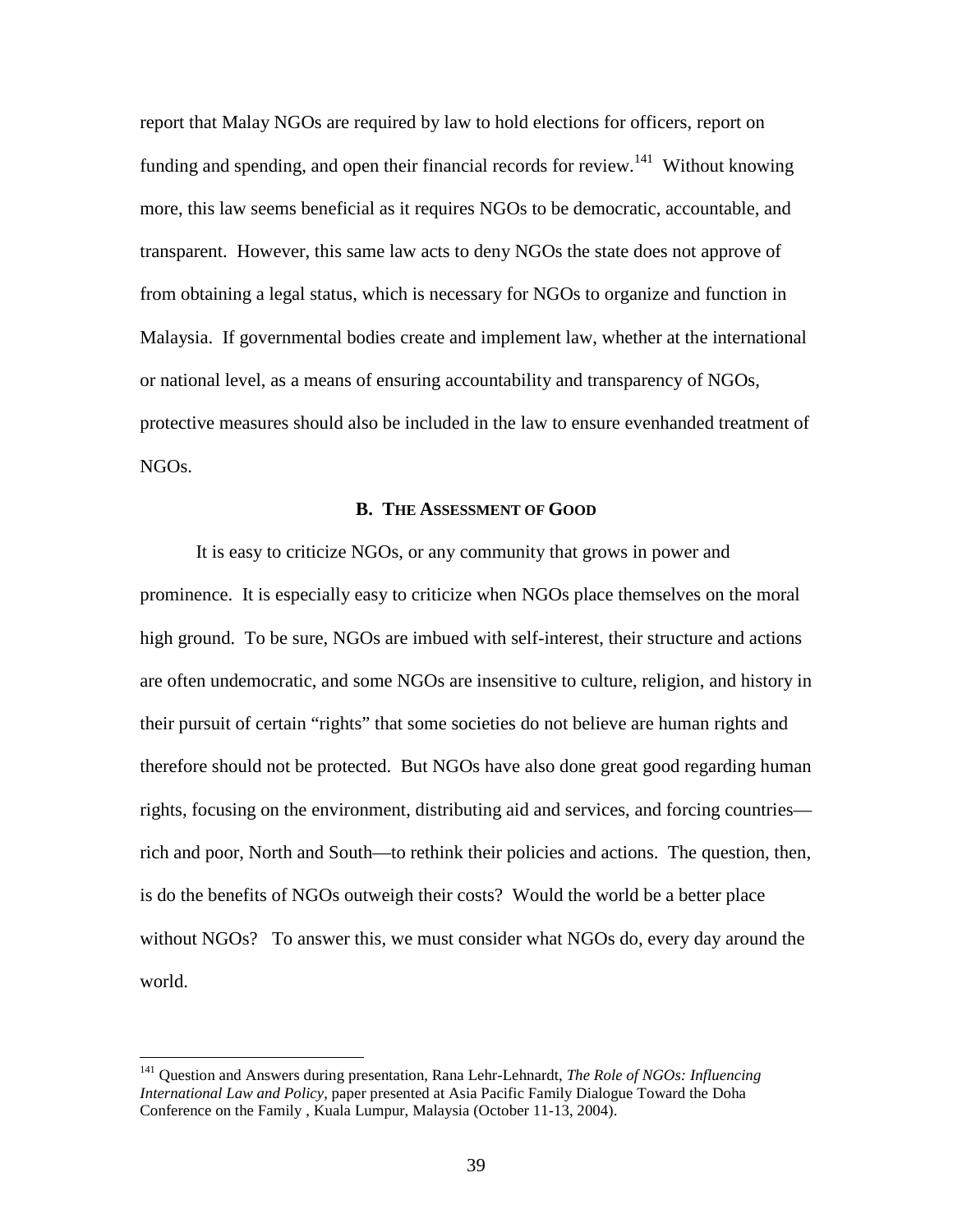report that Malay NGOs are required by law to hold elections for officers, report on funding and spending, and open their financial records for review.<sup>141</sup> Without knowing more, this law seems beneficial as it requires NGOs to be democratic, accountable, and transparent. However, this same law acts to deny NGOs the state does not approve of from obtaining a legal status, which is necessary for NGOs to organize and function in Malaysia. If governmental bodies create and implement law, whether at the international or national level, as a means of ensuring accountability and transparency of NGOs, protective measures should also be included in the law to ensure evenhanded treatment of NGOs.

#### **B. THE ASSESSMENT OF GOOD**

It is easy to criticize NGOs, or any community that grows in power and prominence. It is especially easy to criticize when NGOs place themselves on the moral high ground. To be sure, NGOs are imbued with self-interest, their structure and actions are often undemocratic, and some NGOs are insensitive to culture, religion, and history in their pursuit of certain "rights" that some societies do not believe are human rights and therefore should not be protected. But NGOs have also done great good regarding human rights, focusing on the environment, distributing aid and services, and forcing countries rich and poor, North and South—to rethink their policies and actions. The question, then, is do the benefits of NGOs outweigh their costs? Would the world be a better place without NGOs? To answer this, we must consider what NGOs do, every day around the world.

<sup>141</sup> Question and Answers during presentation, Rana Lehr-Lehnardt, *The Role of NGOs: Influencing International Law and Policy*, paper presented at Asia Pacific Family Dialogue Toward the Doha Conference on the Family , Kuala Lumpur, Malaysia (October 11-13, 2004).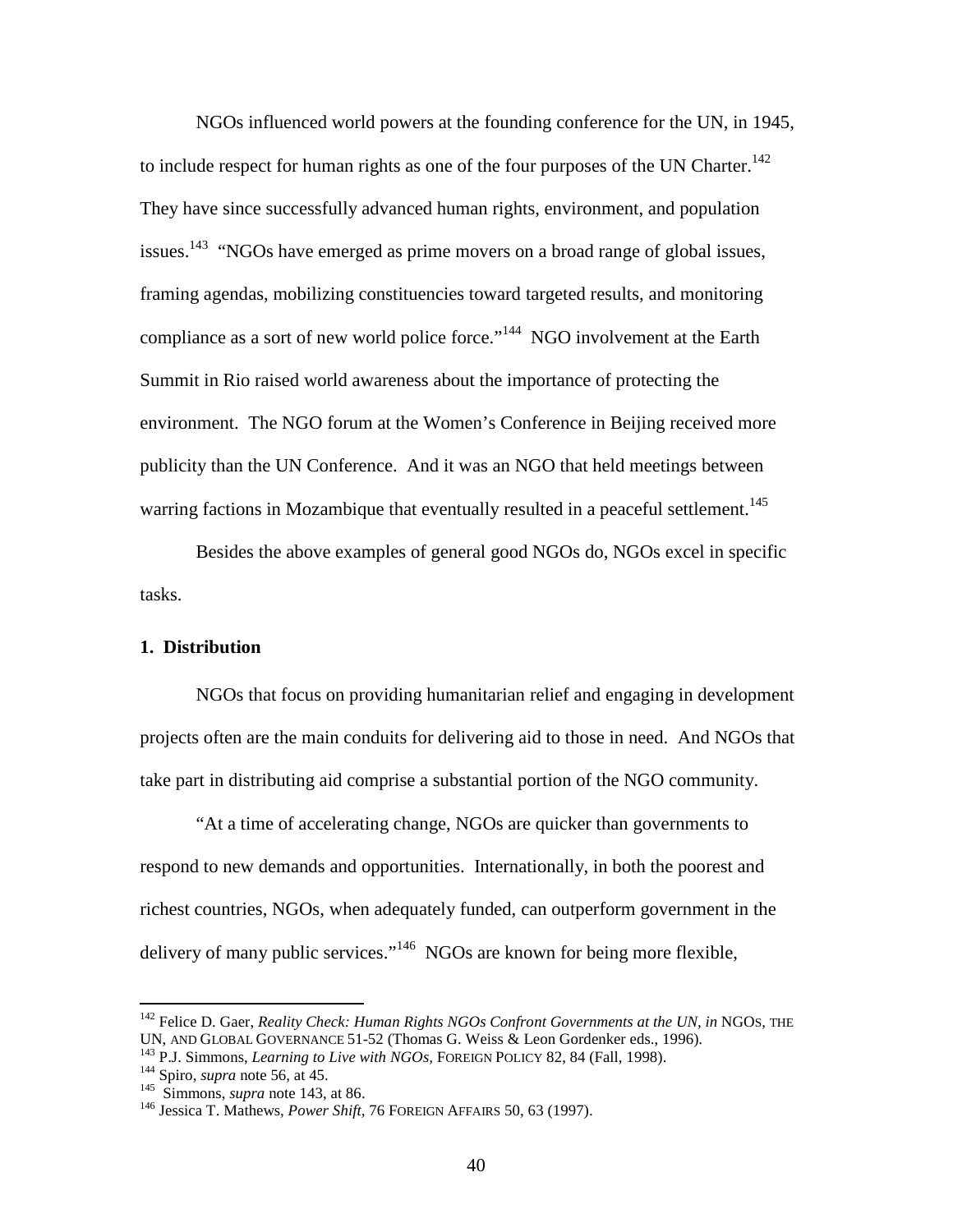NGOs influenced world powers at the founding conference for the UN, in 1945, to include respect for human rights as one of the four purposes of the UN Charter.<sup>142</sup> They have since successfully advanced human rights, environment, and population issues.<sup>143</sup> "NGOs have emerged as prime movers on a broad range of global issues, framing agendas, mobilizing constituencies toward targeted results, and monitoring compliance as a sort of new world police force."<sup>144</sup> NGO involvement at the Earth Summit in Rio raised world awareness about the importance of protecting the environment. The NGO forum at the Women's Conference in Beijing received more publicity than the UN Conference. And it was an NGO that held meetings between warring factions in Mozambique that eventually resulted in a peaceful settlement.<sup>145</sup>

Besides the above examples of general good NGOs do, NGOs excel in specific tasks.

#### **1. Distribution**

NGOs that focus on providing humanitarian relief and engaging in development projects often are the main conduits for delivering aid to those in need. And NGOs that take part in distributing aid comprise a substantial portion of the NGO community.

"At a time of accelerating change, NGOs are quicker than governments to respond to new demands and opportunities. Internationally, in both the poorest and richest countries, NGOs, when adequately funded, can outperform government in the delivery of many public services."<sup>146</sup> NGOs are known for being more flexible,

<sup>&</sup>lt;sup>142</sup> Felice D. Gaer, *Reality Check: Human Rights NGOs Confront Governments at the UN, in* NGOs, THE UN, AND GLOBAL GOVERNANCE 51-52 (Thomas G. Weiss & Leon Gordenker eds., 1996).

<sup>&</sup>lt;sup>143</sup> P.J. Simmons, *Learning to Live with NGOs*, FOREIGN POLICY 82, 84 (Fall, 1998).<br><sup>144</sup> Spiro, *supra* note 56, at 45.<br><sup>145</sup> Simmons, *supra* note 143, at 86.<br><sup>146</sup> Jessica T. Mathews, *Power Shift*, 76 FOREIGN AFFAIR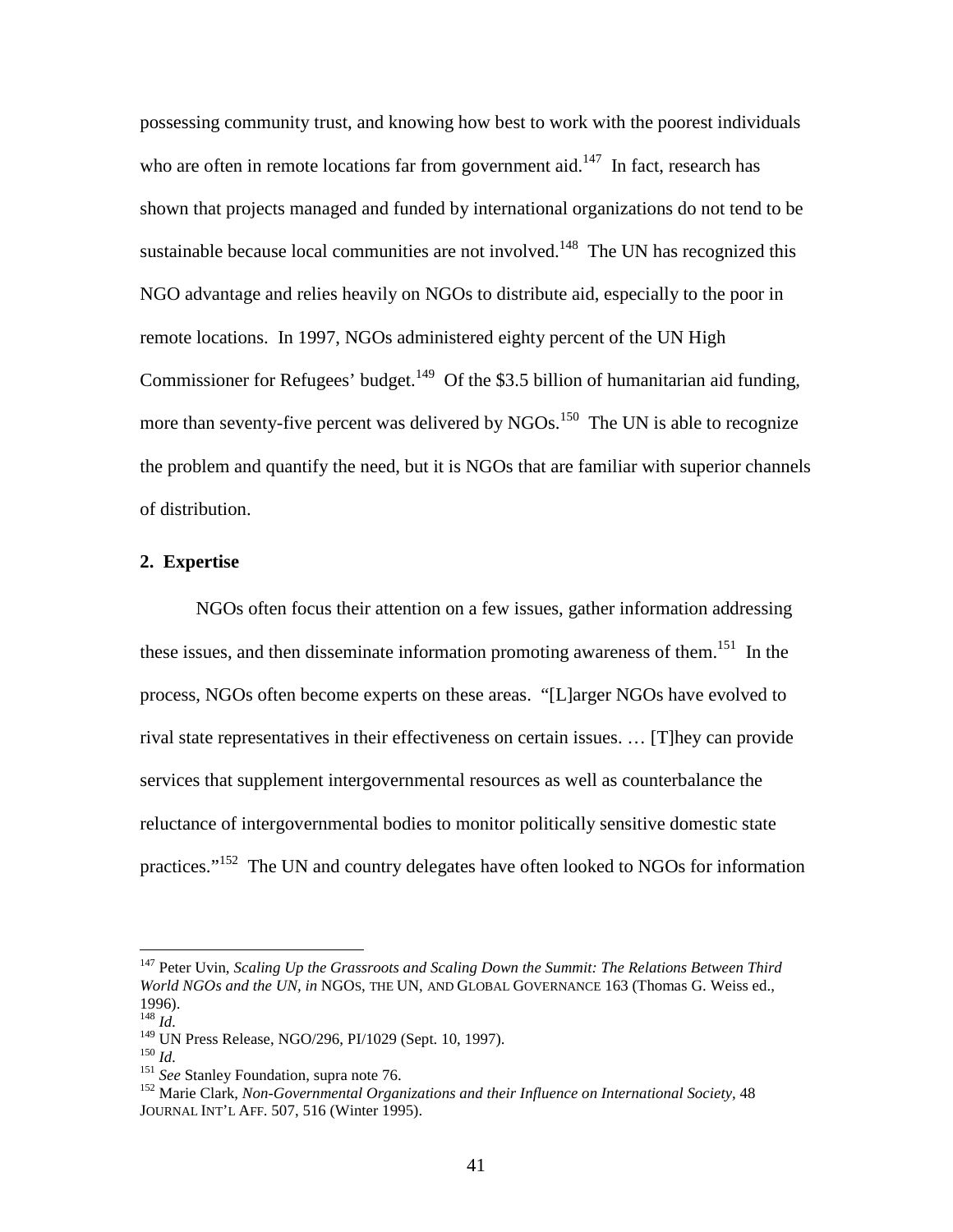possessing community trust, and knowing how best to work with the poorest individuals who are often in remote locations far from government aid.<sup>147</sup> In fact, research has shown that projects managed and funded by international organizations do not tend to be sustainable because local communities are not involved.<sup>148</sup> The UN has recognized this NGO advantage and relies heavily on NGOs to distribute aid, especially to the poor in remote locations. In 1997, NGOs administered eighty percent of the UN High Commissioner for Refugees' budget.<sup>149</sup> Of the \$3.5 billion of humanitarian aid funding, more than seventy-five percent was delivered by NGOs.<sup>150</sup> The UN is able to recognize the problem and quantify the need, but it is NGOs that are familiar with superior channels of distribution.

#### **2. Expertise**

NGOs often focus their attention on a few issues, gather information addressing these issues, and then disseminate information promoting awareness of them.<sup>151</sup> In the process, NGOs often become experts on these areas. "[L]arger NGOs have evolved to rival state representatives in their effectiveness on certain issues. … [T]hey can provide services that supplement intergovernmental resources as well as counterbalance the reluctance of intergovernmental bodies to monitor politically sensitive domestic state practices."152 The UN and country delegates have often looked to NGOs for information

<sup>147</sup> Peter Uvin, *Scaling Up the Grassroots and Scaling Down the Summit: The Relations Between Third World NGOs and the UN, in* NGOS, THE UN, AND GLOBAL GOVERNANCE 163 (Thomas G. Weiss ed., 1996).

<sup>&</sup>lt;sup>148</sup> *Id.*<br><sup>149</sup> UN Press Release, NGO/296, PI/1029 (Sept. 10, 1997).

<sup>&</sup>lt;sup>150</sup> *Id.*<br><sup>151</sup> See Stanley Foundation, supra note 76.<br><sup>152</sup> Marie Clark, *Non-Governmental Organizations and their Influence on International Society*, 48 JOURNAL INT'L AFF. 507, 516 (Winter 1995).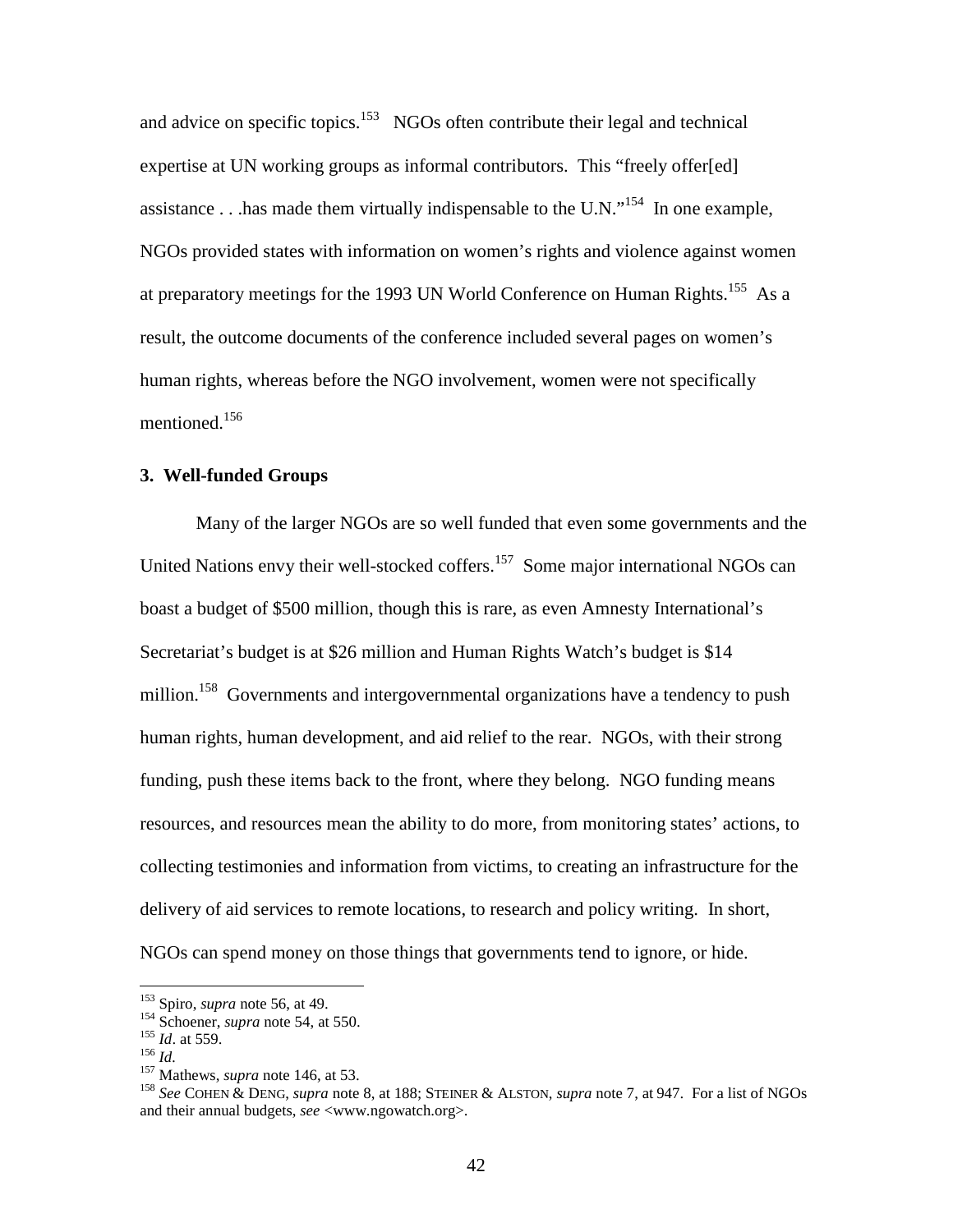and advice on specific topics.<sup>153</sup> NGOs often contribute their legal and technical expertise at UN working groups as informal contributors. This "freely offer[ed] assistance  $\ldots$  has made them virtually indispensable to the U.N."<sup>154</sup> In one example, NGOs provided states with information on women's rights and violence against women at preparatory meetings for the 1993 UN World Conference on Human Rights.<sup>155</sup> As a result, the outcome documents of the conference included several pages on women's human rights, whereas before the NGO involvement, women were not specifically mentioned.156

# **3. Well-funded Groups**

Many of the larger NGOs are so well funded that even some governments and the United Nations envy their well-stocked coffers.<sup>157</sup> Some major international NGOs can boast a budget of \$500 million, though this is rare, as even Amnesty International's Secretariat's budget is at \$26 million and Human Rights Watch's budget is \$14 million.<sup>158</sup> Governments and intergovernmental organizations have a tendency to push human rights, human development, and aid relief to the rear. NGOs, with their strong funding, push these items back to the front, where they belong. NGO funding means resources, and resources mean the ability to do more, from monitoring states' actions, to collecting testimonies and information from victims, to creating an infrastructure for the delivery of aid services to remote locations, to research and policy writing. In short, NGOs can spend money on those things that governments tend to ignore, or hide.

<sup>&</sup>lt;sup>153</sup> Spiro, *supra* note 56, at 49.<br>
<sup>154</sup> Schoener, *supra* note 54, at 550.<br>
<sup>155</sup> Id. at 559.<br>
<sup>155</sup> Id.<br>
<sup>157</sup> Mathews, *supra* note 146, at 53.<br>
<sup>158</sup> See COHEN & DENG, *supra* note 8, at 188; STEINER & ALSTON, *sup* and their annual budgets, *see* <www.ngowatch.org>.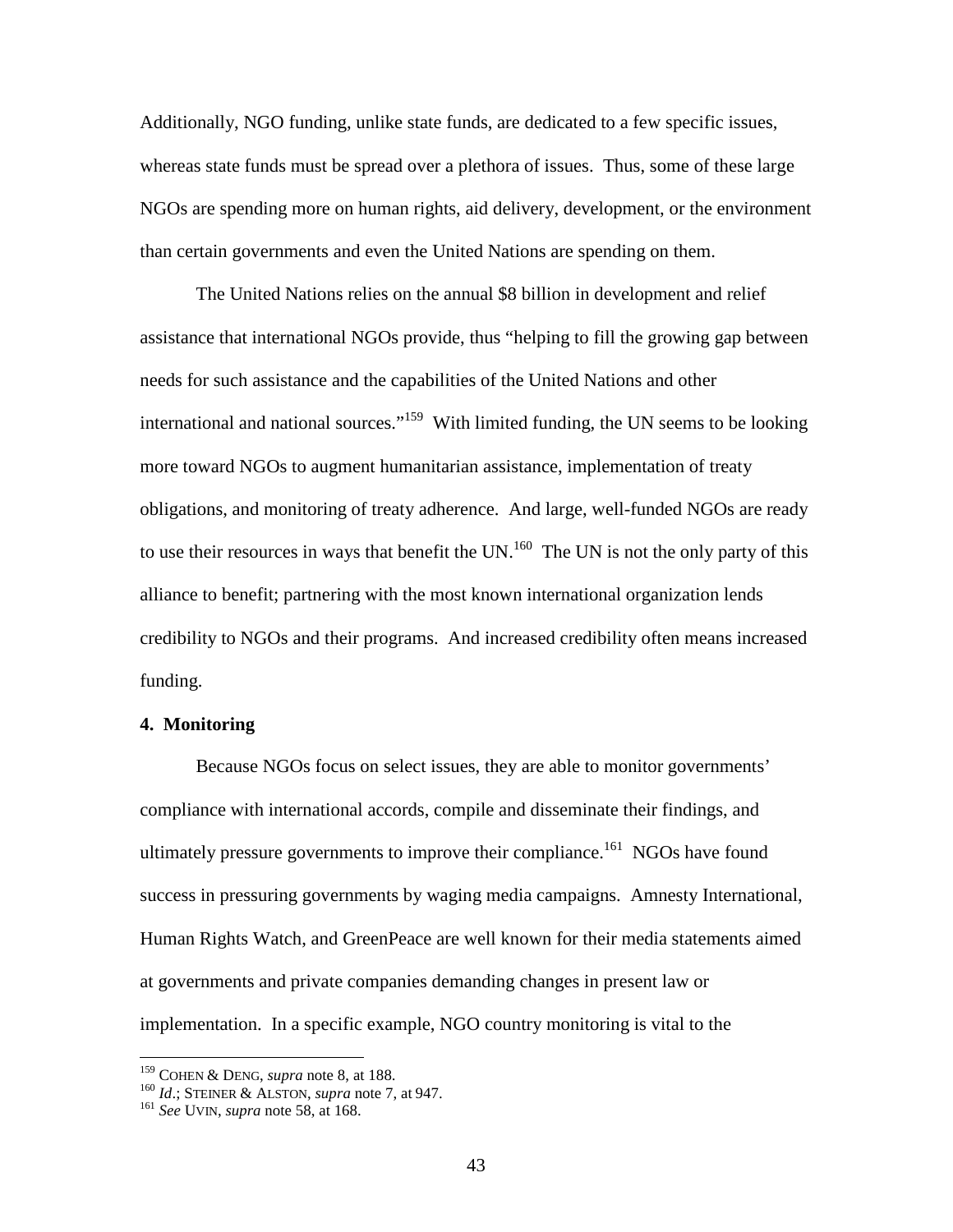Additionally, NGO funding, unlike state funds, are dedicated to a few specific issues, whereas state funds must be spread over a plethora of issues. Thus, some of these large NGOs are spending more on human rights, aid delivery, development, or the environment than certain governments and even the United Nations are spending on them.

The United Nations relies on the annual \$8 billion in development and relief assistance that international NGOs provide, thus "helping to fill the growing gap between needs for such assistance and the capabilities of the United Nations and other international and national sources."<sup>159</sup> With limited funding, the UN seems to be looking more toward NGOs to augment humanitarian assistance, implementation of treaty obligations, and monitoring of treaty adherence. And large, well-funded NGOs are ready to use their resources in ways that benefit the UN.<sup>160</sup> The UN is not the only party of this alliance to benefit; partnering with the most known international organization lends credibility to NGOs and their programs. And increased credibility often means increased funding.

#### **4. Monitoring**

Because NGOs focus on select issues, they are able to monitor governments' compliance with international accords, compile and disseminate their findings, and ultimately pressure governments to improve their compliance.<sup>161</sup> NGOs have found success in pressuring governments by waging media campaigns. Amnesty International, Human Rights Watch, and GreenPeace are well known for their media statements aimed at governments and private companies demanding changes in present law or implementation. In a specific example, NGO country monitoring is vital to the

<sup>&</sup>lt;sup>159</sup> COHEN & DENG, *supra* note 8, at 188.<br><sup>160</sup> *Id*.; STEINER & ALSTON, *supra* note 7, at 947.<br><sup>161</sup> *See* UVIN, *supra* note 58, at 168.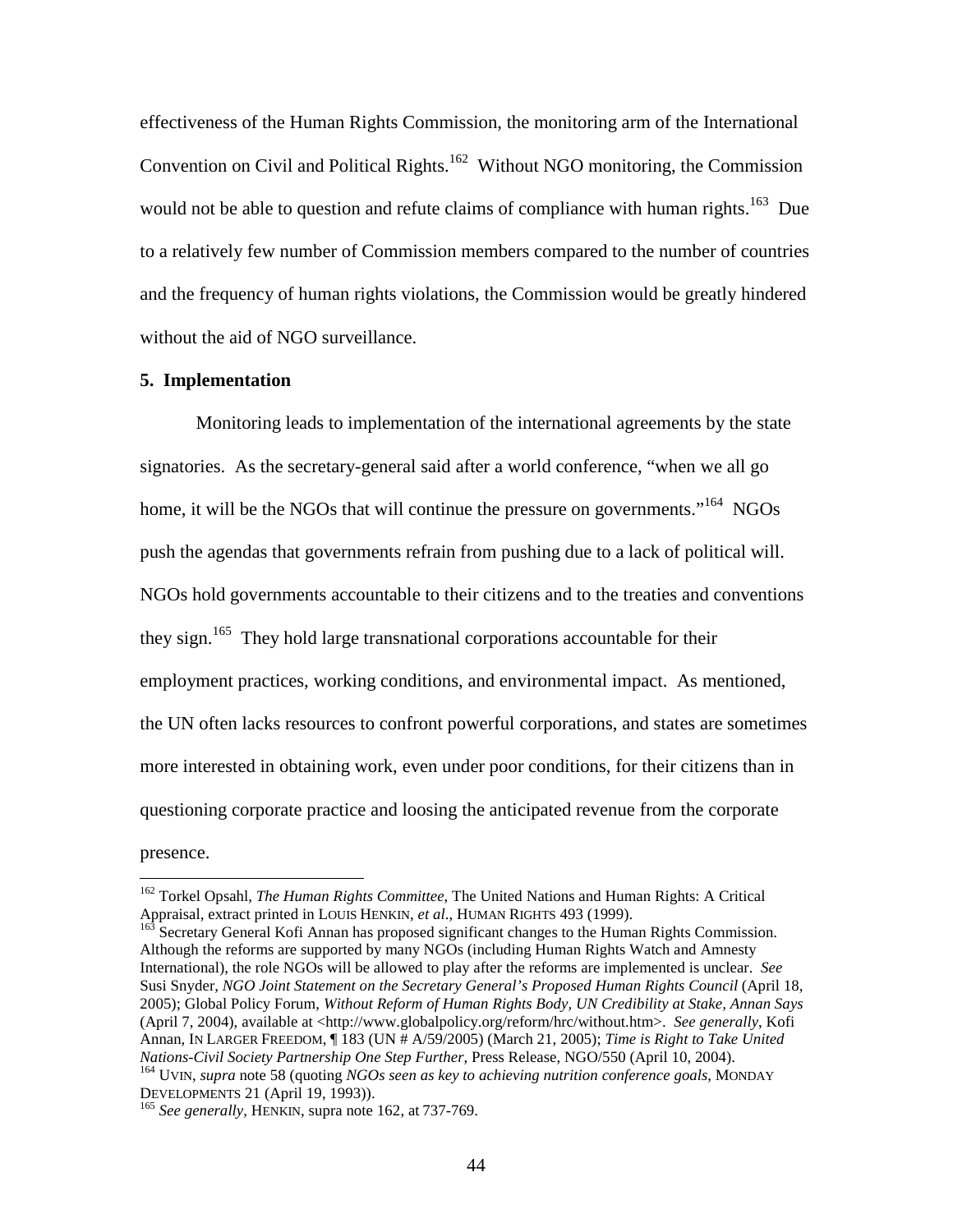effectiveness of the Human Rights Commission, the monitoring arm of the International Convention on Civil and Political Rights.<sup>162</sup> Without NGO monitoring, the Commission would not be able to question and refute claims of compliance with human rights.<sup>163</sup> Due to a relatively few number of Commission members compared to the number of countries and the frequency of human rights violations, the Commission would be greatly hindered without the aid of NGO surveillance.

#### **5. Implementation**

Monitoring leads to implementation of the international agreements by the state signatories. As the secretary-general said after a world conference, "when we all go home, it will be the NGOs that will continue the pressure on governments."<sup>164</sup> NGOs push the agendas that governments refrain from pushing due to a lack of political will. NGOs hold governments accountable to their citizens and to the treaties and conventions they sign.<sup>165</sup> They hold large transnational corporations accountable for their employment practices, working conditions, and environmental impact. As mentioned, the UN often lacks resources to confront powerful corporations, and states are sometimes more interested in obtaining work, even under poor conditions, for their citizens than in questioning corporate practice and loosing the anticipated revenue from the corporate presence.

<sup>&</sup>lt;sup>162</sup> Torkel Opsahl, *The Human Rights Committee*, The United Nations and Human Rights: A Critical Appraisal, extract printed in LOUIS HENKIN, *et al.*, HUMAN RIGHTS 493 (1999).

<sup>&</sup>lt;sup>163</sup> Secretary General Kofi Annan has proposed significant changes to the Human Rights Commission. Although the reforms are supported by many NGOs (including Human Rights Watch and Amnesty International), the role NGOs will be allowed to play after the reforms are implemented is unclear. *See* Susi Snyder, *NGO Joint Statement on the Secretary General's Proposed Human Rights Council* (April 18, 2005); Global Policy Forum, *Without Reform of Human Rights Body, UN Credibility at Stake, Annan Says* (April 7, 2004), available at <http://www.globalpolicy.org/reform/hrc/without.htm>. See generally, Kofi Annan, IN LARGER FREEDOM, ¶ 183 (UN # A/59/2005) (March 21, 2005); *Time is Right to Take United Nations-Civil Society Partnership One Step Further*, Press Release, NGO/550 (April 10, 2004).<br><sup>164</sup> UVIN, *supra* note 58 (quoting *NGOs seen as key to achieving nutrition conference goals*, MONDAY<br>DEVELOPMENTS 21 (April

<sup>&</sup>lt;sup>165</sup> See generally, HENKIN, supra note 162, at 737-769.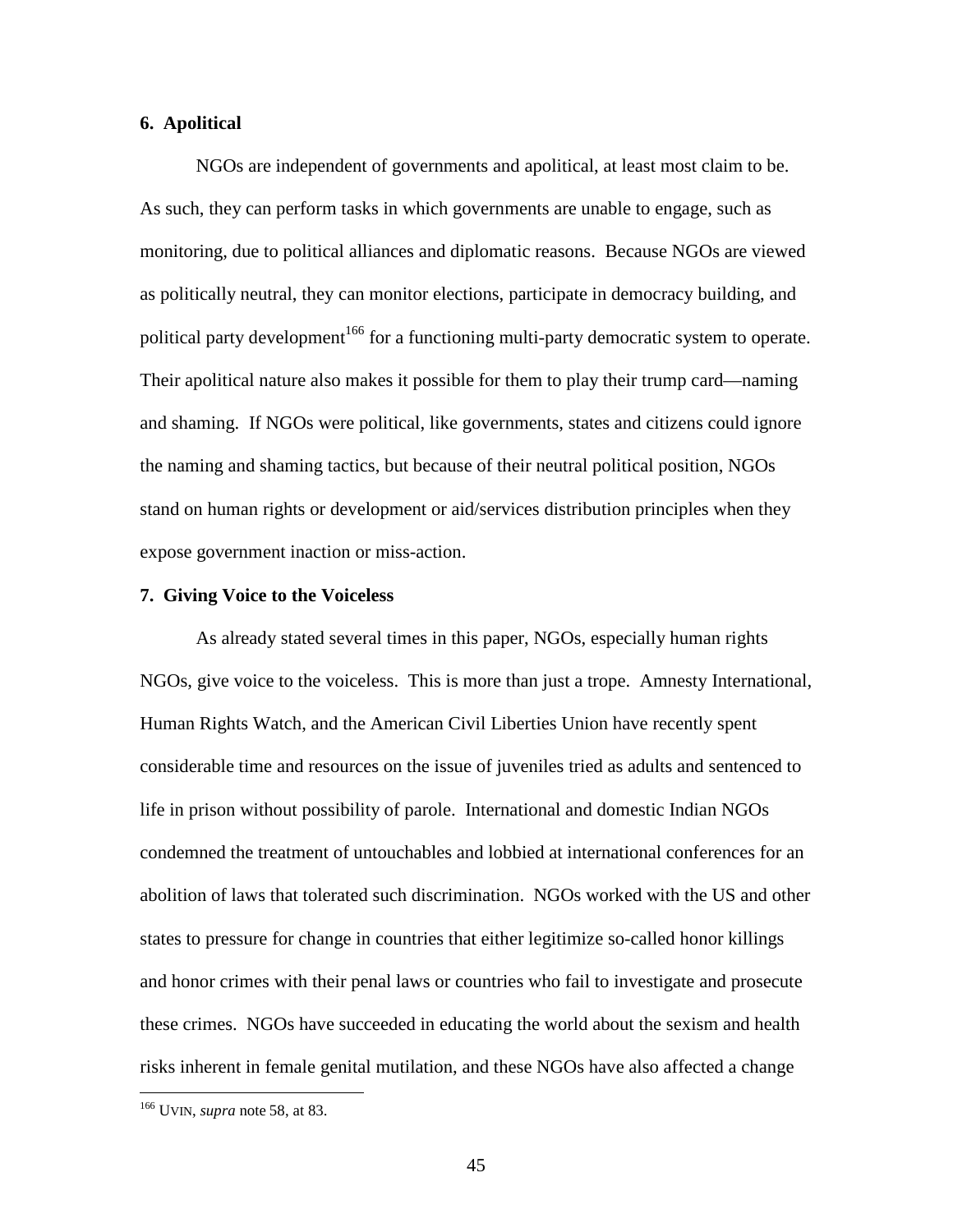# **6. Apolitical**

NGOs are independent of governments and apolitical, at least most claim to be. As such, they can perform tasks in which governments are unable to engage, such as monitoring, due to political alliances and diplomatic reasons. Because NGOs are viewed as politically neutral, they can monitor elections, participate in democracy building, and political party development<sup>166</sup> for a functioning multi-party democratic system to operate. Their apolitical nature also makes it possible for them to play their trump card—naming and shaming. If NGOs were political, like governments, states and citizens could ignore the naming and shaming tactics, but because of their neutral political position, NGOs stand on human rights or development or aid/services distribution principles when they expose government inaction or miss-action.

#### **7. Giving Voice to the Voiceless**

As already stated several times in this paper, NGOs, especially human rights NGOs, give voice to the voiceless. This is more than just a trope. Amnesty International, Human Rights Watch, and the American Civil Liberties Union have recently spent considerable time and resources on the issue of juveniles tried as adults and sentenced to life in prison without possibility of parole. International and domestic Indian NGOs condemned the treatment of untouchables and lobbied at international conferences for an abolition of laws that tolerated such discrimination. NGOs worked with the US and other states to pressure for change in countries that either legitimize so-called honor killings and honor crimes with their penal laws or countries who fail to investigate and prosecute these crimes. NGOs have succeeded in educating the world about the sexism and health risks inherent in female genital mutilation, and these NGOs have also affected a change

<sup>166</sup> UVIN, *supra* note 58, at 83.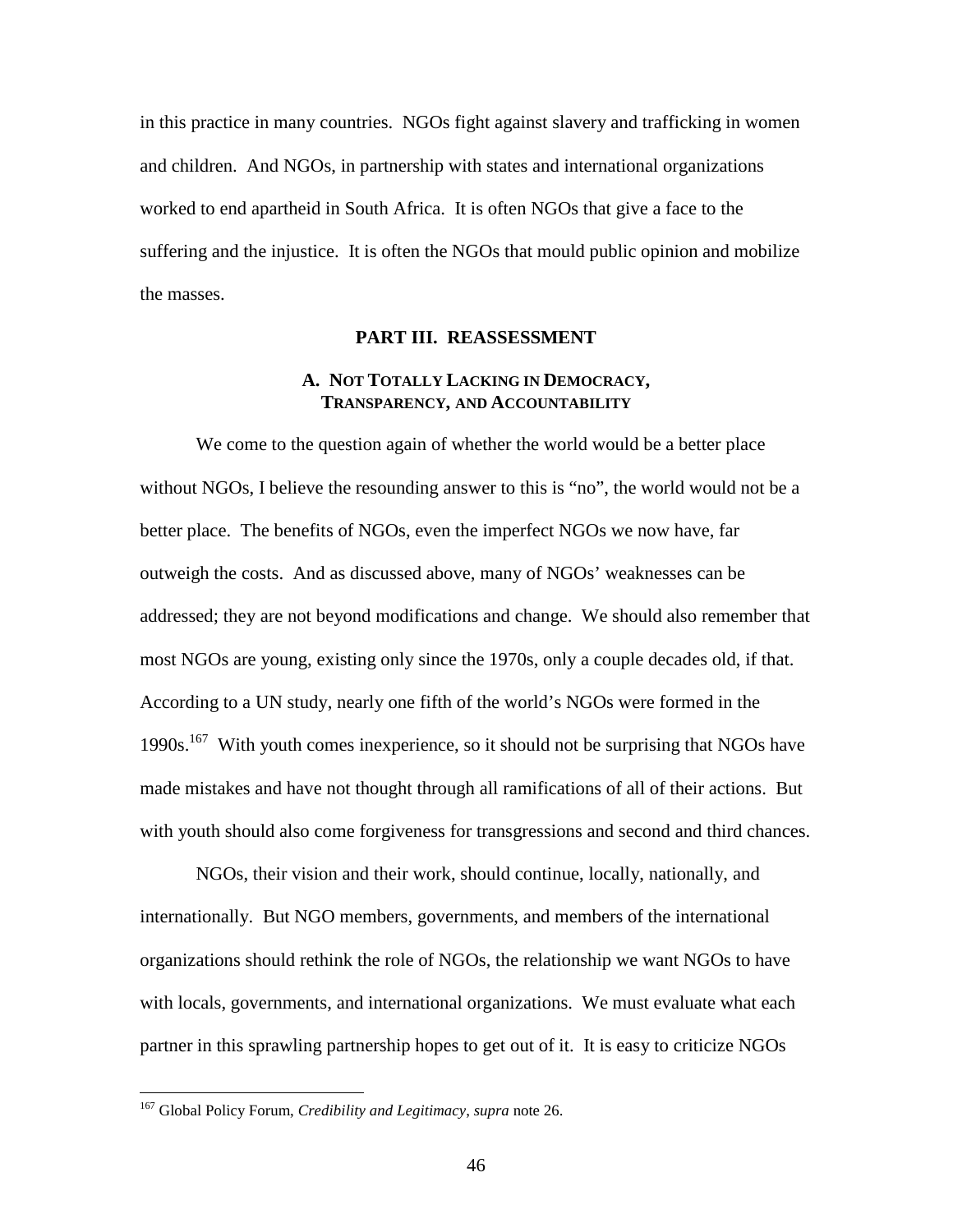in this practice in many countries. NGOs fight against slavery and trafficking in women and children. And NGOs, in partnership with states and international organizations worked to end apartheid in South Africa. It is often NGOs that give a face to the suffering and the injustice. It is often the NGOs that mould public opinion and mobilize the masses.

# **PART III. REASSESSMENT**

# **A. NOT TOTALLY LACKING IN DEMOCRACY, TRANSPARENCY, AND ACCOUNTABILITY**

We come to the question again of whether the world would be a better place without NGOs, I believe the resounding answer to this is "no", the world would not be a better place. The benefits of NGOs, even the imperfect NGOs we now have, far outweigh the costs. And as discussed above, many of NGOs' weaknesses can be addressed; they are not beyond modifications and change. We should also remember that most NGOs are young, existing only since the 1970s, only a couple decades old, if that. According to a UN study, nearly one fifth of the world's NGOs were formed in the 1990s.<sup>167</sup> With youth comes inexperience, so it should not be surprising that NGOs have made mistakes and have not thought through all ramifications of all of their actions. But with youth should also come forgiveness for transgressions and second and third chances.

NGOs, their vision and their work, should continue, locally, nationally, and internationally. But NGO members, governments, and members of the international organizations should rethink the role of NGOs, the relationship we want NGOs to have with locals, governments, and international organizations. We must evaluate what each partner in this sprawling partnership hopes to get out of it. It is easy to criticize NGOs

<sup>167</sup> Global Policy Forum, *Credibility and Legitimacy*, *supra* note 26.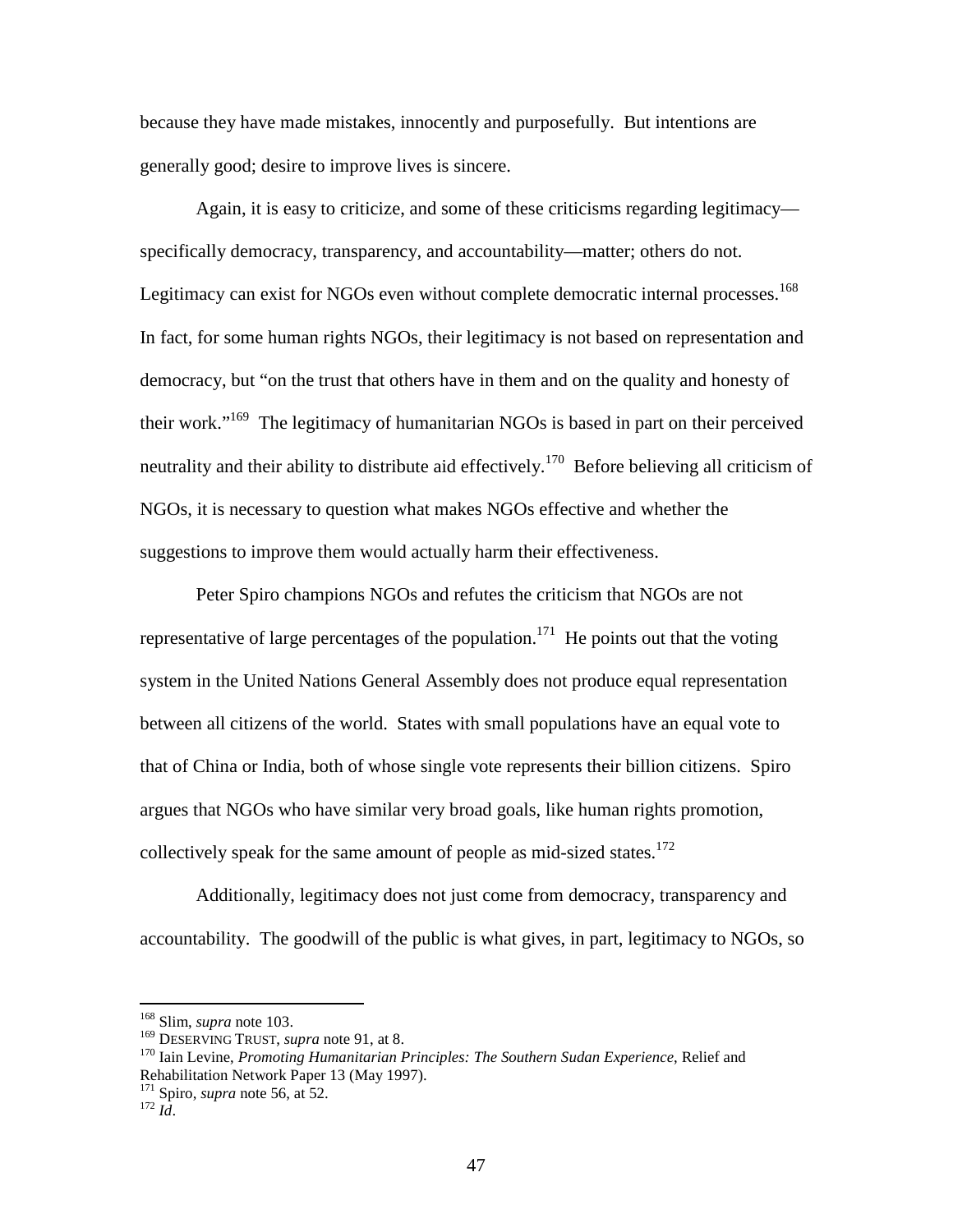because they have made mistakes, innocently and purposefully. But intentions are generally good; desire to improve lives is sincere.

Again, it is easy to criticize, and some of these criticisms regarding legitimacy specifically democracy, transparency, and accountability—matter; others do not. Legitimacy can exist for NGOs even without complete democratic internal processes.<sup>168</sup> In fact, for some human rights NGOs, their legitimacy is not based on representation and democracy, but "on the trust that others have in them and on the quality and honesty of their work."<sup>169</sup> The legitimacy of humanitarian NGOs is based in part on their perceived neutrality and their ability to distribute aid effectively.<sup>170</sup> Before believing all criticism of NGOs, it is necessary to question what makes NGOs effective and whether the suggestions to improve them would actually harm their effectiveness.

Peter Spiro champions NGOs and refutes the criticism that NGOs are not representative of large percentages of the population.<sup>171</sup> He points out that the voting system in the United Nations General Assembly does not produce equal representation between all citizens of the world. States with small populations have an equal vote to that of China or India, both of whose single vote represents their billion citizens. Spiro argues that NGOs who have similar very broad goals, like human rights promotion, collectively speak for the same amount of people as mid-sized states.<sup>172</sup>

Additionally, legitimacy does not just come from democracy, transparency and accountability. The goodwill of the public is what gives, in part, legitimacy to NGOs, so

<sup>&</sup>lt;sup>168</sup> Slim, *supra* note 103.<br><sup>169</sup> DESERVING TRUST, *supra* note 91, at 8.

<sup>&</sup>lt;sup>170</sup> Iain Levine, *Promoting Humanitarian Principles: The Southern Sudan Experience*, Relief and Rehabilitation Network Paper 13 (May 1997).

<sup>171</sup> Spiro, *supra* note 56, at 52. <sup>172</sup> *Id*.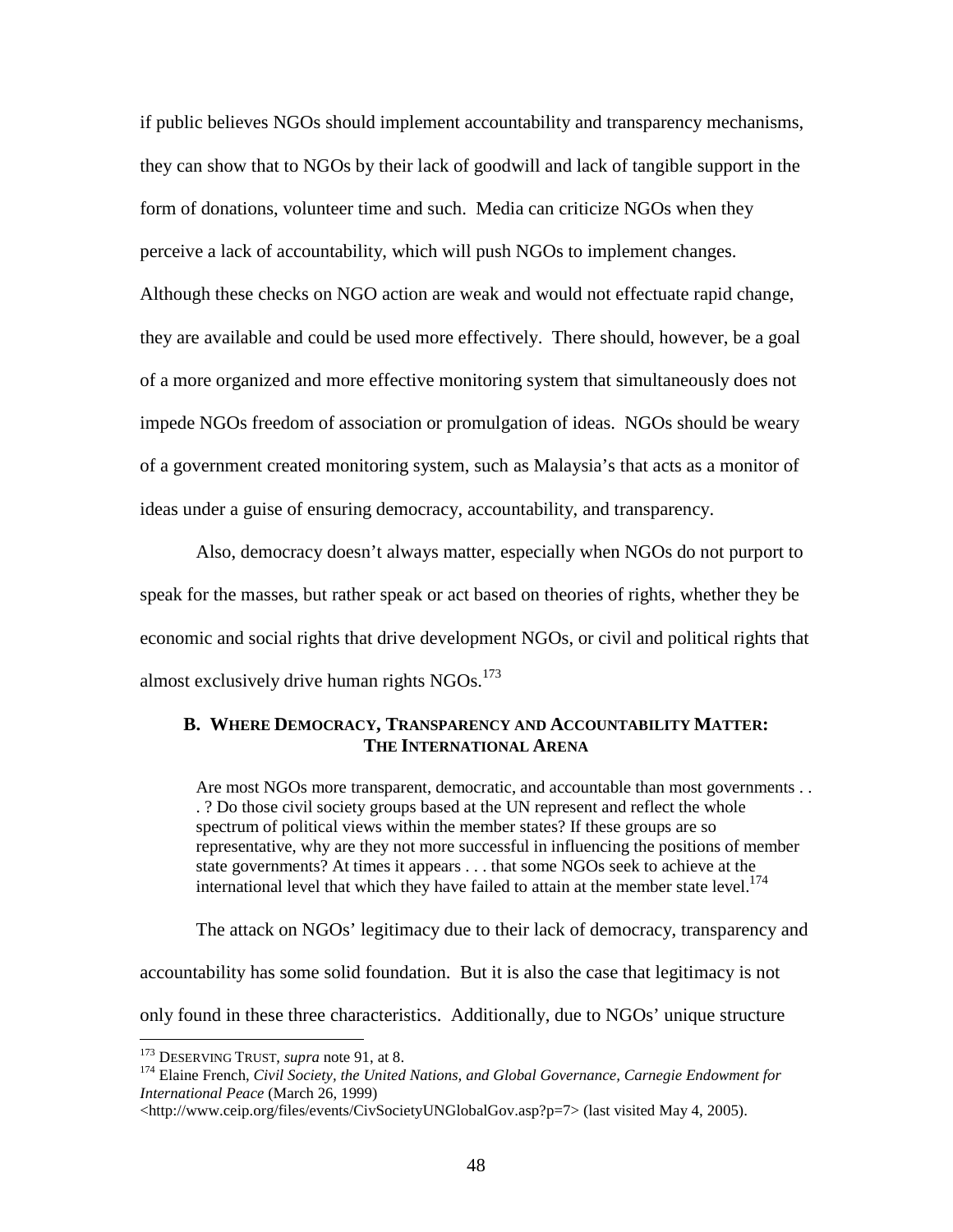if public believes NGOs should implement accountability and transparency mechanisms, they can show that to NGOs by their lack of goodwill and lack of tangible support in the form of donations, volunteer time and such. Media can criticize NGOs when they perceive a lack of accountability, which will push NGOs to implement changes. Although these checks on NGO action are weak and would not effectuate rapid change, they are available and could be used more effectively. There should, however, be a goal of a more organized and more effective monitoring system that simultaneously does not impede NGOs freedom of association or promulgation of ideas. NGOs should be weary of a government created monitoring system, such as Malaysia's that acts as a monitor of ideas under a guise of ensuring democracy, accountability, and transparency.

Also, democracy doesn't always matter, especially when NGOs do not purport to speak for the masses, but rather speak or act based on theories of rights, whether they be economic and social rights that drive development NGOs, or civil and political rights that almost exclusively drive human rights  $NGOs$ <sup>173</sup>

# **B. WHERE DEMOCRACY, TRANSPARENCY AND ACCOUNTABILITY MATTER: THE INTERNATIONAL ARENA**

Are most NGOs more transparent, democratic, and accountable than most governments . . . ? Do those civil society groups based at the UN represent and reflect the whole spectrum of political views within the member states? If these groups are so representative, why are they not more successful in influencing the positions of member state governments? At times it appears . . . that some NGOs seek to achieve at the international level that which they have failed to attain at the member state level.<sup>174</sup>

The attack on NGOs' legitimacy due to their lack of democracy, transparency and accountability has some solid foundation. But it is also the case that legitimacy is not only found in these three characteristics. Additionally, due to NGOs' unique structure

<sup>&</sup>lt;sup>173</sup> DESERVING TRUST, *supra* note 91, at 8.<br><sup>174</sup> Elaine French, *Civil Society, the United Nations, and Global Governance, Carnegie Endowment for International Peace* (March 26, 1999)

<sup>&</sup>lt;http://www.ceip.org/files/events/CivSocietyUNGlobalGov.asp?p=7> (last visited May 4, 2005).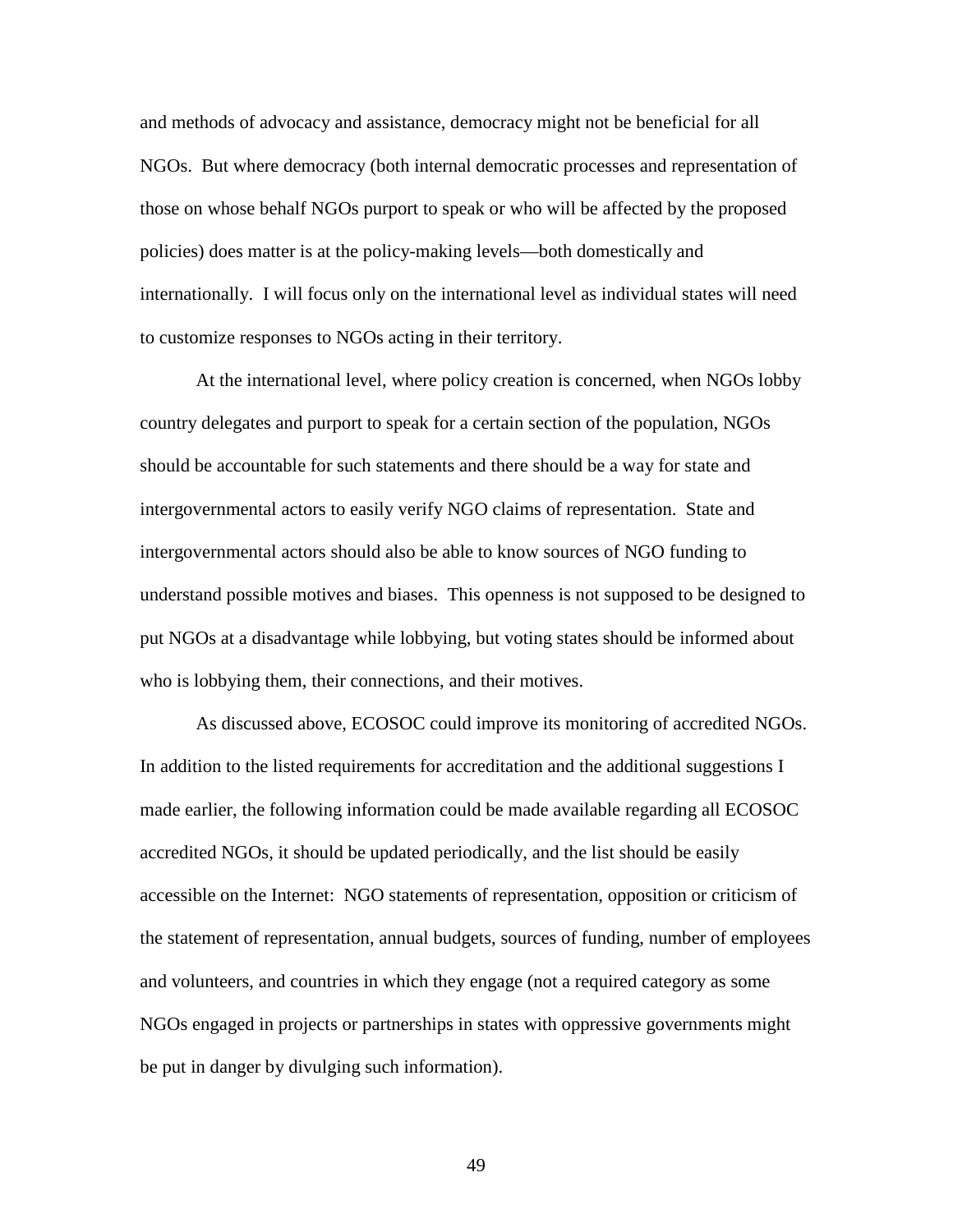and methods of advocacy and assistance, democracy might not be beneficial for all NGOs. But where democracy (both internal democratic processes and representation of those on whose behalf NGOs purport to speak or who will be affected by the proposed policies) does matter is at the policy-making levels—both domestically and internationally. I will focus only on the international level as individual states will need to customize responses to NGOs acting in their territory.

At the international level, where policy creation is concerned, when NGOs lobby country delegates and purport to speak for a certain section of the population, NGOs should be accountable for such statements and there should be a way for state and intergovernmental actors to easily verify NGO claims of representation. State and intergovernmental actors should also be able to know sources of NGO funding to understand possible motives and biases. This openness is not supposed to be designed to put NGOs at a disadvantage while lobbying, but voting states should be informed about who is lobbying them, their connections, and their motives.

As discussed above, ECOSOC could improve its monitoring of accredited NGOs. In addition to the listed requirements for accreditation and the additional suggestions I made earlier, the following information could be made available regarding all ECOSOC accredited NGOs, it should be updated periodically, and the list should be easily accessible on the Internet: NGO statements of representation, opposition or criticism of the statement of representation, annual budgets, sources of funding, number of employees and volunteers, and countries in which they engage (not a required category as some NGOs engaged in projects or partnerships in states with oppressive governments might be put in danger by divulging such information).

49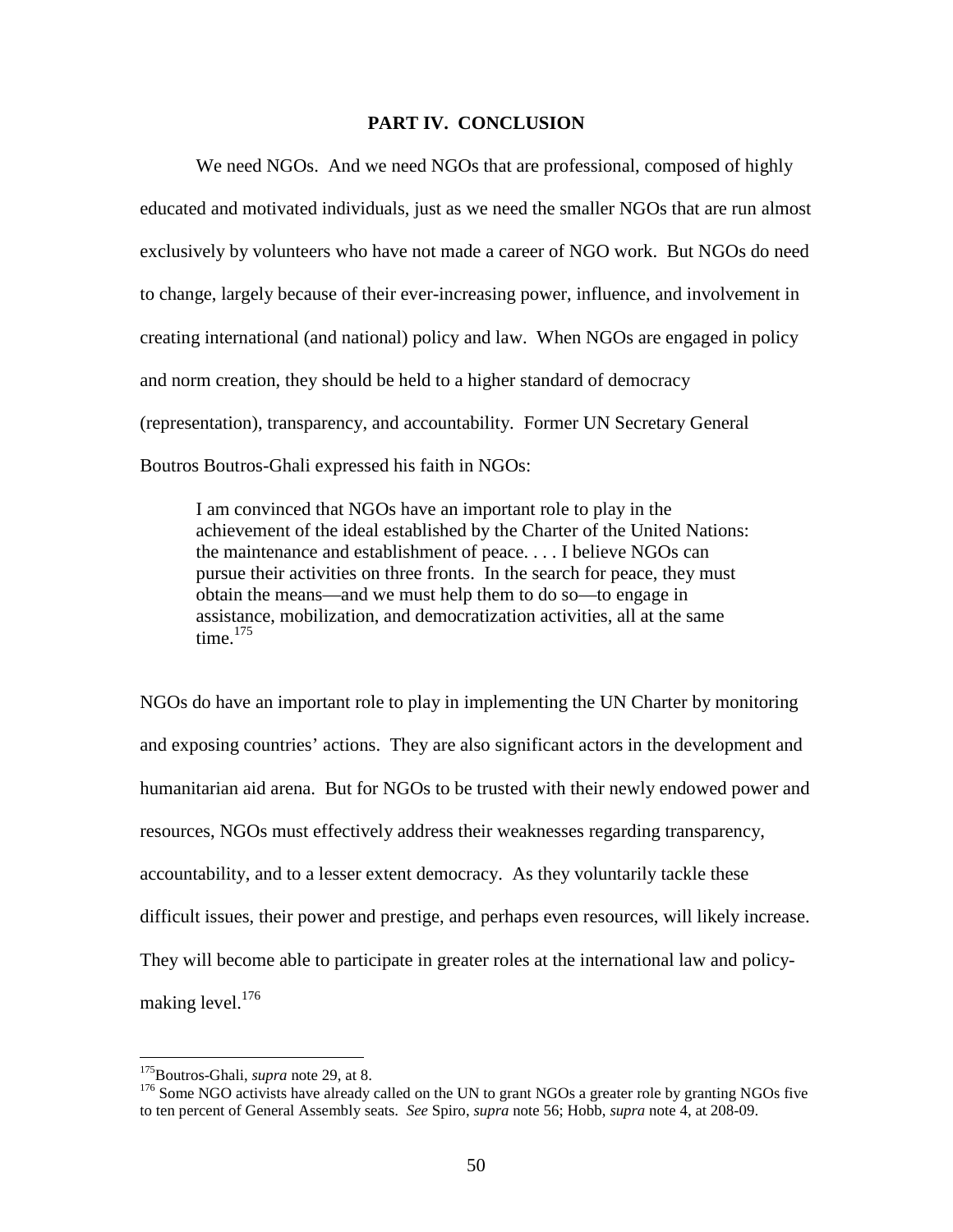# **PART IV. CONCLUSION**

We need NGOs. And we need NGOs that are professional, composed of highly educated and motivated individuals, just as we need the smaller NGOs that are run almost exclusively by volunteers who have not made a career of NGO work. But NGOs do need to change, largely because of their ever-increasing power, influence, and involvement in creating international (and national) policy and law. When NGOs are engaged in policy and norm creation, they should be held to a higher standard of democracy (representation), transparency, and accountability. Former UN Secretary General Boutros Boutros-Ghali expressed his faith in NGOs:

I am convinced that NGOs have an important role to play in the achievement of the ideal established by the Charter of the United Nations: the maintenance and establishment of peace. . . . I believe NGOs can pursue their activities on three fronts. In the search for peace, they must obtain the means—and we must help them to do so—to engage in assistance, mobilization, and democratization activities, all at the same time. $175$ 

NGOs do have an important role to play in implementing the UN Charter by monitoring and exposing countries' actions. They are also significant actors in the development and humanitarian aid arena. But for NGOs to be trusted with their newly endowed power and resources, NGOs must effectively address their weaknesses regarding transparency, accountability, and to a lesser extent democracy. As they voluntarily tackle these difficult issues, their power and prestige, and perhaps even resources, will likely increase. They will become able to participate in greater roles at the international law and policymaking level.<sup>176</sup>

<sup>&</sup>lt;sup>175</sup>Boutros-Ghali, *supra* note 29, at 8.<br><sup>176</sup> Some NGO activists have already called on the UN to grant NGOs a greater role by granting NGOs five to ten percent of General Assembly seats. *See* Spiro, *supra* note 56; Hobb, *supra* note 4, at 208-09.